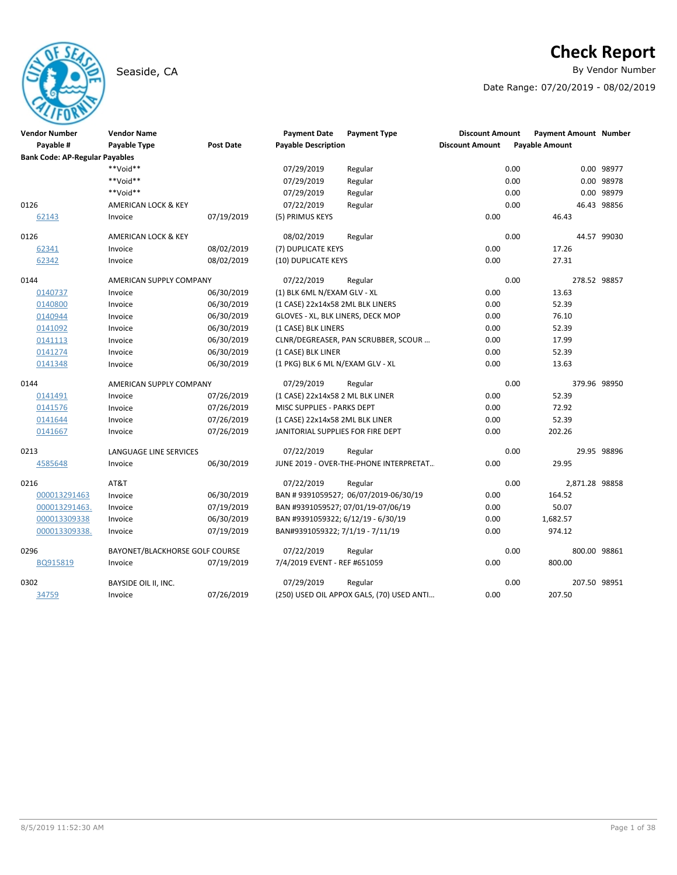# Seaside, CA By Vendor Number and Seaside, CA By Vendor Number and Seaside, CA By Vendor Number and Seaside and S

# **Check Report**

Date Range: 07/20/2019 - 08/02/2019

| <b>Vendor Number</b>                  | <b>Vendor Name</b>             |                  | <b>Payment Date</b>                | <b>Payment Type</b>                       | <b>Discount Amount</b> | <b>Payment Amount Number</b> |                |
|---------------------------------------|--------------------------------|------------------|------------------------------------|-------------------------------------------|------------------------|------------------------------|----------------|
| Payable #                             | Payable Type                   | <b>Post Date</b> | <b>Payable Description</b>         |                                           | <b>Discount Amount</b> | <b>Payable Amount</b>        |                |
| <b>Bank Code: AP-Regular Payables</b> |                                |                  |                                    |                                           |                        |                              |                |
|                                       | **Void**                       |                  | 07/29/2019                         | Regular                                   |                        | 0.00                         | 0.00 98977     |
|                                       | **Void**                       |                  | 07/29/2019                         | Regular                                   |                        | 0.00                         | 0.00 98978     |
|                                       | **Void**                       |                  | 07/29/2019                         | Regular                                   |                        | 0.00                         | 0.00 98979     |
| 0126                                  | AMERICAN LOCK & KEY            |                  | 07/22/2019                         | Regular                                   |                        | 0.00                         | 46.43 98856    |
| 62143                                 | Invoice                        | 07/19/2019       | (5) PRIMUS KEYS                    |                                           | 0.00                   | 46.43                        |                |
| 0126                                  | AMERICAN LOCK & KEY            |                  | 08/02/2019                         | Regular                                   |                        | 0.00                         | 44.57 99030    |
| 62341                                 | Invoice                        | 08/02/2019       | (7) DUPLICATE KEYS                 |                                           | 0.00                   | 17.26                        |                |
| 62342                                 | Invoice                        | 08/02/2019       | (10) DUPLICATE KEYS                |                                           | 0.00                   | 27.31                        |                |
| 0144                                  | AMERICAN SUPPLY COMPANY        |                  | 07/22/2019                         | Regular                                   |                        | 0.00                         | 278.52 98857   |
| 0140737                               | Invoice                        | 06/30/2019       | (1) BLK 6ML N/EXAM GLV - XL        |                                           | 0.00                   | 13.63                        |                |
| 0140800                               | Invoice                        | 06/30/2019       | (1 CASE) 22x14x58 2ML BLK LINERS   |                                           | 0.00                   | 52.39                        |                |
| 0140944                               | Invoice                        | 06/30/2019       | GLOVES - XL, BLK LINERS, DECK MOP  |                                           | 0.00                   | 76.10                        |                |
| 0141092                               | Invoice                        | 06/30/2019       | (1 CASE) BLK LINERS                |                                           | 0.00                   | 52.39                        |                |
| 0141113                               | Invoice                        | 06/30/2019       |                                    | CLNR/DEGREASER, PAN SCRUBBER, SCOUR       | 0.00                   | 17.99                        |                |
| 0141274                               | Invoice                        | 06/30/2019       | (1 CASE) BLK LINER                 |                                           | 0.00                   | 52.39                        |                |
| 0141348                               | Invoice                        | 06/30/2019       | (1 PKG) BLK 6 ML N/EXAM GLV - XL   |                                           | 0.00                   | 13.63                        |                |
| 0144                                  | <b>AMERICAN SUPPLY COMPANY</b> |                  | 07/29/2019                         | Regular                                   |                        | 0.00                         | 379.96 98950   |
| 0141491                               | Invoice                        | 07/26/2019       | (1 CASE) 22x14x58 2 ML BLK LINER   |                                           | 0.00                   | 52.39                        |                |
| 0141576                               | Invoice                        | 07/26/2019       | MISC SUPPLIES - PARKS DEPT         |                                           | 0.00                   | 72.92                        |                |
| 0141644                               | Invoice                        | 07/26/2019       | (1 CASE) 22x14x58 2ML BLK LINER    |                                           | 0.00                   | 52.39                        |                |
| 0141667                               | Invoice                        | 07/26/2019       | JANITORIAL SUPPLIES FOR FIRE DEPT  |                                           | 0.00                   | 202.26                       |                |
| 0213                                  | <b>LANGUAGE LINE SERVICES</b>  |                  | 07/22/2019                         | Regular                                   |                        | 0.00                         | 29.95 98896    |
| 4585648                               | Invoice                        | 06/30/2019       |                                    | JUNE 2019 - OVER-THE-PHONE INTERPRETAT    | 0.00                   | 29.95                        |                |
| 0216                                  | AT&T                           |                  | 07/22/2019                         | Regular                                   |                        | 0.00                         | 2,871.28 98858 |
| 000013291463                          | Invoice                        | 06/30/2019       |                                    | BAN # 9391059527; 06/07/2019-06/30/19     | 0.00                   | 164.52                       |                |
| 000013291463.                         | Invoice                        | 07/19/2019       | BAN #9391059527; 07/01/19-07/06/19 |                                           | 0.00                   | 50.07                        |                |
| 000013309338                          | Invoice                        | 06/30/2019       | BAN #9391059322; 6/12/19 - 6/30/19 |                                           | 0.00                   | 1,682.57                     |                |
| 000013309338.                         | Invoice                        | 07/19/2019       | BAN#9391059322; 7/1/19 - 7/11/19   |                                           | 0.00                   | 974.12                       |                |
| 0296                                  | BAYONET/BLACKHORSE GOLF COURSE |                  | 07/22/2019                         | Regular                                   |                        | 0.00                         | 800.00 98861   |
| BQ915819                              | Invoice                        | 07/19/2019       | 7/4/2019 EVENT - REF #651059       |                                           | 0.00                   | 800.00                       |                |
| 0302                                  | BAYSIDE OIL II, INC.           |                  | 07/29/2019                         | Regular                                   |                        | 0.00                         | 207.50 98951   |
| 34759                                 | Invoice                        | 07/26/2019       |                                    | (250) USED OIL APPOX GALS, (70) USED ANTI | 0.00                   | 207.50                       |                |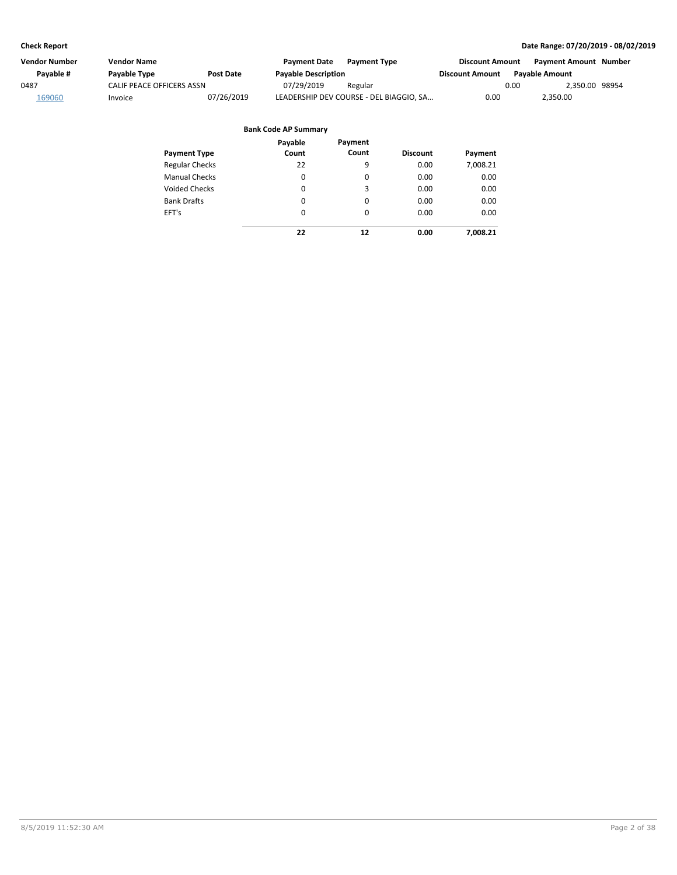| Vendor Number | <b>Vendor Name</b>        |            | <b>Payment Date</b>        | <b>Payment Type</b>                     | <b>Discount Amount</b> | Payment Amount Number  |  |
|---------------|---------------------------|------------|----------------------------|-----------------------------------------|------------------------|------------------------|--|
| Pavable #     | Payable Type              | Post Date  | <b>Payable Description</b> |                                         | <b>Discount Amount</b> | <b>Pavable Amount</b>  |  |
| 0487          | CALIF PEACE OFFICERS ASSN |            | 07/29/2019                 | Regular                                 |                        | 2.350.00 98954<br>0.00 |  |
| 169060        | Invoice                   | 07/26/2019 |                            | LEADERSHIP DEV COURSE - DEL BIAGGIO, SA | 0.00                   | 2.350.00               |  |

| <b>Payment Type</b>   | Payable<br>Count | Payment<br>Count | <b>Discount</b> | Payment  |
|-----------------------|------------------|------------------|-----------------|----------|
| <b>Regular Checks</b> | 22               | 9                | 0.00            | 7,008.21 |
| <b>Manual Checks</b>  | 0                | 0                | 0.00            | 0.00     |
| <b>Voided Checks</b>  | 0                | 3                | 0.00            | 0.00     |
| <b>Bank Drafts</b>    | $\Omega$         | 0                | 0.00            | 0.00     |
| EFT's                 | $\Omega$         | 0                | 0.00            | 0.00     |
|                       | 22               | 12               | 0.00            | 7,008.21 |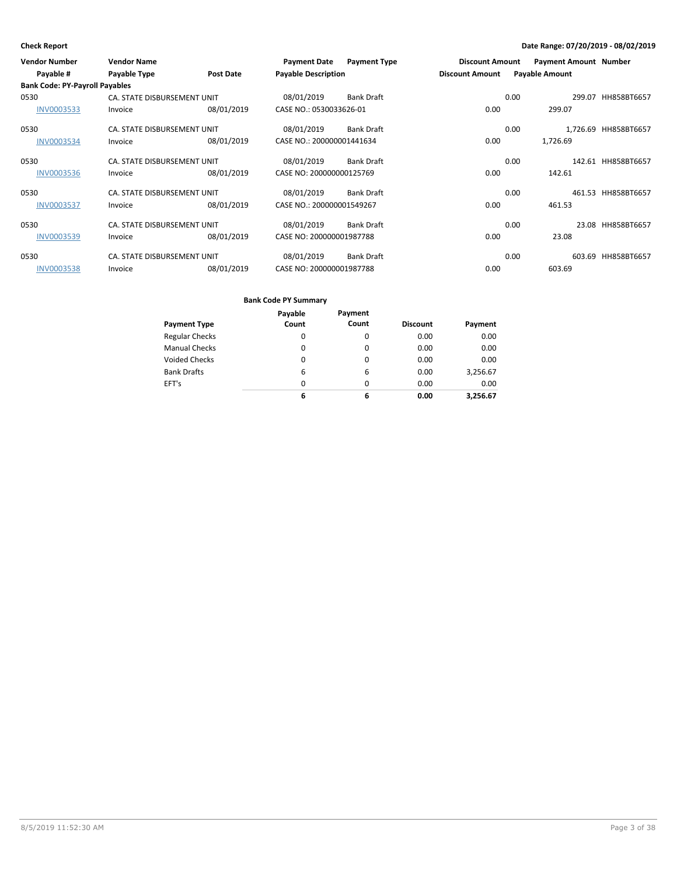| <b>Vendor Number</b><br>Payable #     | <b>Vendor Name</b><br>Payable Type | Post Date  | <b>Payment Date</b><br><b>Payable Description</b> | <b>Payment Type</b> | <b>Discount Amount</b><br><b>Discount Amount</b> |      | <b>Payment Amount Number</b><br><b>Payable Amount</b> |                      |
|---------------------------------------|------------------------------------|------------|---------------------------------------------------|---------------------|--------------------------------------------------|------|-------------------------------------------------------|----------------------|
| <b>Bank Code: PY-Payroll Payables</b> |                                    |            |                                                   |                     |                                                  |      |                                                       |                      |
| 0530                                  | CA. STATE DISBURSEMENT UNIT        |            | 08/01/2019                                        | <b>Bank Draft</b>   |                                                  | 0.00 |                                                       | 299.07 HH858BT6657   |
| <b>INV0003533</b>                     | Invoice                            | 08/01/2019 | CASE NO.: 0530033626-01                           |                     | 0.00                                             |      | 299.07                                                |                      |
| 0530                                  | CA. STATE DISBURSEMENT UNIT        |            | 08/01/2019                                        | <b>Bank Draft</b>   |                                                  | 0.00 |                                                       | 1.726.69 HH858BT6657 |
| <b>INV0003534</b>                     | Invoice                            | 08/01/2019 | CASE NO.: 200000001441634                         |                     | 0.00                                             |      | 1,726.69                                              |                      |
| 0530                                  | CA. STATE DISBURSEMENT UNIT        |            | 08/01/2019                                        | <b>Bank Draft</b>   |                                                  | 0.00 |                                                       | 142.61 HH858BT6657   |
| <b>INV0003536</b>                     | Invoice                            | 08/01/2019 | CASE NO: 200000000125769                          |                     | 0.00                                             |      | 142.61                                                |                      |
| 0530                                  | CA. STATE DISBURSEMENT UNIT        |            | 08/01/2019                                        | <b>Bank Draft</b>   |                                                  | 0.00 |                                                       | 461.53 HH858BT6657   |
| <b>INV0003537</b>                     | Invoice                            | 08/01/2019 | CASE NO.: 200000001549267                         |                     | 0.00                                             |      | 461.53                                                |                      |
| 0530                                  | CA. STATE DISBURSEMENT UNIT        |            | 08/01/2019                                        | <b>Bank Draft</b>   |                                                  | 0.00 |                                                       | 23.08 HH858BT6657    |
| <b>INV0003539</b>                     | Invoice                            | 08/01/2019 | CASE NO: 200000001987788                          |                     | 0.00                                             |      | 23.08                                                 |                      |
| 0530                                  | CA. STATE DISBURSEMENT UNIT        |            | 08/01/2019                                        | <b>Bank Draft</b>   |                                                  | 0.00 |                                                       | 603.69 HH858BT6657   |
| <b>INV0003538</b>                     | Invoice                            | 08/01/2019 | CASE NO: 200000001987788                          |                     | 0.00                                             |      | 603.69                                                |                      |

|                       | Payable  | Payment  |                 |          |
|-----------------------|----------|----------|-----------------|----------|
| <b>Payment Type</b>   | Count    | Count    | <b>Discount</b> | Payment  |
| <b>Regular Checks</b> | 0        | 0        | 0.00            | 0.00     |
| <b>Manual Checks</b>  | $\Omega$ | $\Omega$ | 0.00            | 0.00     |
| <b>Voided Checks</b>  | 0        | $\Omega$ | 0.00            | 0.00     |
| <b>Bank Drafts</b>    | 6        | 6        | 0.00            | 3,256.67 |
| EFT's                 | $\Omega$ | $\Omega$ | 0.00            | 0.00     |
|                       | 6        | 6        | 0.00            | 3.256.67 |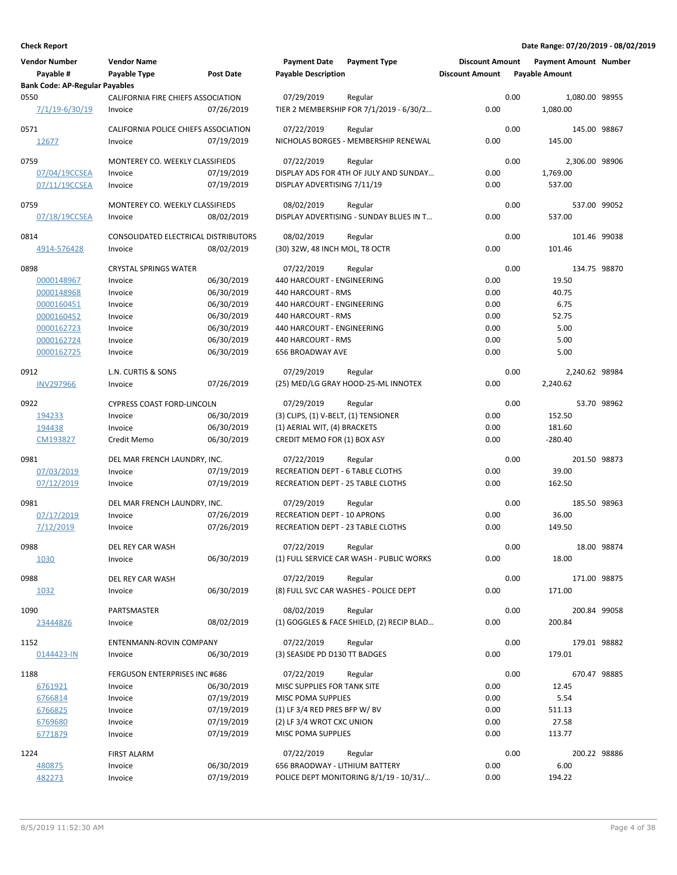| <b>Vendor Number</b><br>Payable #     | <b>Vendor Name</b><br>Payable Type         | Post Date  | <b>Payment Date</b><br><b>Payable Description</b> | <b>Payment Type</b>                                | <b>Discount Amount</b><br><b>Discount Amount</b> |      | <b>Payment Amount Number</b><br><b>Payable Amount</b> |             |
|---------------------------------------|--------------------------------------------|------------|---------------------------------------------------|----------------------------------------------------|--------------------------------------------------|------|-------------------------------------------------------|-------------|
| <b>Bank Code: AP-Regular Payables</b> |                                            |            |                                                   |                                                    |                                                  |      |                                                       |             |
| 0550                                  | CALIFORNIA FIRE CHIEFS ASSOCIATION         |            | 07/29/2019                                        | Regular                                            |                                                  | 0.00 | 1,080.00 98955                                        |             |
| 7/1/19-6/30/19                        | Invoice                                    | 07/26/2019 |                                                   | TIER 2 MEMBERSHIP FOR 7/1/2019 - 6/30/2            | 0.00                                             |      | 1,080.00                                              |             |
| 0571                                  | CALIFORNIA POLICE CHIEFS ASSOCIATION       |            | 07/22/2019                                        | Regular                                            |                                                  | 0.00 | 145.00 98867                                          |             |
| 12677                                 | Invoice                                    | 07/19/2019 |                                                   | NICHOLAS BORGES - MEMBERSHIP RENEWAL               | 0.00                                             |      | 145.00                                                |             |
| 0759                                  | MONTEREY CO. WEEKLY CLASSIFIEDS            |            | 07/22/2019                                        | Regular                                            |                                                  | 0.00 | 2,306.00 98906                                        |             |
| 07/04/19CCSEA                         | Invoice                                    | 07/19/2019 |                                                   | DISPLAY ADS FOR 4TH OF JULY AND SUNDAY             | 0.00                                             |      | 1,769.00                                              |             |
| 07/11/19CCSEA                         | Invoice                                    | 07/19/2019 | DISPLAY ADVERTISING 7/11/19                       |                                                    | 0.00                                             |      | 537.00                                                |             |
|                                       |                                            |            |                                                   |                                                    |                                                  |      |                                                       |             |
| 0759<br>07/18/19CCSEA                 | MONTEREY CO. WEEKLY CLASSIFIEDS<br>Invoice | 08/02/2019 | 08/02/2019                                        | Regular<br>DISPLAY ADVERTISING - SUNDAY BLUES IN T | 0.00                                             | 0.00 | 537.00 99052<br>537.00                                |             |
|                                       |                                            |            |                                                   |                                                    |                                                  |      |                                                       |             |
| 0814                                  | CONSOLIDATED ELECTRICAL DISTRIBUTORS       |            | 08/02/2019                                        | Regular                                            |                                                  | 0.00 | 101.46 99038                                          |             |
| 4914-576428                           | Invoice                                    | 08/02/2019 | (30) 32W, 48 INCH MOL, T8 OCTR                    |                                                    | 0.00                                             |      | 101.46                                                |             |
| 0898                                  | <b>CRYSTAL SPRINGS WATER</b>               |            | 07/22/2019                                        | Regular                                            |                                                  | 0.00 | 134.75 98870                                          |             |
| 0000148967                            | Invoice                                    | 06/30/2019 | 440 HARCOURT - ENGINEERING                        |                                                    | 0.00                                             |      | 19.50                                                 |             |
| 0000148968                            | Invoice                                    | 06/30/2019 | 440 HARCOURT - RMS                                |                                                    | 0.00                                             |      | 40.75                                                 |             |
| 0000160451                            | Invoice                                    | 06/30/2019 | 440 HARCOURT - ENGINEERING                        |                                                    | 0.00                                             |      | 6.75                                                  |             |
| 0000160452                            | Invoice                                    | 06/30/2019 | 440 HARCOURT - RMS                                |                                                    | 0.00                                             |      | 52.75                                                 |             |
| 0000162723                            | Invoice                                    | 06/30/2019 | 440 HARCOURT - ENGINEERING                        |                                                    | 0.00                                             |      | 5.00                                                  |             |
| 0000162724                            | Invoice                                    | 06/30/2019 | 440 HARCOURT - RMS                                |                                                    | 0.00                                             |      | 5.00                                                  |             |
| 0000162725                            | Invoice                                    | 06/30/2019 | 656 BROADWAY AVE                                  |                                                    | 0.00                                             |      | 5.00                                                  |             |
| 0912                                  | L.N. CURTIS & SONS                         |            | 07/29/2019                                        | Regular                                            |                                                  | 0.00 | 2,240.62 98984                                        |             |
| <b>INV297966</b>                      | Invoice                                    | 07/26/2019 |                                                   | (25) MED/LG GRAY HOOD-25-ML INNOTEX                | 0.00                                             |      | 2,240.62                                              |             |
|                                       |                                            |            |                                                   |                                                    |                                                  |      |                                                       |             |
| 0922                                  | <b>CYPRESS COAST FORD-LINCOLN</b>          |            | 07/29/2019                                        | Regular                                            |                                                  | 0.00 |                                                       | 53.70 98962 |
| 194233                                | Invoice                                    | 06/30/2019 | (3) CLIPS, (1) V-BELT, (1) TENSIONER              |                                                    | 0.00                                             |      | 152.50                                                |             |
| 194438                                | Invoice                                    | 06/30/2019 | (1) AERIAL WIT, (4) BRACKETS                      |                                                    | 0.00                                             |      | 181.60                                                |             |
| CM193827                              | Credit Memo                                | 06/30/2019 | CREDIT MEMO FOR (1) BOX ASY                       |                                                    | 0.00                                             |      | $-280.40$                                             |             |
| 0981                                  | DEL MAR FRENCH LAUNDRY, INC.               |            | 07/22/2019                                        | Regular                                            |                                                  | 0.00 | 201.50 98873                                          |             |
| 07/03/2019                            | Invoice                                    | 07/19/2019 | RECREATION DEPT - 6 TABLE CLOTHS                  |                                                    | 0.00                                             |      | 39.00                                                 |             |
| 07/12/2019                            | Invoice                                    | 07/19/2019 | RECREATION DEPT - 25 TABLE CLOTHS                 |                                                    | 0.00                                             |      | 162.50                                                |             |
| 0981                                  | DEL MAR FRENCH LAUNDRY, INC.               |            | 07/29/2019                                        | Regular                                            |                                                  | 0.00 | 185.50 98963                                          |             |
| 07/17/2019                            | Invoice                                    | 07/26/2019 | <b>RECREATION DEPT - 10 APRONS</b>                |                                                    | 0.00                                             |      | 36.00                                                 |             |
| 7/12/2019                             | Invoice                                    | 07/26/2019 | RECREATION DEPT - 23 TABLE CLOTHS                 |                                                    | 0.00                                             |      | 149.50                                                |             |
|                                       |                                            |            |                                                   |                                                    |                                                  |      |                                                       |             |
| 0988                                  | DEL REY CAR WASH                           |            | 07/22/2019                                        | Regular                                            |                                                  | 0.00 |                                                       | 18.00 98874 |
| 1030                                  | Invoice                                    | 06/30/2019 |                                                   | (1) FULL SERVICE CAR WASH - PUBLIC WORKS           | 0.00                                             |      | 18.00                                                 |             |
| 0988                                  | DEL REY CAR WASH                           |            | 07/22/2019                                        | Regular                                            |                                                  | 0.00 | 171.00 98875                                          |             |
| 1032                                  | Invoice                                    | 06/30/2019 |                                                   | (8) FULL SVC CAR WASHES - POLICE DEPT              | 0.00                                             |      | 171.00                                                |             |
| 1090                                  | PARTSMASTER                                |            | 08/02/2019                                        | Regular                                            |                                                  | 0.00 | 200.84 99058                                          |             |
| 23444826                              | Invoice                                    | 08/02/2019 |                                                   | (1) GOGGLES & FACE SHIELD, (2) RECIP BLAD          | 0.00                                             |      | 200.84                                                |             |
|                                       |                                            |            |                                                   |                                                    |                                                  |      |                                                       |             |
| 1152                                  | ENTENMANN-ROVIN COMPANY                    |            | 07/22/2019                                        | Regular                                            |                                                  | 0.00 | 179.01 98882                                          |             |
| 0144423-IN                            | Invoice                                    | 06/30/2019 | (3) SEASIDE PD D130 TT BADGES                     |                                                    | 0.00                                             |      | 179.01                                                |             |
| 1188                                  | FERGUSON ENTERPRISES INC #686              |            | 07/22/2019                                        | Regular                                            |                                                  | 0.00 | 670.47 98885                                          |             |
| 6761921                               | Invoice                                    | 06/30/2019 | MISC SUPPLIES FOR TANK SITE                       |                                                    | 0.00                                             |      | 12.45                                                 |             |
| 6766814                               | Invoice                                    | 07/19/2019 | MISC POMA SUPPLIES                                |                                                    | 0.00                                             |      | 5.54                                                  |             |
| 6766825                               | Invoice                                    | 07/19/2019 | $(1)$ LF 3/4 RED PRES BFP W/BV                    |                                                    | 0.00                                             |      | 511.13                                                |             |
| 6769680                               | Invoice                                    | 07/19/2019 | (2) LF 3/4 WROT CXC UNION                         |                                                    | 0.00                                             |      | 27.58                                                 |             |
| 6771879                               | Invoice                                    | 07/19/2019 | MISC POMA SUPPLIES                                |                                                    | 0.00                                             |      | 113.77                                                |             |
|                                       |                                            |            |                                                   |                                                    |                                                  |      |                                                       |             |
| 1224                                  | <b>FIRST ALARM</b>                         |            | 07/22/2019                                        | Regular                                            |                                                  | 0.00 | 200.22 98886                                          |             |
| 480875                                | Invoice                                    | 06/30/2019 | 656 BRAODWAY - LITHIUM BATTERY                    |                                                    | 0.00                                             |      | 6.00                                                  |             |
| 482273                                | Invoice                                    | 07/19/2019 |                                                   | POLICE DEPT MONITORING 8/1/19 - 10/31/             | 0.00                                             |      | 194.22                                                |             |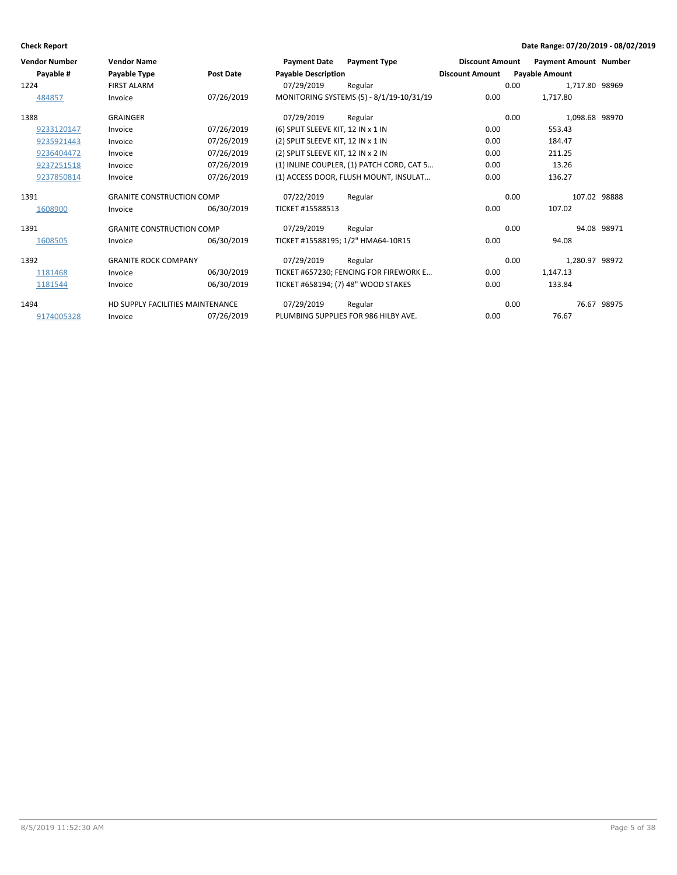| <b>Vendor Number</b> | <b>Vendor Name</b>               |                  | <b>Payment Date</b>                | <b>Payment Type</b>                       | <b>Discount Amount</b> |                       | <b>Payment Amount Number</b> |             |
|----------------------|----------------------------------|------------------|------------------------------------|-------------------------------------------|------------------------|-----------------------|------------------------------|-------------|
| Payable #            | Payable Type                     | <b>Post Date</b> | <b>Payable Description</b>         |                                           | <b>Discount Amount</b> | <b>Payable Amount</b> |                              |             |
| 1224                 | <b>FIRST ALARM</b>               |                  | 07/29/2019                         | Regular                                   |                        | 0.00                  | 1,717.80 98969               |             |
| 484857               | Invoice                          | 07/26/2019       |                                    | MONITORING SYSTEMS (5) - 8/1/19-10/31/19  | 0.00                   | 1.717.80              |                              |             |
| 1388                 | <b>GRAINGER</b>                  |                  | 07/29/2019                         | Regular                                   |                        | 0.00                  | 1,098.68 98970               |             |
| 9233120147           | Invoice                          | 07/26/2019       | (6) SPLIT SLEEVE KIT, 12 IN x 1 IN |                                           | 0.00                   | 553.43                |                              |             |
| 9235921443           | Invoice                          | 07/26/2019       | (2) SPLIT SLEEVE KIT, 12 IN x 1 IN |                                           | 0.00                   | 184.47                |                              |             |
| 9236404472           | Invoice                          | 07/26/2019       | (2) SPLIT SLEEVE KIT, 12 IN x 2 IN |                                           | 0.00                   | 211.25                |                              |             |
| 9237251518           | Invoice                          | 07/26/2019       |                                    | (1) INLINE COUPLER, (1) PATCH CORD, CAT 5 | 0.00                   |                       | 13.26                        |             |
| 9237850814           | Invoice                          | 07/26/2019       |                                    | (1) ACCESS DOOR, FLUSH MOUNT, INSULAT     | 0.00                   | 136.27                |                              |             |
| 1391                 | <b>GRANITE CONSTRUCTION COMP</b> |                  | 07/22/2019                         | Regular                                   |                        | 0.00                  | 107.02 98888                 |             |
| 1608900              | Invoice                          | 06/30/2019       | TICKET #15588513                   |                                           | 0.00                   | 107.02                |                              |             |
| 1391                 | <b>GRANITE CONSTRUCTION COMP</b> |                  | 07/29/2019                         | Regular                                   |                        | 0.00                  |                              | 94.08 98971 |
| 1608505              | Invoice                          | 06/30/2019       |                                    | TICKET #15588195; 1/2" HMA64-10R15        | 0.00                   |                       | 94.08                        |             |
| 1392                 | <b>GRANITE ROCK COMPANY</b>      |                  | 07/29/2019                         | Regular                                   |                        | 0.00                  | 1,280.97 98972               |             |
| 1181468              | Invoice                          | 06/30/2019       |                                    | TICKET #657230; FENCING FOR FIREWORK E    | 0.00                   | 1,147.13              |                              |             |
| 1181544              | Invoice                          | 06/30/2019       |                                    | TICKET #658194; (7) 48" WOOD STAKES       | 0.00                   | 133.84                |                              |             |
| 1494                 | HD SUPPLY FACILITIES MAINTENANCE |                  | 07/29/2019                         | Regular                                   |                        | 0.00                  | 76.67                        | 98975       |
| 9174005328           | Invoice                          | 07/26/2019       |                                    | PLUMBING SUPPLIES FOR 986 HILBY AVE.      | 0.00                   |                       | 76.67                        |             |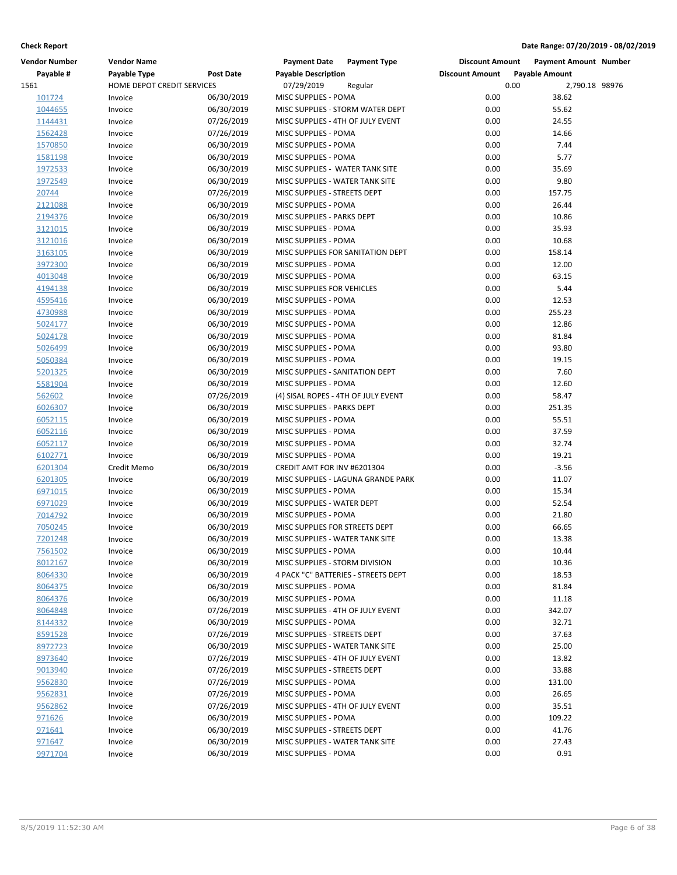| <b>Vendor Number</b> | <b>Vendor Name</b>         |            | <b>Payment Date</b><br><b>Payment Type</b> | <b>Discount Amount</b> | <b>Payment Amount Number</b> |  |
|----------------------|----------------------------|------------|--------------------------------------------|------------------------|------------------------------|--|
| Payable #            | Payable Type               | Post Date  | <b>Payable Description</b>                 | <b>Discount Amount</b> | <b>Payable Amount</b>        |  |
| 1561                 | HOME DEPOT CREDIT SERVICES |            | 07/29/2019<br>Regular                      | 0.00                   | 2,790.18 98976               |  |
| 101724               | Invoice                    | 06/30/2019 | MISC SUPPLIES - POMA                       | 0.00                   | 38.62                        |  |
| 1044655              | Invoice                    | 06/30/2019 | MISC SUPPLIES - STORM WATER DEPT           | 0.00                   | 55.62                        |  |
| 1144431              | Invoice                    | 07/26/2019 | MISC SUPPLIES - 4TH OF JULY EVENT          | 0.00                   | 24.55                        |  |
| 1562428              | Invoice                    | 07/26/2019 | MISC SUPPLIES - POMA                       | 0.00                   | 14.66                        |  |
| 1570850              | Invoice                    | 06/30/2019 | MISC SUPPLIES - POMA                       | 0.00                   | 7.44                         |  |
| 1581198              | Invoice                    | 06/30/2019 | MISC SUPPLIES - POMA                       | 0.00                   | 5.77                         |  |
| 1972533              | Invoice                    | 06/30/2019 | MISC SUPPLIES - WATER TANK SITE            | 0.00                   | 35.69                        |  |
| 1972549              | Invoice                    | 06/30/2019 | MISC SUPPLIES - WATER TANK SITE            | 0.00                   | 9.80                         |  |
| 20744                | Invoice                    | 07/26/2019 | MISC SUPPLIES - STREETS DEPT               | 0.00                   | 157.75                       |  |
| 2121088              | Invoice                    | 06/30/2019 | MISC SUPPLIES - POMA                       | 0.00                   | 26.44                        |  |
| 2194376              | Invoice                    | 06/30/2019 | MISC SUPPLIES - PARKS DEPT                 | 0.00                   | 10.86                        |  |
| 3121015              | Invoice                    | 06/30/2019 | MISC SUPPLIES - POMA                       | 0.00                   | 35.93                        |  |
| 3121016              | Invoice                    | 06/30/2019 | MISC SUPPLIES - POMA                       | 0.00                   | 10.68                        |  |
| 3163105              | Invoice                    | 06/30/2019 | MISC SUPPLIES FOR SANITATION DEPT          | 0.00                   | 158.14                       |  |
| 3972300              | Invoice                    | 06/30/2019 | MISC SUPPLIES - POMA                       | 0.00                   | 12.00                        |  |
| 4013048              | Invoice                    | 06/30/2019 | MISC SUPPLIES - POMA                       | 0.00                   | 63.15                        |  |
| 4194138              | Invoice                    | 06/30/2019 | MISC SUPPLIES FOR VEHICLES                 | 0.00                   | 5.44                         |  |
| 4595416              | Invoice                    | 06/30/2019 | MISC SUPPLIES - POMA                       | 0.00                   | 12.53                        |  |
| 4730988              | Invoice                    | 06/30/2019 | MISC SUPPLIES - POMA                       | 0.00                   | 255.23                       |  |
| 5024177              | Invoice                    | 06/30/2019 | MISC SUPPLIES - POMA                       | 0.00                   | 12.86                        |  |
| 5024178              | Invoice                    | 06/30/2019 | MISC SUPPLIES - POMA                       | 0.00                   | 81.84                        |  |
| 5026499              | Invoice                    | 06/30/2019 | MISC SUPPLIES - POMA                       | 0.00                   | 93.80                        |  |
| 5050384              | Invoice                    | 06/30/2019 | MISC SUPPLIES - POMA                       | 0.00                   | 19.15                        |  |
|                      |                            |            |                                            |                        |                              |  |
| 5201325              | Invoice                    | 06/30/2019 | MISC SUPPLIES - SANITATION DEPT            | 0.00                   | 7.60                         |  |
| 5581904              | Invoice                    | 06/30/2019 | MISC SUPPLIES - POMA                       | 0.00                   | 12.60                        |  |
| 562602               | Invoice                    | 07/26/2019 | (4) SISAL ROPES - 4TH OF JULY EVENT        | 0.00                   | 58.47                        |  |
| 6026307              | Invoice                    | 06/30/2019 | MISC SUPPLIES - PARKS DEPT                 | 0.00                   | 251.35                       |  |
| 6052115              | Invoice                    | 06/30/2019 | MISC SUPPLIES - POMA                       | 0.00                   | 55.51                        |  |
| 6052116              | Invoice                    | 06/30/2019 | MISC SUPPLIES - POMA                       | 0.00                   | 37.59                        |  |
| 6052117              | Invoice                    | 06/30/2019 | MISC SUPPLIES - POMA                       | 0.00                   | 32.74                        |  |
| 6102771              | Invoice                    | 06/30/2019 | MISC SUPPLIES - POMA                       | 0.00                   | 19.21                        |  |
| 6201304              | Credit Memo                | 06/30/2019 | CREDIT AMT FOR INV #6201304                | 0.00                   | $-3.56$                      |  |
| 6201305              | Invoice                    | 06/30/2019 | MISC SUPPLIES - LAGUNA GRANDE PARK         | 0.00                   | 11.07                        |  |
| 6971015              | Invoice                    | 06/30/2019 | MISC SUPPLIES - POMA                       | 0.00                   | 15.34                        |  |
| 6971029              | Invoice                    | 06/30/2019 | MISC SUPPLIES - WATER DEPT                 | 0.00                   | 52.54                        |  |
| 7014792              | Invoice                    | 06/30/2019 | MISC SUPPLIES - POMA                       | 0.00                   | 21.80                        |  |
| 7050245              | Invoice                    | 06/30/2019 | MISC SUPPLIES FOR STREETS DEPT             | 0.00                   | 66.65                        |  |
| 7201248              | Invoice                    | 06/30/2019 | MISC SUPPLIES - WATER TANK SITE            | 0.00                   | 13.38                        |  |
| 7561502              | Invoice                    | 06/30/2019 | MISC SUPPLIES - POMA                       | 0.00                   | 10.44                        |  |
| 8012167              | Invoice                    | 06/30/2019 | MISC SUPPLIES - STORM DIVISION             | 0.00                   | 10.36                        |  |
| 8064330              | Invoice                    | 06/30/2019 | 4 PACK "C" BATTERIES - STREETS DEPT        | 0.00                   | 18.53                        |  |
| 8064375              | Invoice                    | 06/30/2019 | MISC SUPPLIES - POMA                       | 0.00                   | 81.84                        |  |
| 8064376              | Invoice                    | 06/30/2019 | MISC SUPPLIES - POMA                       | 0.00                   | 11.18                        |  |
| 8064848              | Invoice                    | 07/26/2019 | MISC SUPPLIES - 4TH OF JULY EVENT          | 0.00                   | 342.07                       |  |
| 8144332              | Invoice                    | 06/30/2019 | MISC SUPPLIES - POMA                       | 0.00                   | 32.71                        |  |
| 8591528              | Invoice                    | 07/26/2019 | MISC SUPPLIES - STREETS DEPT               | 0.00                   | 37.63                        |  |
| 8972723              | Invoice                    | 06/30/2019 | MISC SUPPLIES - WATER TANK SITE            | 0.00                   | 25.00                        |  |
| 8973640              | Invoice                    | 07/26/2019 | MISC SUPPLIES - 4TH OF JULY EVENT          | 0.00                   | 13.82                        |  |
| 9013940              | Invoice                    | 07/26/2019 | MISC SUPPLIES - STREETS DEPT               | 0.00                   | 33.88                        |  |
| 9562830              | Invoice                    | 07/26/2019 | MISC SUPPLIES - POMA                       | 0.00                   | 131.00                       |  |
| 9562831              | Invoice                    | 07/26/2019 | MISC SUPPLIES - POMA                       | 0.00                   | 26.65                        |  |
| 9562862              | Invoice                    | 07/26/2019 | MISC SUPPLIES - 4TH OF JULY EVENT          | 0.00                   | 35.51                        |  |
| 971626               | Invoice                    | 06/30/2019 | MISC SUPPLIES - POMA                       | 0.00                   | 109.22                       |  |
| 971641               | Invoice                    | 06/30/2019 | MISC SUPPLIES - STREETS DEPT               | 0.00                   | 41.76                        |  |
| 971647               | Invoice                    | 06/30/2019 | MISC SUPPLIES - WATER TANK SITE            | 0.00                   | 27.43                        |  |
| 9971704              | Invoice                    | 06/30/2019 | MISC SUPPLIES - POMA                       | 0.00                   | 0.91                         |  |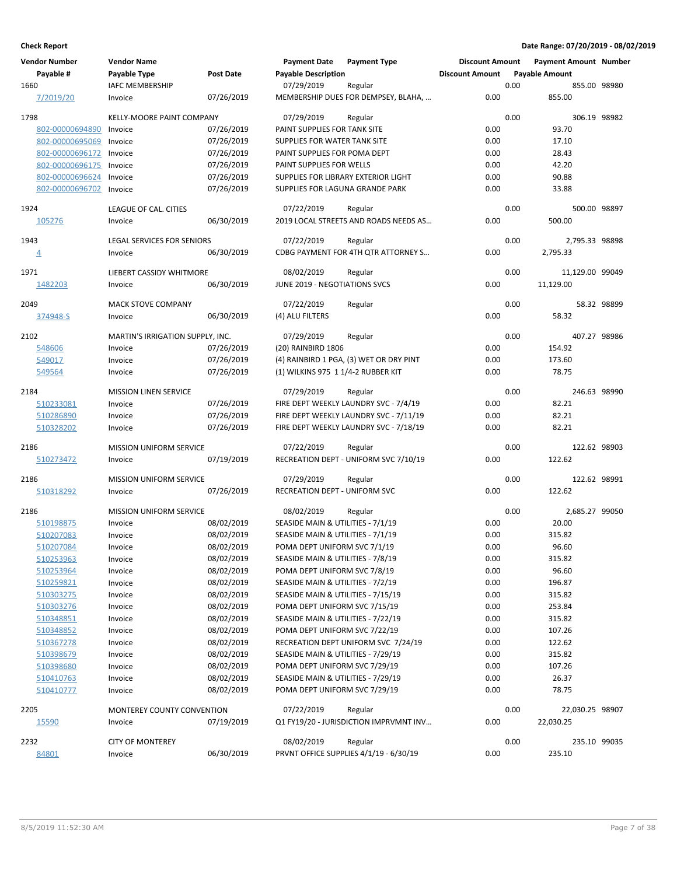| <b>Vendor Number</b> | <b>Vendor Name</b>                |                  | <b>Payment Date</b>                  | <b>Payment Type</b>                     | <b>Discount Amount</b> |      | <b>Payment Amount Number</b> |             |
|----------------------|-----------------------------------|------------------|--------------------------------------|-----------------------------------------|------------------------|------|------------------------------|-------------|
| Payable #            | Payable Type                      | <b>Post Date</b> | <b>Payable Description</b>           |                                         | <b>Discount Amount</b> |      | <b>Payable Amount</b>        |             |
| 1660                 | <b>IAFC MEMBERSHIP</b>            |                  | 07/29/2019                           | Regular                                 |                        | 0.00 | 855.00 98980                 |             |
| 7/2019/20            | Invoice                           | 07/26/2019       |                                      | MEMBERSHIP DUES FOR DEMPSEY, BLAHA,     | 0.00                   |      | 855.00                       |             |
| 1798                 | KELLY-MOORE PAINT COMPANY         |                  | 07/29/2019                           | Regular                                 |                        | 0.00 | 306.19 98982                 |             |
| 802-00000694890      | Invoice                           | 07/26/2019       | PAINT SUPPLIES FOR TANK SITE         |                                         | 0.00                   |      | 93.70                        |             |
| 802-00000695069      | Invoice                           | 07/26/2019       | SUPPLIES FOR WATER TANK SITE         |                                         | 0.00                   |      | 17.10                        |             |
| 802-00000696172      | Invoice                           | 07/26/2019       | PAINT SUPPLIES FOR POMA DEPT         |                                         | 0.00                   |      | 28.43                        |             |
| 802-00000696175      | Invoice                           | 07/26/2019       | PAINT SUPPLIES FOR WELLS             |                                         | 0.00                   |      | 42.20                        |             |
| 802-00000696624      | Invoice                           | 07/26/2019       |                                      | SUPPLIES FOR LIBRARY EXTERIOR LIGHT     | 0.00                   |      | 90.88                        |             |
| 802-00000696702      | Invoice                           | 07/26/2019       | SUPPLIES FOR LAGUNA GRANDE PARK      |                                         | 0.00                   |      | 33.88                        |             |
| 1924                 | LEAGUE OF CAL. CITIES             |                  | 07/22/2019                           | Regular                                 |                        | 0.00 | 500.00 98897                 |             |
| 105276               | Invoice                           | 06/30/2019       |                                      | 2019 LOCAL STREETS AND ROADS NEEDS AS   | 0.00                   |      | 500.00                       |             |
| 1943                 | <b>LEGAL SERVICES FOR SENIORS</b> |                  | 07/22/2019                           | Regular                                 |                        | 0.00 | 2,795.33 98898               |             |
| $\overline{4}$       | Invoice                           | 06/30/2019       |                                      | CDBG PAYMENT FOR 4TH QTR ATTORNEY S     | 0.00                   |      | 2,795.33                     |             |
| 1971                 | LIEBERT CASSIDY WHITMORE          |                  | 08/02/2019                           | Regular                                 |                        | 0.00 | 11,129.00 99049              |             |
| 1482203              | Invoice                           | 06/30/2019       | JUNE 2019 - NEGOTIATIONS SVCS        |                                         | 0.00                   |      | 11,129.00                    |             |
| 2049                 | MACK STOVE COMPANY                |                  | 07/22/2019                           | Regular                                 |                        | 0.00 |                              | 58.32 98899 |
| 374948-S             | Invoice                           | 06/30/2019       | (4) ALU FILTERS                      |                                         | 0.00                   |      | 58.32                        |             |
| 2102                 | MARTIN'S IRRIGATION SUPPLY, INC.  |                  | 07/29/2019                           | Regular                                 |                        | 0.00 | 407.27 98986                 |             |
| 548606               | Invoice                           | 07/26/2019       | (20) RAINBIRD 1806                   |                                         | 0.00                   |      | 154.92                       |             |
| 549017               | Invoice                           | 07/26/2019       |                                      | (4) RAINBIRD 1 PGA, (3) WET OR DRY PINT | 0.00                   |      | 173.60                       |             |
| 549564               | Invoice                           | 07/26/2019       | (1) WILKINS 975 1 1/4-2 RUBBER KIT   |                                         | 0.00                   |      | 78.75                        |             |
| 2184                 | <b>MISSION LINEN SERVICE</b>      |                  | 07/29/2019                           | Regular                                 |                        | 0.00 | 246.63 98990                 |             |
| 510233081            | Invoice                           | 07/26/2019       |                                      | FIRE DEPT WEEKLY LAUNDRY SVC - 7/4/19   | 0.00                   |      | 82.21                        |             |
| 510286890            | Invoice                           | 07/26/2019       |                                      | FIRE DEPT WEEKLY LAUNDRY SVC - 7/11/19  | 0.00                   |      | 82.21                        |             |
| 510328202            | Invoice                           | 07/26/2019       |                                      | FIRE DEPT WEEKLY LAUNDRY SVC - 7/18/19  | 0.00                   |      | 82.21                        |             |
| 2186                 | <b>MISSION UNIFORM SERVICE</b>    |                  | 07/22/2019                           | Regular                                 |                        | 0.00 | 122.62 98903                 |             |
| 510273472            | Invoice                           | 07/19/2019       |                                      | RECREATION DEPT - UNIFORM SVC 7/10/19   | 0.00                   |      | 122.62                       |             |
| 2186                 | <b>MISSION UNIFORM SERVICE</b>    |                  | 07/29/2019                           | Regular                                 |                        | 0.00 | 122.62 98991                 |             |
| 510318292            | Invoice                           | 07/26/2019       | <b>RECREATION DEPT - UNIFORM SVC</b> |                                         | 0.00                   |      | 122.62                       |             |
| 2186                 | <b>MISSION UNIFORM SERVICE</b>    |                  | 08/02/2019                           | Regular                                 |                        | 0.00 | 2,685.27 99050               |             |
| 510198875            | Invoice                           | 08/02/2019       | SEASIDE MAIN & UTILITIES - 7/1/19    |                                         | 0.00                   |      | 20.00                        |             |
| 510207083            | Invoice                           | 08/02/2019       | SEASIDE MAIN & UTILITIES - 7/1/19    |                                         | 0.00                   |      | 315.82                       |             |
| 510207084            | Invoice                           | 08/02/2019       | POMA DEPT UNIFORM SVC 7/1/19         |                                         | 0.00                   |      | 96.60                        |             |
| 510253963            | Invoice                           | 08/02/2019       | SEASIDE MAIN & UTILITIES - 7/8/19    |                                         | 0.00                   |      | 315.82                       |             |
| 510253964            | Invoice                           | 08/02/2019       | POMA DEPT UNIFORM SVC 7/8/19         |                                         | 0.00                   |      | 96.60                        |             |
| 510259821            | Invoice                           | 08/02/2019       | SEASIDE MAIN & UTILITIES - 7/2/19    |                                         | 0.00                   |      | 196.87                       |             |
| 510303275            | Invoice                           | 08/02/2019       | SEASIDE MAIN & UTILITIES - 7/15/19   |                                         | 0.00                   |      | 315.82                       |             |
| 510303276            | Invoice                           | 08/02/2019       | POMA DEPT UNIFORM SVC 7/15/19        |                                         | 0.00                   |      | 253.84                       |             |
| 510348851            | Invoice                           | 08/02/2019       | SEASIDE MAIN & UTILITIES - 7/22/19   |                                         | 0.00                   |      | 315.82                       |             |
| 510348852            | Invoice                           | 08/02/2019       | POMA DEPT UNIFORM SVC 7/22/19        |                                         | 0.00                   |      | 107.26                       |             |
| 510367278            | Invoice                           | 08/02/2019       |                                      | RECREATION DEPT UNIFORM SVC 7/24/19     | 0.00                   |      | 122.62                       |             |
| 510398679            | Invoice                           | 08/02/2019       | SEASIDE MAIN & UTILITIES - 7/29/19   |                                         | 0.00                   |      | 315.82                       |             |
| 510398680            | Invoice                           | 08/02/2019       | POMA DEPT UNIFORM SVC 7/29/19        |                                         | 0.00                   |      | 107.26                       |             |
| 510410763            | Invoice                           | 08/02/2019       | SEASIDE MAIN & UTILITIES - 7/29/19   |                                         | 0.00                   |      | 26.37                        |             |
| 510410777            | Invoice                           | 08/02/2019       | POMA DEPT UNIFORM SVC 7/29/19        |                                         | 0.00                   |      | 78.75                        |             |
| 2205                 | MONTEREY COUNTY CONVENTION        |                  | 07/22/2019                           | Regular                                 |                        | 0.00 | 22,030.25 98907              |             |
| 15590                | Invoice                           | 07/19/2019       |                                      | Q1 FY19/20 - JURISDICTION IMPRVMNT INV  | 0.00                   |      | 22,030.25                    |             |
| 2232                 | <b>CITY OF MONTEREY</b>           |                  | 08/02/2019                           | Regular                                 |                        | 0.00 | 235.10 99035                 |             |
| 84801                | Invoice                           | 06/30/2019       |                                      | PRVNT OFFICE SUPPLIES 4/1/19 - 6/30/19  | 0.00                   |      | 235.10                       |             |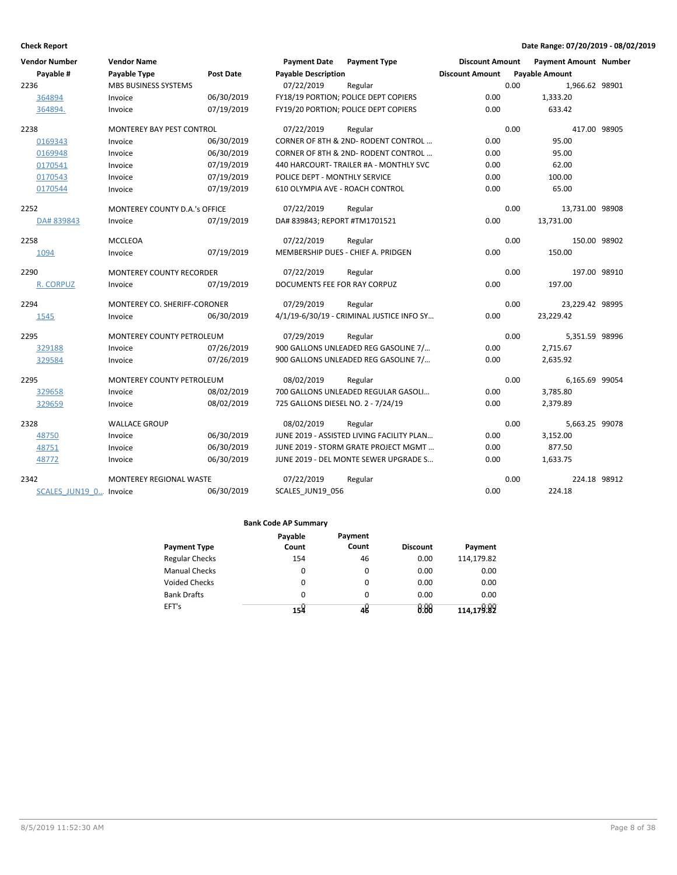| <b>Vendor Number</b>   | <b>Vendor Name</b>                   |            | <b>Payment Date</b>                | <b>Payment Type</b>                       | <b>Discount Amount</b> |      | <b>Payment Amount Number</b> |  |
|------------------------|--------------------------------------|------------|------------------------------------|-------------------------------------------|------------------------|------|------------------------------|--|
| Payable #              | <b>Payable Type</b>                  | Post Date  | <b>Payable Description</b>         |                                           | <b>Discount Amount</b> |      | <b>Payable Amount</b>        |  |
| 2236                   | <b>MBS BUSINESS SYSTEMS</b>          |            | 07/22/2019                         | Regular                                   |                        | 0.00 | 1,966.62 98901               |  |
| 364894                 | Invoice                              | 06/30/2019 |                                    | FY18/19 PORTION; POLICE DEPT COPIERS      | 0.00                   |      | 1,333.20                     |  |
| 364894.                | Invoice                              | 07/19/2019 |                                    | FY19/20 PORTION; POLICE DEPT COPIERS      | 0.00                   |      | 633.42                       |  |
| 2238                   | <b>MONTEREY BAY PEST CONTROL</b>     |            | 07/22/2019                         | Regular                                   |                        | 0.00 | 417.00 98905                 |  |
| 0169343                | Invoice                              | 06/30/2019 |                                    | CORNER OF 8TH & 2ND-RODENT CONTROL        | 0.00                   |      | 95.00                        |  |
| 0169948                | Invoice                              | 06/30/2019 |                                    | CORNER OF 8TH & 2ND- RODENT CONTROL       | 0.00                   |      | 95.00                        |  |
| 0170541                | Invoice                              | 07/19/2019 |                                    | 440 HARCOURT- TRAILER #A - MONTHLY SVC    | 0.00                   |      | 62.00                        |  |
| 0170543                | Invoice                              | 07/19/2019 | POLICE DEPT - MONTHLY SERVICE      |                                           | 0.00                   |      | 100.00                       |  |
| 0170544                | Invoice                              | 07/19/2019 | 610 OLYMPIA AVE - ROACH CONTROL    |                                           | 0.00                   |      | 65.00                        |  |
| 2252                   | <b>MONTEREY COUNTY D.A.'s OFFICE</b> |            | 07/22/2019                         | Regular                                   |                        | 0.00 | 13,731.00 98908              |  |
| DA# 839843             | Invoice                              | 07/19/2019 | DA# 839843; REPORT #TM1701521      |                                           | 0.00                   |      | 13,731.00                    |  |
| 2258                   | <b>MCCLEOA</b>                       |            | 07/22/2019                         | Regular                                   |                        | 0.00 | 150.00 98902                 |  |
| 1094                   | Invoice                              | 07/19/2019 |                                    | MEMBERSHIP DUES - CHIEF A. PRIDGEN        | 0.00                   |      | 150.00                       |  |
| 2290                   | <b>MONTEREY COUNTY RECORDER</b>      |            | 07/22/2019                         | Regular                                   |                        | 0.00 | 197.00 98910                 |  |
| R. CORPUZ              | Invoice                              | 07/19/2019 | DOCUMENTS FEE FOR RAY CORPUZ       |                                           | 0.00                   |      | 197.00                       |  |
| 2294                   | MONTEREY CO. SHERIFF-CORONER         |            | 07/29/2019                         | Regular                                   |                        | 0.00 | 23,229.42 98995              |  |
| 1545                   | Invoice                              | 06/30/2019 |                                    | 4/1/19-6/30/19 - CRIMINAL JUSTICE INFO SY | 0.00                   |      | 23,229.42                    |  |
| 2295                   | <b>MONTEREY COUNTY PETROLEUM</b>     |            | 07/29/2019                         | Regular                                   |                        | 0.00 | 5,351.59 98996               |  |
| 329188                 | Invoice                              | 07/26/2019 |                                    | 900 GALLONS UNLEADED REG GASOLINE 7/      | 0.00                   |      | 2,715.67                     |  |
| 329584                 | Invoice                              | 07/26/2019 |                                    | 900 GALLONS UNLEADED REG GASOLINE 7/      | 0.00                   |      | 2,635.92                     |  |
| 2295                   | <b>MONTEREY COUNTY PETROLEUM</b>     |            | 08/02/2019                         | Regular                                   |                        | 0.00 | 6,165.69 99054               |  |
| 329658                 | Invoice                              | 08/02/2019 |                                    | 700 GALLONS UNLEADED REGULAR GASOLI       | 0.00                   |      | 3,785.80                     |  |
| 329659                 | Invoice                              | 08/02/2019 | 725 GALLONS DIESEL NO. 2 - 7/24/19 |                                           | 0.00                   |      | 2,379.89                     |  |
| 2328                   | <b>WALLACE GROUP</b>                 |            | 08/02/2019                         | Regular                                   |                        | 0.00 | 5,663.25 99078               |  |
| 48750                  | Invoice                              | 06/30/2019 |                                    | JUNE 2019 - ASSISTED LIVING FACILITY PLAN | 0.00                   |      | 3,152.00                     |  |
| 48751                  | Invoice                              | 06/30/2019 |                                    | JUNE 2019 - STORM GRATE PROJECT MGMT      | 0.00                   |      | 877.50                       |  |
| 48772                  | Invoice                              | 06/30/2019 |                                    | JUNE 2019 - DEL MONTE SEWER UPGRADE S     | 0.00                   |      | 1,633.75                     |  |
| 2342                   | <b>MONTEREY REGIONAL WASTE</b>       |            | 07/22/2019                         | Regular                                   |                        | 0.00 | 224.18 98912                 |  |
| SCALES JUN19 0 Invoice |                                      | 06/30/2019 | SCALES JUN19 056                   |                                           | 0.00                   |      | 224.18                       |  |

|                       | Payable  | Payment  |                 |            |
|-----------------------|----------|----------|-----------------|------------|
| <b>Payment Type</b>   | Count    | Count    | <b>Discount</b> | Payment    |
| <b>Regular Checks</b> | 154      | 46       | 0.00            | 114,179.82 |
| <b>Manual Checks</b>  | 0        | $\Omega$ | 0.00            | 0.00       |
| <b>Voided Checks</b>  | $\Omega$ | $\Omega$ | 0.00            | 0.00       |
| <b>Bank Drafts</b>    | $\Omega$ | $\Omega$ | 0.00            | 0.00       |
| EFT's                 | 154      | 4٢       | 8.88            | 114,179:82 |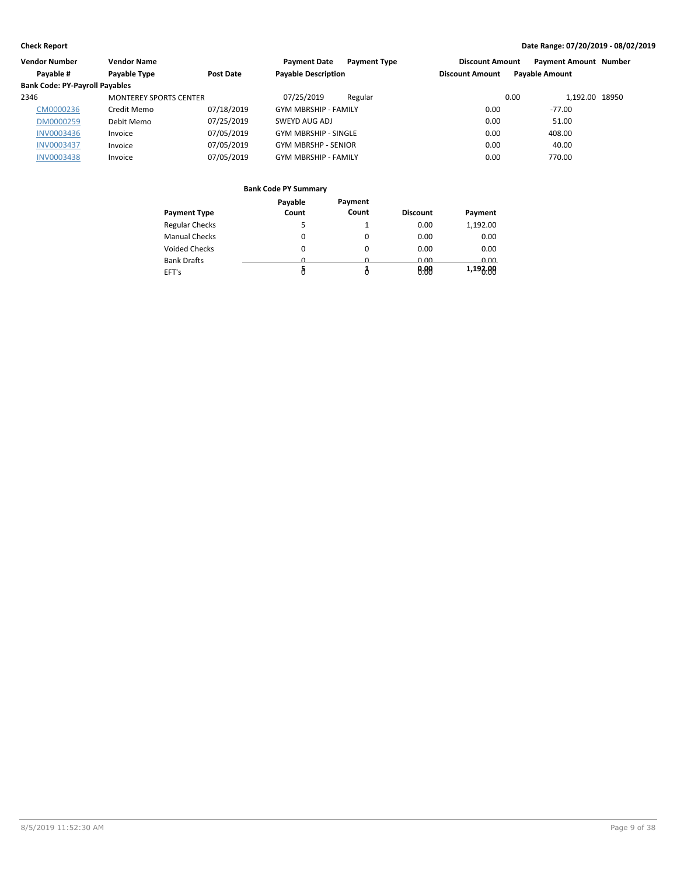| Vendor Number                         | <b>Vendor Name</b>            |            | <b>Payment Type</b><br><b>Payment Date</b> | <b>Discount Amount</b> | <b>Payment Amount Number</b> |  |
|---------------------------------------|-------------------------------|------------|--------------------------------------------|------------------------|------------------------------|--|
| Payable #                             | Payable Type                  | Post Date  | <b>Payable Description</b>                 | <b>Discount Amount</b> | <b>Payable Amount</b>        |  |
| <b>Bank Code: PY-Payroll Payables</b> |                               |            |                                            |                        |                              |  |
| 2346                                  | <b>MONTEREY SPORTS CENTER</b> |            | 07/25/2019<br>Regular                      | 0.00                   | 1.192.00 18950               |  |
| CM0000236                             | Credit Memo                   | 07/18/2019 | <b>GYM MBRSHIP - FAMILY</b>                | 0.00                   | $-77.00$                     |  |
| DM0000259                             | Debit Memo                    | 07/25/2019 | SWEYD AUG ADJ                              | 0.00                   | 51.00                        |  |
| <b>INV0003436</b>                     | Invoice                       | 07/05/2019 | <b>GYM MBRSHIP - SINGLE</b>                | 0.00                   | 408.00                       |  |
| <b>INV0003437</b>                     | Invoice                       | 07/05/2019 | <b>GYM MBRSHP - SENIOR</b>                 | 0.00                   | 40.00                        |  |
| <b>INV0003438</b>                     | Invoice                       | 07/05/2019 | <b>GYM MBRSHIP - FAMILY</b>                | 0.00                   | 770.00                       |  |

|                       | Payable | Payment  |                 |          |
|-----------------------|---------|----------|-----------------|----------|
| <b>Payment Type</b>   | Count   | Count    | <b>Discount</b> | Payment  |
| <b>Regular Checks</b> | 5       |          | 0.00            | 1,192.00 |
| <b>Manual Checks</b>  | 0       | $\Omega$ | 0.00            | 0.00     |
| <b>Voided Checks</b>  | 0       | $\Omega$ | 0.00            | 0.00     |
| <b>Bank Drafts</b>    | 0       | 0        | 0.00            | 0.00     |
| EFT's                 |         |          | 0.88            | 1,192.88 |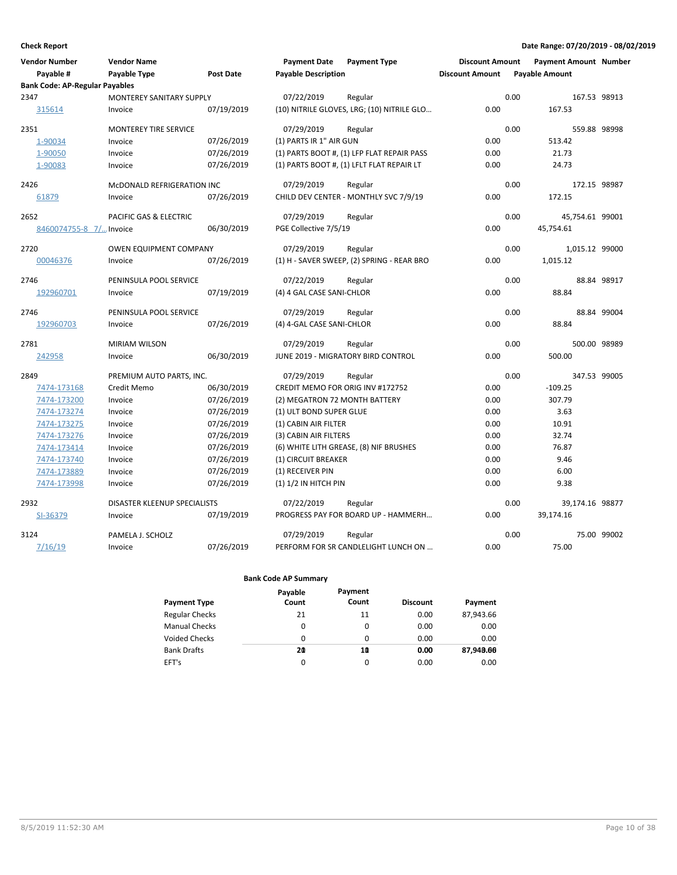| <b>Vendor Number</b>                  | <b>Vendor Name</b>              |                  | <b>Payment Date</b>              | <b>Payment Type</b>                        | <b>Discount Amount</b> |      | <b>Payment Amount Number</b> |              |
|---------------------------------------|---------------------------------|------------------|----------------------------------|--------------------------------------------|------------------------|------|------------------------------|--------------|
| Payable #                             | Payable Type                    | <b>Post Date</b> | <b>Payable Description</b>       |                                            | <b>Discount Amount</b> |      | <b>Payable Amount</b>        |              |
| <b>Bank Code: AP-Regular Payables</b> |                                 |                  |                                  |                                            |                        |      |                              |              |
| 2347                                  | <b>MONTEREY SANITARY SUPPLY</b> |                  | 07/22/2019                       | Regular                                    |                        | 0.00 | 167.53 98913                 |              |
| 315614                                | Invoice                         | 07/19/2019       |                                  | (10) NITRILE GLOVES, LRG; (10) NITRILE GLO | 0.00                   |      | 167.53                       |              |
| 2351                                  | <b>MONTEREY TIRE SERVICE</b>    |                  | 07/29/2019                       | Regular                                    |                        | 0.00 |                              | 559.88 98998 |
| 1-90034                               | Invoice                         | 07/26/2019       | (1) PARTS IR 1" AIR GUN          |                                            | 0.00                   |      | 513.42                       |              |
| 1-90050                               | Invoice                         | 07/26/2019       |                                  | (1) PARTS BOOT #, (1) LFP FLAT REPAIR PASS | 0.00                   |      | 21.73                        |              |
| 1-90083                               | Invoice                         | 07/26/2019       |                                  | (1) PARTS BOOT #, (1) LFLT FLAT REPAIR LT  | 0.00                   |      | 24.73                        |              |
| 2426                                  | MCDONALD REFRIGERATION INC      |                  | 07/29/2019                       | Regular                                    |                        | 0.00 | 172.15 98987                 |              |
| 61879                                 | Invoice                         | 07/26/2019       |                                  | CHILD DEV CENTER - MONTHLY SVC 7/9/19      | 0.00                   |      | 172.15                       |              |
| 2652                                  | PACIFIC GAS & ELECTRIC          |                  | 07/29/2019                       | Regular                                    |                        | 0.00 | 45,754.61 99001              |              |
| 8460074755-8 7/ Invoice               |                                 | 06/30/2019       | PGE Collective 7/5/19            |                                            | 0.00                   |      | 45,754.61                    |              |
| 2720                                  | OWEN EQUIPMENT COMPANY          |                  | 07/29/2019                       | Regular                                    |                        | 0.00 | 1,015.12 99000               |              |
| 00046376                              | Invoice                         | 07/26/2019       |                                  | (1) H - SAVER SWEEP, (2) SPRING - REAR BRO | 0.00                   |      | 1,015.12                     |              |
| 2746                                  | PENINSULA POOL SERVICE          |                  | 07/22/2019                       | Regular                                    |                        | 0.00 |                              | 88.84 98917  |
| 192960701                             | Invoice                         | 07/19/2019       | (4) 4 GAL CASE SANI-CHLOR        |                                            | 0.00                   |      | 88.84                        |              |
| 2746                                  | PENINSULA POOL SERVICE          |                  | 07/29/2019                       | Regular                                    |                        | 0.00 |                              | 88.84 99004  |
| 192960703                             | Invoice                         | 07/26/2019       | (4) 4-GAL CASE SANI-CHLOR        |                                            | 0.00                   |      | 88.84                        |              |
| 2781                                  | <b>MIRIAM WILSON</b>            |                  | 07/29/2019                       | Regular                                    |                        | 0.00 | 500.00 98989                 |              |
| 242958                                | Invoice                         | 06/30/2019       |                                  | JUNE 2019 - MIGRATORY BIRD CONTROL         | 0.00                   |      | 500.00                       |              |
| 2849                                  | PREMIUM AUTO PARTS, INC.        |                  | 07/29/2019                       | Regular                                    |                        | 0.00 | 347.53 99005                 |              |
| 7474-173168                           | Credit Memo                     | 06/30/2019       | CREDIT MEMO FOR ORIG INV #172752 |                                            | 0.00                   |      | $-109.25$                    |              |
| 7474-173200                           | Invoice                         | 07/26/2019       | (2) MEGATRON 72 MONTH BATTERY    |                                            | 0.00                   |      | 307.79                       |              |
| 7474-173274                           | Invoice                         | 07/26/2019       | (1) ULT BOND SUPER GLUE          |                                            | 0.00                   |      | 3.63                         |              |
| 7474-173275                           | Invoice                         | 07/26/2019       | (1) CABIN AIR FILTER             |                                            | 0.00                   |      | 10.91                        |              |
| 7474-173276                           | Invoice                         | 07/26/2019       | (3) CABIN AIR FILTERS            |                                            | 0.00                   |      | 32.74                        |              |
| 7474-173414                           | Invoice                         | 07/26/2019       |                                  | (6) WHITE LITH GREASE, (8) NIF BRUSHES     | 0.00                   |      | 76.87                        |              |
| 7474-173740                           | Invoice                         | 07/26/2019       | (1) CIRCUIT BREAKER              |                                            | 0.00                   |      | 9.46                         |              |
| 7474-173889                           | Invoice                         | 07/26/2019       | (1) RECEIVER PIN                 |                                            | 0.00                   |      | 6.00                         |              |
| 7474-173998                           | Invoice                         | 07/26/2019       | $(1)$ $1/2$ IN HITCH PIN         |                                            | 0.00                   |      | 9.38                         |              |
| 2932                                  | DISASTER KLEENUP SPECIALISTS    |                  | 07/22/2019                       | Regular                                    |                        | 0.00 | 39,174.16 98877              |              |
| SI-36379                              | Invoice                         | 07/19/2019       |                                  | PROGRESS PAY FOR BOARD UP - HAMMERH        | 0.00                   |      | 39,174.16                    |              |
| 3124                                  | PAMELA J. SCHOLZ                |                  | 07/29/2019                       | Regular                                    |                        | 0.00 |                              | 75.00 99002  |
| 7/16/19                               | Invoice                         | 07/26/2019       |                                  | PERFORM FOR SR CANDLELIGHT LUNCH ON        | 0.00                   |      | 75.00                        |              |

| <b>Payment Type</b>   | Payable<br>Count | Payment<br>Count | <b>Discount</b> | Payment   |
|-----------------------|------------------|------------------|-----------------|-----------|
| <b>Regular Checks</b> | 21               | 11               | 0.00            | 87,943.66 |
| <b>Manual Checks</b>  | 0                | 0                | 0.00            | 0.00      |
| <b>Voided Checks</b>  | $\Omega$         | $\Omega$         | 0.00            | 0.00      |
| <b>Bank Drafts</b>    | 20               | 10               | 0.00            | 87,948.66 |
| EFT's                 | 0                | $\Omega$         | 0.00            | 0.00      |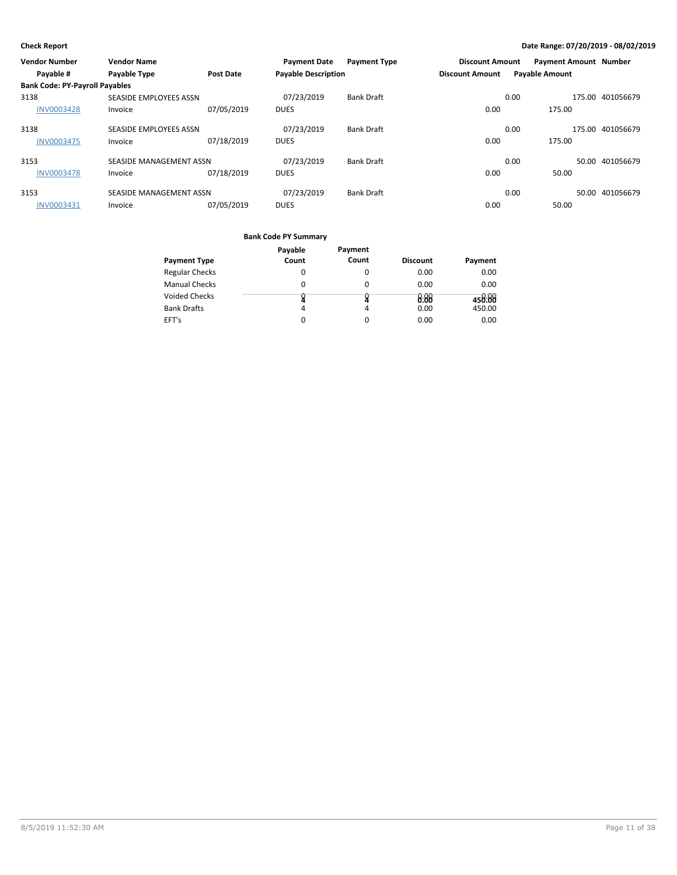| <b>Vendor Number</b>                  | <b>Vendor Name</b>      |                  | <b>Payment Date</b>        | <b>Payment Type</b> | <b>Discount Amount</b> |                       | <b>Payment Amount Number</b> |                  |
|---------------------------------------|-------------------------|------------------|----------------------------|---------------------|------------------------|-----------------------|------------------------------|------------------|
| Payable #                             | Payable Type            | <b>Post Date</b> | <b>Payable Description</b> |                     | <b>Discount Amount</b> | <b>Payable Amount</b> |                              |                  |
| <b>Bank Code: PY-Payroll Payables</b> |                         |                  |                            |                     |                        |                       |                              |                  |
| 3138                                  | SEASIDE EMPLOYEES ASSN  |                  | 07/23/2019                 | <b>Bank Draft</b>   |                        | 0.00                  |                              | 175.00 401056679 |
| <b>INV0003428</b>                     | Invoice                 | 07/05/2019       | <b>DUES</b>                |                     | 0.00                   |                       | 175.00                       |                  |
| 3138                                  | SEASIDE EMPLOYEES ASSN  |                  | 07/23/2019                 | <b>Bank Draft</b>   |                        | 0.00                  |                              | 175.00 401056679 |
| <b>INV0003475</b>                     | Invoice                 | 07/18/2019       | <b>DUES</b>                |                     | 0.00                   |                       | 175.00                       |                  |
| 3153                                  | SEASIDE MANAGEMENT ASSN |                  | 07/23/2019                 | <b>Bank Draft</b>   |                        | 0.00                  |                              | 50.00 401056679  |
| <b>INV0003478</b>                     | Invoice                 | 07/18/2019       | <b>DUES</b>                |                     | 0.00                   |                       | 50.00                        |                  |
| 3153                                  | SEASIDE MANAGEMENT ASSN |                  | 07/23/2019                 | <b>Bank Draft</b>   |                        | 0.00                  |                              | 50.00 401056679  |
| <b>INV0003431</b>                     | Invoice                 | 07/05/2019       | <b>DUES</b>                |                     | 0.00                   |                       | 50.00                        |                  |

|                       | Payable | Payment |                 |         |
|-----------------------|---------|---------|-----------------|---------|
| <b>Payment Type</b>   | Count   | Count   | <b>Discount</b> | Payment |
| <b>Regular Checks</b> | O       | 0       | 0.00            | 0.00    |
| <b>Manual Checks</b>  | 0       | 0       | 0.00            | 0.00    |
| <b>Voided Checks</b>  |         |         | 0.88            | 458.88  |
| <b>Bank Drafts</b>    | 4       | 4       | 0.00            | 450.00  |
| EFT's                 |         | 0       | 0.00            | 0.00    |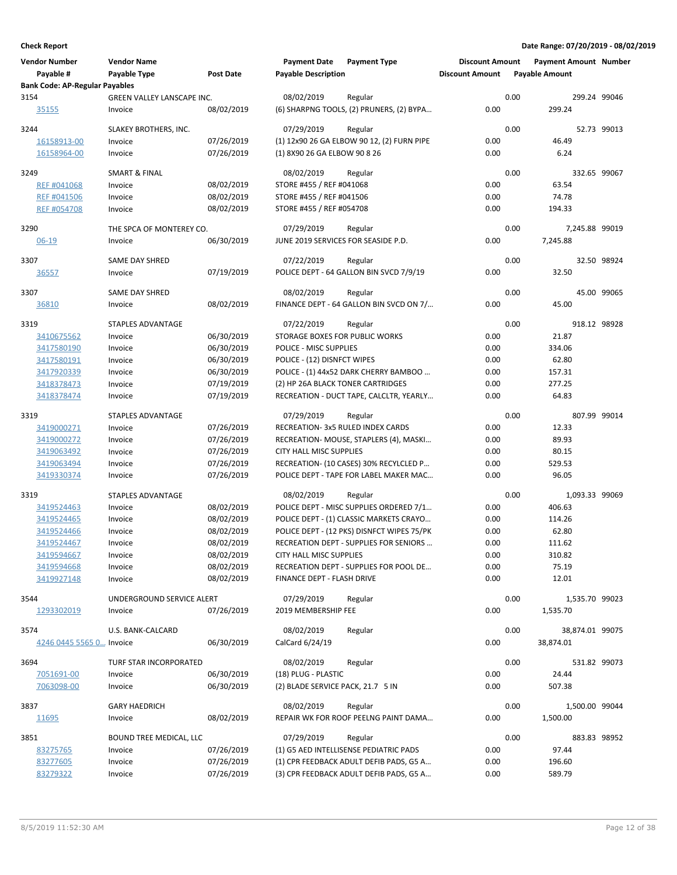| <b>Vendor Number</b>                               | <b>Vendor Name</b>         |                  | <b>Payment Date</b>                 | <b>Payment Type</b>                        | <b>Discount Amount</b> |      | <b>Payment Amount Number</b> |             |
|----------------------------------------------------|----------------------------|------------------|-------------------------------------|--------------------------------------------|------------------------|------|------------------------------|-------------|
| Payable #<br><b>Bank Code: AP-Regular Payables</b> | Payable Type               | <b>Post Date</b> | <b>Payable Description</b>          |                                            | <b>Discount Amount</b> |      | <b>Payable Amount</b>        |             |
| 3154                                               | GREEN VALLEY LANSCAPE INC. |                  | 08/02/2019                          | Regular                                    |                        | 0.00 | 299.24 99046                 |             |
| 35155                                              | Invoice                    | 08/02/2019       |                                     | (6) SHARPNG TOOLS, (2) PRUNERS, (2) BYPA   | 0.00                   |      | 299.24                       |             |
| 3244                                               | SLAKEY BROTHERS, INC.      |                  | 07/29/2019                          | Regular                                    |                        | 0.00 |                              | 52.73 99013 |
| 16158913-00                                        | Invoice                    | 07/26/2019       |                                     | (1) 12x90 26 GA ELBOW 90 12, (2) FURN PIPE | 0.00                   |      | 46.49                        |             |
| 16158964-00                                        | Invoice                    | 07/26/2019       | (1) 8X90 26 GA ELBOW 90 8 26        |                                            | 0.00                   |      | 6.24                         |             |
| 3249                                               | <b>SMART &amp; FINAL</b>   |                  | 08/02/2019                          | Regular                                    |                        | 0.00 | 332.65 99067                 |             |
| REF #041068                                        | Invoice                    | 08/02/2019       | STORE #455 / REF #041068            |                                            | 0.00                   |      | 63.54                        |             |
| REF #041506                                        | Invoice                    | 08/02/2019       | STORE #455 / REF #041506            |                                            | 0.00                   |      | 74.78                        |             |
| REF #054708                                        | Invoice                    | 08/02/2019       | STORE #455 / REF #054708            |                                            | 0.00                   |      | 194.33                       |             |
| 3290                                               | THE SPCA OF MONTEREY CO.   |                  | 07/29/2019                          | Regular                                    |                        | 0.00 | 7,245.88 99019               |             |
| $06-19$                                            | Invoice                    | 06/30/2019       | JUNE 2019 SERVICES FOR SEASIDE P.D. |                                            | 0.00                   |      | 7,245.88                     |             |
| 3307                                               | <b>SAME DAY SHRED</b>      |                  | 07/22/2019                          |                                            |                        | 0.00 |                              | 32.50 98924 |
|                                                    |                            |                  |                                     | Regular                                    | 0.00                   |      | 32.50                        |             |
| 36557                                              | Invoice                    | 07/19/2019       |                                     | POLICE DEPT - 64 GALLON BIN SVCD 7/9/19    |                        |      |                              |             |
| 3307                                               | <b>SAME DAY SHRED</b>      |                  | 08/02/2019                          | Regular                                    |                        | 0.00 |                              | 45.00 99065 |
| 36810                                              | Invoice                    | 08/02/2019       |                                     | FINANCE DEPT - 64 GALLON BIN SVCD ON 7/    | 0.00                   |      | 45.00                        |             |
| 3319                                               | <b>STAPLES ADVANTAGE</b>   |                  | 07/22/2019                          | Regular                                    |                        | 0.00 | 918.12 98928                 |             |
| 3410675562                                         | Invoice                    | 06/30/2019       | STORAGE BOXES FOR PUBLIC WORKS      |                                            | 0.00                   |      | 21.87                        |             |
| 3417580190                                         | Invoice                    | 06/30/2019       | POLICE - MISC SUPPLIES              |                                            | 0.00                   |      | 334.06                       |             |
| 3417580191                                         | Invoice                    | 06/30/2019       | POLICE - (12) DISNFCT WIPES         |                                            | 0.00                   |      | 62.80                        |             |
| 3417920339                                         | Invoice                    | 06/30/2019       |                                     | POLICE - (1) 44x52 DARK CHERRY BAMBOO      | 0.00                   |      | 157.31                       |             |
| 3418378473                                         | Invoice                    | 07/19/2019       | (2) HP 26A BLACK TONER CARTRIDGES   |                                            | 0.00                   |      | 277.25                       |             |
| 3418378474                                         | Invoice                    | 07/19/2019       |                                     | RECREATION - DUCT TAPE, CALCLTR, YEARLY    | 0.00                   |      | 64.83                        |             |
| 3319                                               | <b>STAPLES ADVANTAGE</b>   |                  | 07/29/2019                          | Regular                                    |                        | 0.00 | 807.99 99014                 |             |
| 3419000271                                         | Invoice                    | 07/26/2019       |                                     | RECREATION- 3x5 RULED INDEX CARDS          | 0.00                   |      | 12.33                        |             |
| 3419000272                                         | Invoice                    | 07/26/2019       |                                     | RECREATION- MOUSE, STAPLERS (4), MASKI     | 0.00                   |      | 89.93                        |             |
| 3419063492                                         | Invoice                    | 07/26/2019       | <b>CITY HALL MISC SUPPLIES</b>      |                                            | 0.00                   |      | 80.15                        |             |
| 3419063494                                         | Invoice                    | 07/26/2019       |                                     | RECREATION- (10 CASES) 30% RECYLCLED P     | 0.00                   |      | 529.53                       |             |
| 3419330374                                         | Invoice                    | 07/26/2019       |                                     | POLICE DEPT - TAPE FOR LABEL MAKER MAC     | 0.00                   |      | 96.05                        |             |
| 3319                                               | <b>STAPLES ADVANTAGE</b>   |                  | 08/02/2019                          | Regular                                    |                        | 0.00 | 1,093.33 99069               |             |
| 3419524463                                         | Invoice                    | 08/02/2019       |                                     | POLICE DEPT - MISC SUPPLIES ORDERED 7/1    | 0.00                   |      | 406.63                       |             |
| 3419524465                                         | Invoice                    | 08/02/2019       |                                     | POLICE DEPT - (1) CLASSIC MARKETS CRAYO    | 0.00                   |      | 114.26                       |             |
| 3419524466                                         | Invoice                    | 08/02/2019       |                                     | POLICE DEPT - (12 PKS) DISNFCT WIPES 75/PK | 0.00                   |      | 62.80                        |             |
| 3419524467                                         | Invoice                    | 08/02/2019       |                                     | RECREATION DEPT - SUPPLIES FOR SENIORS     | 0.00                   |      | 111.62                       |             |
| 3419594667                                         | Invoice                    | 08/02/2019       | <b>CITY HALL MISC SUPPLIES</b>      |                                            | 0.00                   |      | 310.82                       |             |
| 3419594668                                         | Invoice                    | 08/02/2019       |                                     | RECREATION DEPT - SUPPLIES FOR POOL DE     | 0.00                   |      | 75.19                        |             |
| 3419927148                                         | Invoice                    | 08/02/2019       | FINANCE DEPT - FLASH DRIVE          |                                            | 0.00                   |      | 12.01                        |             |
| 3544                                               | UNDERGROUND SERVICE ALERT  |                  | 07/29/2019                          | Regular                                    |                        | 0.00 | 1,535.70 99023               |             |
| 1293302019                                         | Invoice                    | 07/26/2019       | 2019 MEMBERSHIP FEE                 |                                            | 0.00                   |      | 1,535.70                     |             |
|                                                    |                            |                  |                                     |                                            |                        |      |                              |             |
| 3574                                               | U.S. BANK-CALCARD          |                  | 08/02/2019                          | Regular                                    |                        | 0.00 | 38,874.01 99075              |             |
| 4246 0445 5565 0 Invoice                           |                            | 06/30/2019       | CalCard 6/24/19                     |                                            | 0.00                   |      | 38,874.01                    |             |
| 3694                                               | TURF STAR INCORPORATED     |                  | 08/02/2019                          | Regular                                    |                        | 0.00 | 531.82 99073                 |             |
| 7051691-00                                         | Invoice                    | 06/30/2019       | (18) PLUG - PLASTIC                 |                                            | 0.00                   |      | 24.44                        |             |
| 7063098-00                                         | Invoice                    | 06/30/2019       | (2) BLADE SERVICE PACK, 21.7 5 IN   |                                            | 0.00                   |      | 507.38                       |             |
| 3837                                               | <b>GARY HAEDRICH</b>       |                  | 08/02/2019                          | Regular                                    |                        | 0.00 | 1,500.00 99044               |             |
| 11695                                              | Invoice                    | 08/02/2019       |                                     | REPAIR WK FOR ROOF PEELNG PAINT DAMA       | 0.00                   |      | 1,500.00                     |             |
| 3851                                               | BOUND TREE MEDICAL, LLC    |                  | 07/29/2019                          | Regular                                    |                        | 0.00 | 883.83 98952                 |             |
| 83275765                                           | Invoice                    | 07/26/2019       |                                     | (1) G5 AED INTELLISENSE PEDIATRIC PADS     | 0.00                   |      | 97.44                        |             |
| 83277605                                           | Invoice                    | 07/26/2019       |                                     | (1) CPR FEEDBACK ADULT DEFIB PADS, G5 A    | 0.00                   |      | 196.60                       |             |
| 83279322                                           | Invoice                    | 07/26/2019       |                                     | (3) CPR FEEDBACK ADULT DEFIB PADS, G5 A    | 0.00                   |      | 589.79                       |             |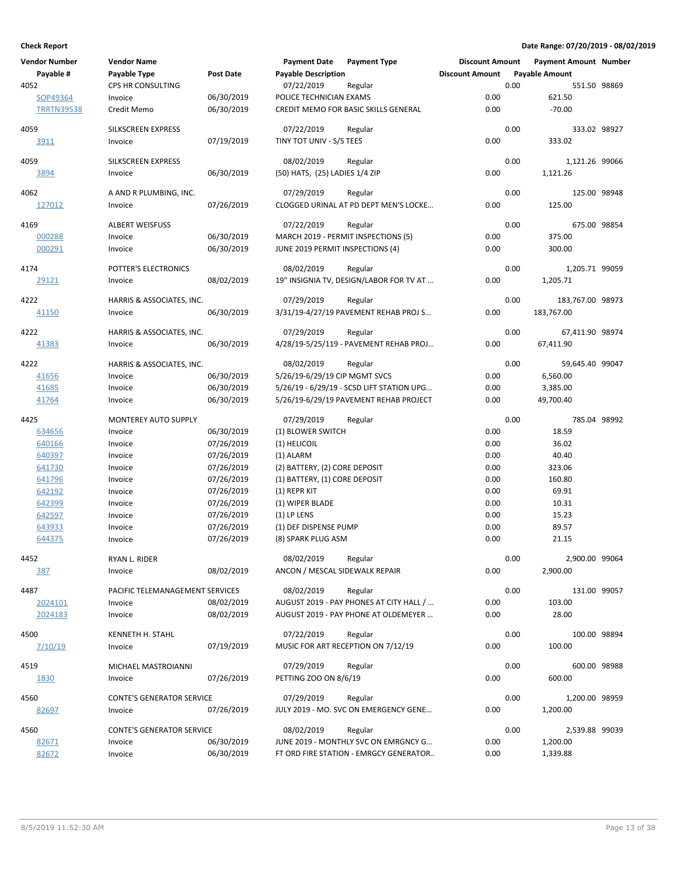| <b>Vendor Number</b> | <b>Vendor Name</b>               |            | <b>Payment Date</b>              | <b>Payment Type</b>                       | <b>Discount Amount</b> |      | <b>Payment Amount Number</b> |  |
|----------------------|----------------------------------|------------|----------------------------------|-------------------------------------------|------------------------|------|------------------------------|--|
| Payable #            | <b>Payable Type</b>              | Post Date  | <b>Payable Description</b>       |                                           | <b>Discount Amount</b> |      | <b>Payable Amount</b>        |  |
| 4052                 | CPS HR CONSULTING                |            | 07/22/2019                       | Regular                                   |                        | 0.00 | 551.50 98869                 |  |
| SOP49364             | Invoice                          | 06/30/2019 | POLICE TECHNICIAN EXAMS          |                                           | 0.00                   |      | 621.50                       |  |
| <b>TRRTN39538</b>    | Credit Memo                      | 06/30/2019 |                                  | CREDIT MEMO FOR BASIC SKILLS GENERAL      | 0.00                   |      | $-70.00$                     |  |
| 4059                 | SILKSCREEN EXPRESS               |            | 07/22/2019                       | Regular                                   |                        | 0.00 | 333.02 98927                 |  |
| 3911                 | Invoice                          | 07/19/2019 | TINY TOT UNIV - S/S TEES         |                                           | 0.00                   |      | 333.02                       |  |
| 4059                 | SILKSCREEN EXPRESS               |            | 08/02/2019                       | Regular                                   |                        | 0.00 | 1,121.26 99066               |  |
| 3894                 | Invoice                          | 06/30/2019 | (50) HATS, (25) LADIES 1/4 ZIP   |                                           | 0.00                   |      | 1,121.26                     |  |
| 4062                 | A AND R PLUMBING, INC.           |            | 07/29/2019                       | Regular                                   |                        | 0.00 | 125.00 98948                 |  |
| 127012               | Invoice                          | 07/26/2019 |                                  | CLOGGED URINAL AT PD DEPT MEN'S LOCKE     | 0.00                   |      | 125.00                       |  |
| 4169                 | <b>ALBERT WEISFUSS</b>           |            | 07/22/2019                       | Regular                                   |                        | 0.00 | 675.00 98854                 |  |
| 000288               | Invoice                          | 06/30/2019 |                                  | MARCH 2019 - PERMIT INSPECTIONS (5)       | 0.00                   |      | 375.00                       |  |
| 000291               | Invoice                          | 06/30/2019 | JUNE 2019 PERMIT INSPECTIONS (4) |                                           | 0.00                   |      | 300.00                       |  |
| 4174                 | POTTER'S ELECTRONICS             |            | 08/02/2019                       | Regular                                   |                        | 0.00 | 1,205.71 99059               |  |
| 29121                | Invoice                          | 08/02/2019 |                                  | 19" INSIGNIA TV, DESIGN/LABOR FOR TV AT   | 0.00                   |      | 1,205.71                     |  |
| 4222                 | HARRIS & ASSOCIATES, INC.        |            | 07/29/2019                       | Regular                                   |                        | 0.00 | 183,767.00 98973             |  |
| 41150                | Invoice                          | 06/30/2019 |                                  | 3/31/19-4/27/19 PAVEMENT REHAB PROJ S     | 0.00                   |      | 183,767.00                   |  |
| 4222                 | HARRIS & ASSOCIATES, INC.        |            | 07/29/2019                       | Regular                                   |                        | 0.00 | 67,411.90 98974              |  |
| 41383                | Invoice                          | 06/30/2019 |                                  | 4/28/19-5/25/119 - PAVEMENT REHAB PROJ    | 0.00                   |      | 67,411.90                    |  |
| 4222                 | HARRIS & ASSOCIATES, INC.        |            | 08/02/2019                       | Regular                                   |                        | 0.00 | 59,645.40 99047              |  |
| 41656                | Invoice                          | 06/30/2019 | 5/26/19-6/29/19 CIP MGMT SVCS    |                                           | 0.00                   |      | 6,560.00                     |  |
| 41685                | Invoice                          | 06/30/2019 |                                  | 5/26/19 - 6/29/19 - SCSD LIFT STATION UPG | 0.00                   |      | 3,385.00                     |  |
| 41764                | Invoice                          | 06/30/2019 |                                  | 5/26/19-6/29/19 PAVEMENT REHAB PROJECT    | 0.00                   |      | 49,700.40                    |  |
| 4425                 | <b>MONTEREY AUTO SUPPLY</b>      |            | 07/29/2019                       | Regular                                   |                        | 0.00 | 785.04 98992                 |  |
| 634656               | Invoice                          | 06/30/2019 | (1) BLOWER SWITCH                |                                           | 0.00                   |      | 18.59                        |  |
| 640166               | Invoice                          | 07/26/2019 | (1) HELICOIL                     |                                           | 0.00                   |      | 36.02                        |  |
| 640397               | Invoice                          | 07/26/2019 | (1) ALARM                        |                                           | 0.00                   |      | 40.40                        |  |
| 641730               | Invoice                          | 07/26/2019 | (2) BATTERY, (2) CORE DEPOSIT    |                                           | 0.00                   |      | 323.06                       |  |
| 641796               | Invoice                          | 07/26/2019 | (1) BATTERY, (1) CORE DEPOSIT    |                                           | 0.00                   |      | 160.80                       |  |
| 642192               | Invoice                          | 07/26/2019 | (1) REPR KIT                     |                                           | 0.00                   |      | 69.91                        |  |
| 642399               | Invoice                          | 07/26/2019 | (1) WIPER BLADE                  |                                           | 0.00                   |      | 10.31                        |  |
| 642597               | Invoice                          | 07/26/2019 | $(1)$ LP LENS                    |                                           | 0.00                   |      | 15.23                        |  |
| 643933               | Invoice                          | 07/26/2019 | (1) DEF DISPENSE PUMP            |                                           | 0.00                   |      | 89.57                        |  |
| 644375               | Invoice                          | 07/26/2019 | (8) SPARK PLUG ASM               |                                           | 0.00                   |      | 21.15                        |  |
| 4452                 | RYAN L. RIDER                    |            | 08/02/2019                       | Regular                                   |                        | 0.00 | 2,900.00 99064               |  |
| <u>387</u>           | Invoice                          | 08/02/2019 | ANCON / MESCAL SIDEWALK REPAIR   |                                           | 0.00                   |      | 2,900.00                     |  |
| 4487                 | PACIFIC TELEMANAGEMENT SERVICES  |            | 08/02/2019                       | Regular                                   |                        | 0.00 | 131.00 99057                 |  |
| 2024101              | Invoice                          | 08/02/2019 |                                  | AUGUST 2019 - PAY PHONES AT CITY HALL /   | 0.00                   |      | 103.00                       |  |
| 2024183              | Invoice                          | 08/02/2019 |                                  | AUGUST 2019 - PAY PHONE AT OLDEMEYER      | 0.00                   |      | 28.00                        |  |
| 4500                 | KENNETH H. STAHL                 |            | 07/22/2019                       | Regular                                   |                        | 0.00 | 100.00 98894                 |  |
| 7/10/19              | Invoice                          | 07/19/2019 |                                  | MUSIC FOR ART RECEPTION ON 7/12/19        | 0.00                   |      | 100.00                       |  |
| 4519                 | MICHAEL MASTROIANNI              |            | 07/29/2019                       | Regular                                   |                        | 0.00 | 600.00 98988                 |  |
| 1830                 | Invoice                          | 07/26/2019 | PETTING ZOO ON 8/6/19            |                                           | 0.00                   |      | 600.00                       |  |
| 4560                 | <b>CONTE'S GENERATOR SERVICE</b> |            | 07/29/2019                       | Regular                                   |                        | 0.00 | 1,200.00 98959               |  |
| 82697                | Invoice                          | 07/26/2019 |                                  | JULY 2019 - MO. SVC ON EMERGENCY GENE     | 0.00                   |      | 1,200.00                     |  |
| 4560                 | <b>CONTE'S GENERATOR SERVICE</b> |            | 08/02/2019                       | Regular                                   |                        | 0.00 | 2,539.88 99039               |  |
| 82671                | Invoice                          | 06/30/2019 |                                  | JUNE 2019 - MONTHLY SVC ON EMRGNCY G      | 0.00                   |      | 1,200.00                     |  |
| 82672                | Invoice                          | 06/30/2019 |                                  | FT ORD FIRE STATION - EMRGCY GENERATOR    | 0.00                   |      | 1,339.88                     |  |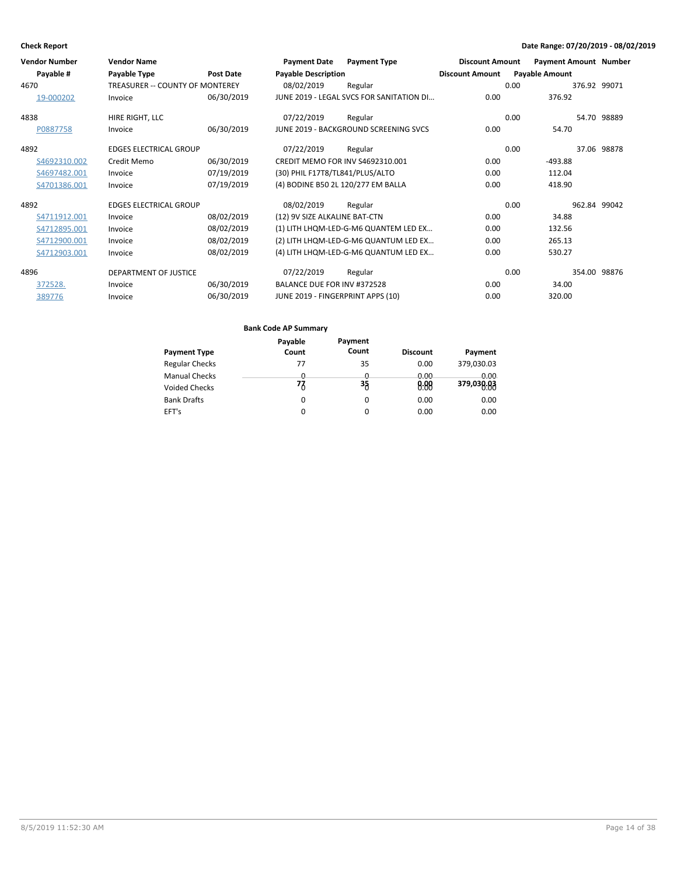| <b>Vendor Number</b> | <b>Vendor Name</b>              |                  | <b>Payment Date</b>                     | <b>Payment Type</b>                      | <b>Discount Amount</b> | <b>Payment Amount Number</b> |              |
|----------------------|---------------------------------|------------------|-----------------------------------------|------------------------------------------|------------------------|------------------------------|--------------|
| Payable #            | Payable Type                    | <b>Post Date</b> | <b>Payable Description</b>              |                                          | <b>Discount Amount</b> | <b>Payable Amount</b>        |              |
| 4670                 | TREASURER -- COUNTY OF MONTEREY |                  | 08/02/2019                              | Regular                                  |                        | 0.00                         | 376.92 99071 |
| 19-000202            | Invoice                         | 06/30/2019       |                                         | JUNE 2019 - LEGAL SVCS FOR SANITATION DI | 0.00                   | 376.92                       |              |
| 4838                 | HIRE RIGHT, LLC                 |                  | 07/22/2019                              | Regular                                  |                        | 0.00                         | 54.70 98889  |
| P0887758             | Invoice                         | 06/30/2019       |                                         | JUNE 2019 - BACKGROUND SCREENING SVCS    | 0.00                   | 54.70                        |              |
| 4892                 | <b>EDGES ELECTRICAL GROUP</b>   |                  | 07/22/2019                              | Regular                                  |                        | 0.00                         | 37.06 98878  |
| S4692310.002         | Credit Memo                     | 06/30/2019       | <b>CREDIT MEMO FOR INV S4692310.001</b> |                                          | 0.00                   | $-493.88$                    |              |
| S4697482.001         | Invoice                         | 07/19/2019       | (30) PHIL F17T8/TL841/PLUS/ALTO         |                                          | 0.00                   | 112.04                       |              |
| S4701386.001         | Invoice                         | 07/19/2019       | (4) BODINE B50 2L 120/277 EM BALLA      |                                          | 0.00                   | 418.90                       |              |
| 4892                 | <b>EDGES ELECTRICAL GROUP</b>   |                  | 08/02/2019                              | Regular                                  |                        | 0.00                         | 962.84 99042 |
| S4711912.001         | Invoice                         | 08/02/2019       | (12) 9V SIZE ALKALINE BAT-CTN           |                                          | 0.00                   | 34.88                        |              |
| S4712895.001         | Invoice                         | 08/02/2019       |                                         | (1) LITH LHQM-LED-G-M6 QUANTEM LED EX    | 0.00                   | 132.56                       |              |
| S4712900.001         | Invoice                         | 08/02/2019       |                                         | (2) LITH LHQM-LED-G-M6 QUANTUM LED EX    | 0.00                   | 265.13                       |              |
| S4712903.001         | Invoice                         | 08/02/2019       |                                         | (4) LITH LHQM-LED-G-M6 QUANTUM LED EX    | 0.00                   | 530.27                       |              |
| 4896                 | <b>DEPARTMENT OF JUSTICE</b>    |                  | 07/22/2019                              | Regular                                  |                        | 0.00                         | 354.00 98876 |
| 372528.              | Invoice                         | 06/30/2019       | BALANCE DUE FOR INV #372528             |                                          | 0.00                   | 34.00                        |              |
| 389776               | Invoice                         | 06/30/2019       | JUNE 2019 - FINGERPRINT APPS (10)       |                                          | 0.00                   | 320.00                       |              |

|                       | Payable  | Payment |                 |            |
|-----------------------|----------|---------|-----------------|------------|
| <b>Payment Type</b>   | Count    | Count   | <b>Discount</b> | Payment    |
| <b>Regular Checks</b> | 77       | 35      | 0.00            | 379,030.03 |
| <b>Manual Checks</b>  | <u>n</u> | n       | 0.00            | 0.00       |
| <b>Voided Checks</b>  | 73       | 35      | 0.88            | 379,030.03 |
| <b>Bank Drafts</b>    | 0        | 0       | 0.00            | 0.00       |
| EFT's                 | 0        |         | 0.00            | 0.00       |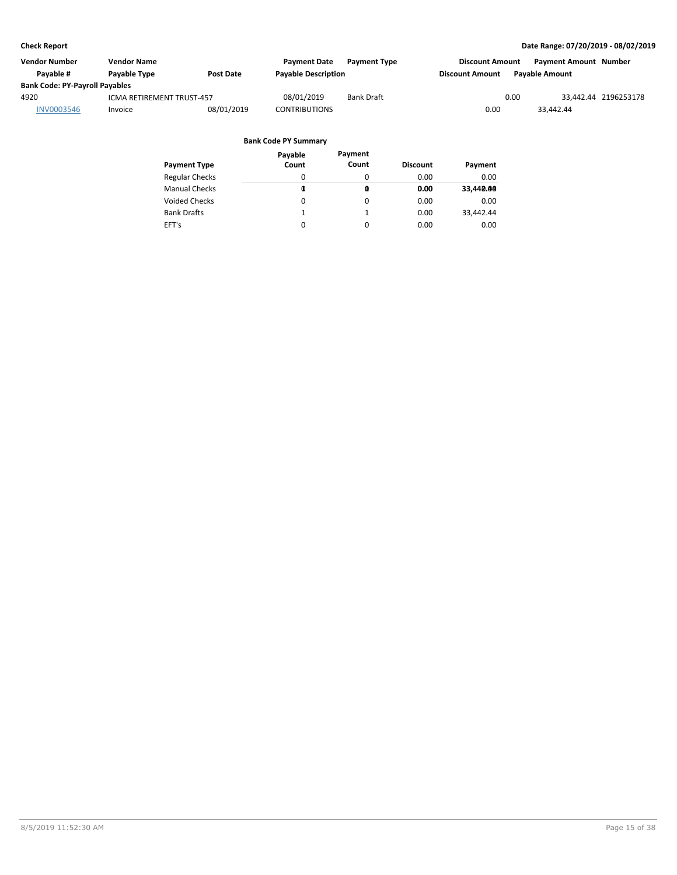| Vendor Number                         | <b>Vendor Name</b>               |                  | <b>Payment Date</b>        | <b>Payment Type</b> | <b>Discount Amount</b> |      | <b>Payment Amount Number</b> |                      |
|---------------------------------------|----------------------------------|------------------|----------------------------|---------------------|------------------------|------|------------------------------|----------------------|
| Pavable #                             | Payable Type                     | <b>Post Date</b> | <b>Payable Description</b> |                     | <b>Discount Amount</b> |      | <b>Pavable Amount</b>        |                      |
| <b>Bank Code: PY-Payroll Payables</b> |                                  |                  |                            |                     |                        |      |                              |                      |
| 4920                                  | <b>ICMA RETIREMENT TRUST-457</b> |                  | 08/01/2019                 | <b>Bank Draft</b>   |                        | 0.00 |                              | 33.442.44 2196253178 |
| <b>INV0003546</b>                     | Invoice                          | 08/01/2019       | <b>CONTRIBUTIONS</b>       |                     | 0.00                   |      | 33.442.44                    |                      |

|                       | Payable  | Payment  |                 |           |
|-----------------------|----------|----------|-----------------|-----------|
| Payment Type          | Count    | Count    | <b>Discount</b> | Payment   |
| <b>Regular Checks</b> | 0        | 0        | 0.00            | 0.00      |
| Manual Checks         | ⋒        | ◍        | 0.00            | 33.440.00 |
| Voided Checks         | 0        | $\Omega$ | 0.00            | 0.00      |
| <b>Bank Drafts</b>    | 1        | 1        | 0.00            | 33.442.44 |
| EFT's                 | $\Omega$ | $\Omega$ | 0.00            | 0.00      |
|                       |          |          |                 |           |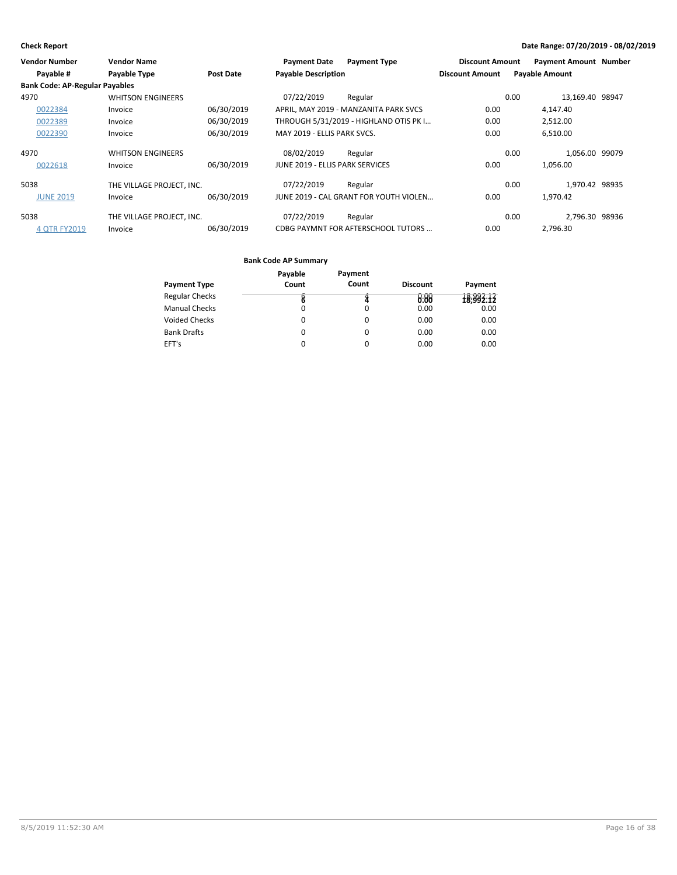| <b>Vendor Number</b>                  | <b>Vendor Name</b>        |            | <b>Payment Date</b>             | <b>Payment Type</b>                    | <b>Discount Amount</b> | <b>Payment Amount Number</b> |  |
|---------------------------------------|---------------------------|------------|---------------------------------|----------------------------------------|------------------------|------------------------------|--|
| Payable #                             | Payable Type              | Post Date  | <b>Payable Description</b>      |                                        | <b>Discount Amount</b> | <b>Payable Amount</b>        |  |
| <b>Bank Code: AP-Regular Payables</b> |                           |            |                                 |                                        |                        |                              |  |
| 4970                                  | <b>WHITSON ENGINEERS</b>  |            | 07/22/2019                      | Regular                                |                        | 13,169.40 98947<br>0.00      |  |
| 0022384                               | Invoice                   | 06/30/2019 |                                 | APRIL, MAY 2019 - MANZANITA PARK SVCS  | 0.00                   | 4,147.40                     |  |
| 0022389                               | Invoice                   | 06/30/2019 |                                 | THROUGH 5/31/2019 - HIGHLAND OTIS PK I | 0.00                   | 2,512.00                     |  |
| 0022390                               | Invoice                   | 06/30/2019 | MAY 2019 - ELLIS PARK SVCS.     |                                        | 0.00                   | 6,510.00                     |  |
| 4970                                  | <b>WHITSON ENGINEERS</b>  |            | 08/02/2019                      | Regular                                |                        | 1,056.00 99079<br>0.00       |  |
| 0022618                               | Invoice                   | 06/30/2019 | JUNE 2019 - ELLIS PARK SERVICES |                                        | 0.00                   | 1.056.00                     |  |
| 5038                                  | THE VILLAGE PROJECT, INC. |            | 07/22/2019                      | Regular                                |                        | 1.970.42 98935<br>0.00       |  |
| <b>JUNE 2019</b>                      | Invoice                   | 06/30/2019 |                                 | JUNE 2019 - CAL GRANT FOR YOUTH VIOLEN | 0.00                   | 1.970.42                     |  |
| 5038                                  | THE VILLAGE PROJECT, INC. |            | 07/22/2019                      | Regular                                |                        | 2.796.30 98936<br>0.00       |  |
| 4 OTR FY2019                          | Invoice                   | 06/30/2019 |                                 | CDBG PAYMNT FOR AFTERSCHOOL TUTORS     | 0.00                   | 2.796.30                     |  |

|                       | Payable | Payment |                 |           |
|-----------------------|---------|---------|-----------------|-----------|
| <b>Payment Type</b>   | Count   | Count   | <b>Discount</b> | Payment   |
| <b>Regular Checks</b> |         |         | 8:88            | 18:992:12 |
| <b>Manual Checks</b>  |         | 0       | 0.00            | 0.00      |
| <b>Voided Checks</b>  | 0       | 0       | 0.00            | 0.00      |
| <b>Bank Drafts</b>    | 0       | 0       | 0.00            | 0.00      |
| EFT's                 |         | 0       | 0.00            | 0.00      |
|                       |         |         |                 |           |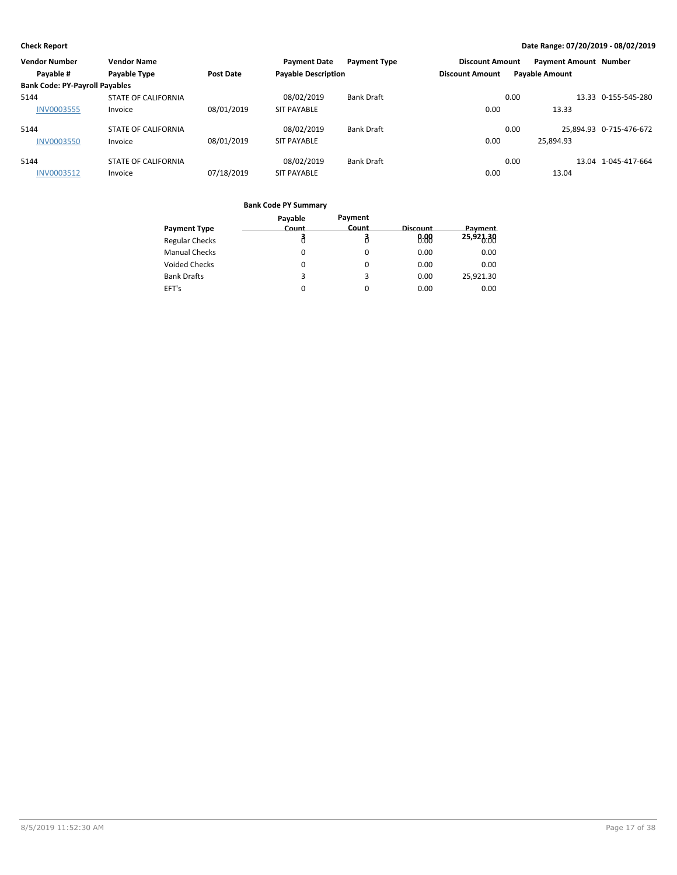| <b>Vendor Number</b>                  | <b>Vendor Name</b>         |                  | <b>Payment Date</b>        | <b>Payment Type</b> | <b>Discount Amount</b> |      | <b>Payment Amount Number</b> |                         |
|---------------------------------------|----------------------------|------------------|----------------------------|---------------------|------------------------|------|------------------------------|-------------------------|
| Payable #                             | Payable Type               | <b>Post Date</b> | <b>Payable Description</b> |                     | <b>Discount Amount</b> |      | <b>Payable Amount</b>        |                         |
| <b>Bank Code: PY-Payroll Payables</b> |                            |                  |                            |                     |                        |      |                              |                         |
| 5144                                  | <b>STATE OF CALIFORNIA</b> |                  | 08/02/2019                 | <b>Bank Draft</b>   |                        | 0.00 |                              | 13.33 0-155-545-280     |
| <b>INV0003555</b>                     | Invoice                    | 08/01/2019       | <b>SIT PAYABLE</b>         |                     | 0.00                   |      | 13.33                        |                         |
| 5144                                  | <b>STATE OF CALIFORNIA</b> |                  | 08/02/2019                 | <b>Bank Draft</b>   |                        | 0.00 |                              | 25.894.93 0-715-476-672 |
| <b>INV0003550</b>                     | Invoice                    | 08/01/2019       | <b>SIT PAYABLE</b>         |                     | 0.00                   |      | 25.894.93                    |                         |
| 5144                                  | <b>STATE OF CALIFORNIA</b> |                  | 08/02/2019                 | <b>Bank Draft</b>   |                        | 0.00 |                              | 13.04 1-045-417-664     |
| <b>INV0003512</b>                     | Invoice                    | 07/18/2019       | <b>SIT PAYABLE</b>         |                     | 0.00                   |      | 13.04                        |                         |

|                       | Payable | Payment      |                 |           |
|-----------------------|---------|--------------|-----------------|-----------|
| <b>Payment Type</b>   | Count   | <b>Count</b> | <b>Discount</b> | Payment   |
| <b>Regular Checks</b> |         |              | 0.88            | 25,921.30 |
| <b>Manual Checks</b>  | 0       | $\Omega$     | 0.00            | 0.00      |
| Voided Checks         |         | 0            | 0.00            | 0.00      |
| <b>Bank Drafts</b>    | 3       | 3            | 0.00            | 25,921.30 |
| EFT's                 |         | 0            | 0.00            | 0.00      |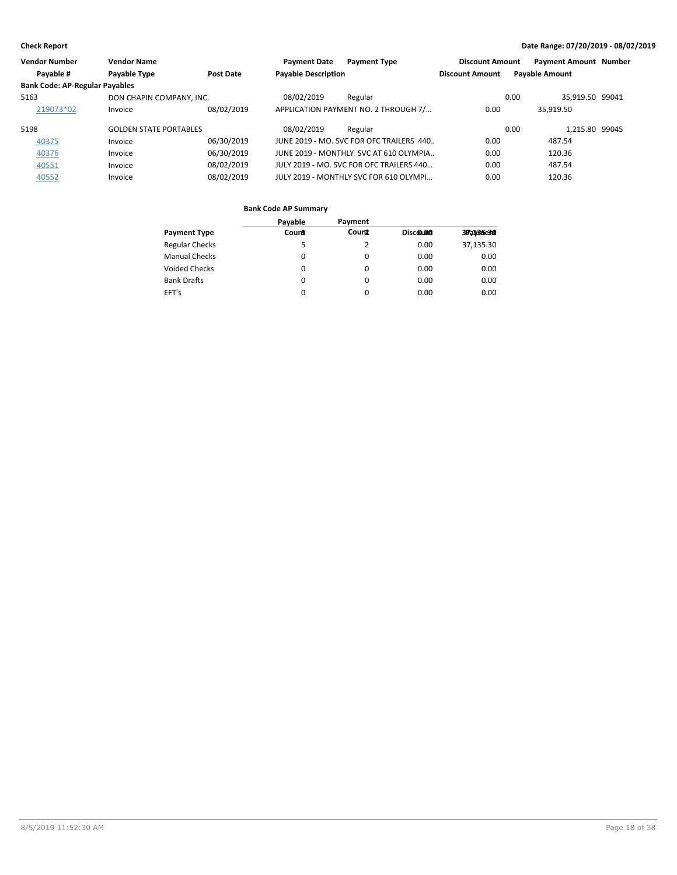| <b>Vendor Number</b>                  | <b>Vendor Name</b>            |                  | <b>Payment Date</b>        | <b>Payment Type</b>                      | <b>Discount Amount</b> | <b>Payment Amount Number</b> |  |
|---------------------------------------|-------------------------------|------------------|----------------------------|------------------------------------------|------------------------|------------------------------|--|
| Payable #                             | Payable Type                  | <b>Post Date</b> | <b>Payable Description</b> |                                          | <b>Discount Amount</b> | <b>Payable Amount</b>        |  |
| <b>Bank Code: AP-Regular Payables</b> |                               |                  |                            |                                          |                        |                              |  |
| 5163                                  | DON CHAPIN COMPANY, INC.      |                  | 08/02/2019                 | Regular                                  |                        | 35.919.50 99041<br>0.00      |  |
| 219073*02                             | Invoice                       | 08/02/2019       |                            | APPLICATION PAYMENT NO. 2 THROUGH 7/     | 0.00                   | 35.919.50                    |  |
| 5198                                  | <b>GOLDEN STATE PORTABLES</b> |                  | 08/02/2019                 | Regular                                  |                        | 1.215.80 99045<br>0.00       |  |
| 40375                                 | Invoice                       | 06/30/2019       |                            | JUNE 2019 - MO. SVC FOR OFC TRAILERS 440 | 0.00                   | 487.54                       |  |
| 40376                                 | Invoice                       | 06/30/2019       |                            | JUNE 2019 - MONTHLY SVC AT 610 OLYMPIA   | 0.00                   | 120.36                       |  |
| 40551                                 | Invoice                       | 08/02/2019       |                            | JULY 2019 - MO. SVC FOR OFC TRAILERS 440 | 0.00                   | 487.54                       |  |
| 40552                                 | Invoice                       | 08/02/2019       |                            | JULY 2019 - MONTHLY SVC FOR 610 OLYMPI   | 0.00                   | 120.36                       |  |

|                       | Payable | Payment |          |            |
|-----------------------|---------|---------|----------|------------|
| <b>Payment Type</b>   | Count   | Count   | Discolon | 37a1/35e30 |
| <b>Regular Checks</b> | 5       |         | 0.00     | 37,135.30  |
| <b>Manual Checks</b>  | 0       | 0       | 0.00     | 0.00       |
| Voided Checks         | 0       | 0       | 0.00     | 0.00       |
| <b>Bank Drafts</b>    | 0       | 0       | 0.00     | 0.00       |
| EFT's                 | 0       | 0       | 0.00     | 0.00       |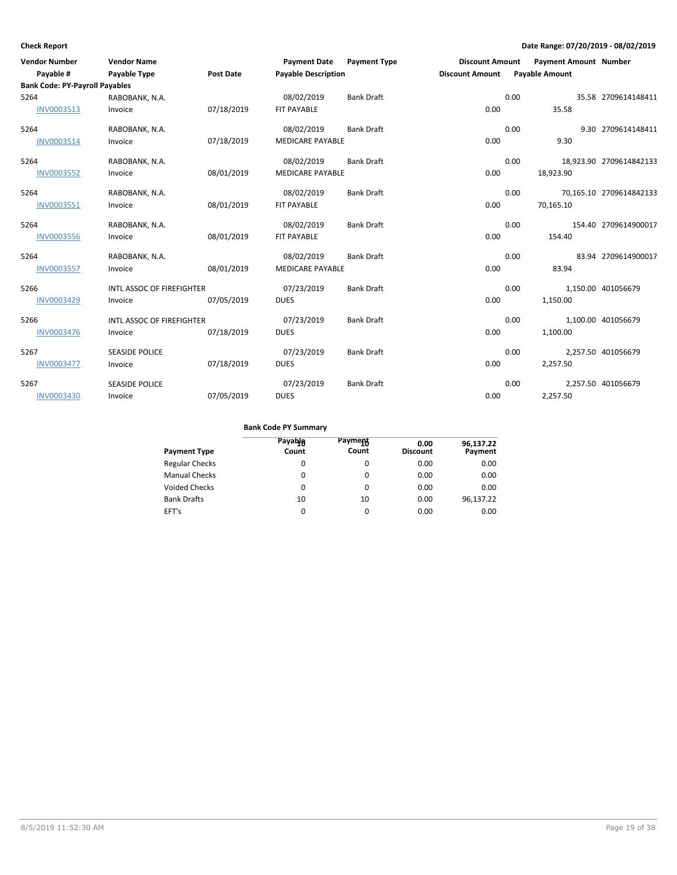| <b>Vendor Number</b>                  | <b>Vendor Name</b>        |                  | <b>Payment Date</b>        | <b>Payment Type</b> | <b>Discount Amount</b> |                       | Payment Amount Number |                         |
|---------------------------------------|---------------------------|------------------|----------------------------|---------------------|------------------------|-----------------------|-----------------------|-------------------------|
| Payable #                             | Payable Type              | <b>Post Date</b> | <b>Payable Description</b> |                     | <b>Discount Amount</b> | <b>Payable Amount</b> |                       |                         |
| <b>Bank Code: PY-Payroll Payables</b> |                           |                  |                            |                     |                        |                       |                       |                         |
| 5264                                  | RABOBANK, N.A.            |                  | 08/02/2019                 | <b>Bank Draft</b>   |                        | 0.00                  |                       | 35.58 2709614148411     |
| INV0003513                            | Invoice                   | 07/18/2019       | FIT PAYABLE                |                     | 0.00                   |                       | 35.58                 |                         |
| 5264                                  | RABOBANK, N.A.            |                  | 08/02/2019                 | <b>Bank Draft</b>   |                        | 0.00                  |                       | 9.30 2709614148411      |
| INV0003514                            | Invoice                   | 07/18/2019       | <b>MEDICARE PAYABLE</b>    |                     | 0.00                   |                       | 9.30                  |                         |
| 5264                                  | RABOBANK, N.A.            |                  | 08/02/2019                 | <b>Bank Draft</b>   |                        | 0.00                  |                       | 18,923.90 2709614842133 |
| <b>INV0003552</b>                     | Invoice                   | 08/01/2019       | <b>MEDICARE PAYABLE</b>    |                     | 0.00                   |                       | 18,923.90             |                         |
| 5264                                  | RABOBANK, N.A.            |                  | 08/02/2019                 | <b>Bank Draft</b>   |                        | 0.00                  |                       | 70,165.10 2709614842133 |
| <b>INV0003551</b>                     | Invoice                   | 08/01/2019       | FIT PAYABLE                |                     | 0.00                   |                       | 70,165.10             |                         |
| 5264                                  | RABOBANK, N.A.            |                  | 08/02/2019                 | <b>Bank Draft</b>   |                        | 0.00                  |                       | 154.40 2709614900017    |
| <b>INV0003556</b>                     | Invoice                   | 08/01/2019       | FIT PAYABLE                |                     | 0.00                   |                       | 154.40                |                         |
| 5264                                  | RABOBANK, N.A.            |                  | 08/02/2019                 | <b>Bank Draft</b>   |                        | 0.00                  |                       | 83.94 2709614900017     |
| <b>INV0003557</b>                     | Invoice                   | 08/01/2019       | <b>MEDICARE PAYABLE</b>    |                     | 0.00                   |                       | 83.94                 |                         |
| 5266                                  | INTL ASSOC OF FIREFIGHTER |                  | 07/23/2019                 | <b>Bank Draft</b>   |                        | 0.00                  |                       | 1,150.00 401056679      |
| <b>INV0003429</b>                     | Invoice                   | 07/05/2019       | <b>DUES</b>                |                     | 0.00                   |                       | 1,150.00              |                         |
| 5266                                  | INTL ASSOC OF FIREFIGHTER |                  | 07/23/2019                 | <b>Bank Draft</b>   |                        | 0.00                  |                       | 1,100.00 401056679      |
| <b>INV0003476</b>                     | Invoice                   | 07/18/2019       | <b>DUES</b>                |                     | 0.00                   |                       | 1,100.00              |                         |
| 5267                                  | <b>SEASIDE POLICE</b>     |                  | 07/23/2019                 | <b>Bank Draft</b>   |                        | 0.00                  |                       | 2,257.50 401056679      |
| <b>INV0003477</b>                     | Invoice                   | 07/18/2019       | <b>DUES</b>                |                     | 0.00                   |                       | 2,257.50              |                         |
| 5267                                  | <b>SEASIDE POLICE</b>     |                  | 07/23/2019                 | <b>Bank Draft</b>   |                        | 0.00                  |                       | 2,257.50 401056679      |
| <b>INV0003430</b>                     | Invoice                   | 07/05/2019       | <b>DUES</b>                |                     | 0.00                   |                       | 2,257.50              |                         |

| Count | Count    | 0.00<br><b>Discount</b> | 96,137.22<br>Payment |
|-------|----------|-------------------------|----------------------|
| 0     | 0        | 0.00                    | 0.00                 |
| 0     | $\Omega$ | 0.00                    | 0.00                 |
| 0     | 0        | 0.00                    | 0.00                 |
| 10    | 10       | 0.00                    | 96,137.22            |
| 0     | $\Omega$ | 0.00                    | 0.00                 |
|       | Payabla  | Payment                 |                      |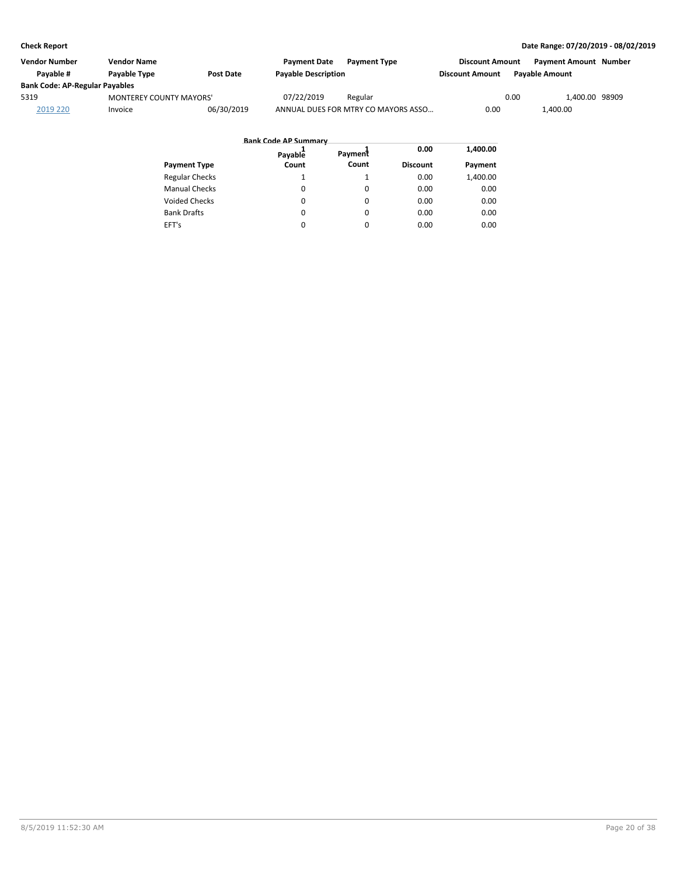| Vendor Number                         | <b>Vendor Name</b>             |                  | <b>Payment Date</b>        | <b>Payment Type</b>                 | <b>Discount Amount</b> | <b>Payment Amount Number</b> |  |
|---------------------------------------|--------------------------------|------------------|----------------------------|-------------------------------------|------------------------|------------------------------|--|
| Pavable #                             | Payable Type                   | <b>Post Date</b> | <b>Payable Description</b> |                                     | <b>Discount Amount</b> | <b>Pavable Amount</b>        |  |
| <b>Bank Code: AP-Regular Payables</b> |                                |                  |                            |                                     |                        |                              |  |
| 5319                                  | <b>MONTEREY COUNTY MAYORS'</b> |                  | 07/22/2019                 | Regular                             |                        | 0.00<br>1.400.00 98909       |  |
| 2019 220                              | Invoice                        | 06/30/2019       |                            | ANNUAL DUES FOR MTRY CO MAYORS ASSO | 0.00                   | 1.400.00                     |  |

|                       | <b>Bank Code AP Summary</b> |          |                 |          |
|-----------------------|-----------------------------|----------|-----------------|----------|
|                       | Payable                     | Payment  | 0.00            | 1,400.00 |
| <b>Payment Type</b>   | Count                       | Count    | <b>Discount</b> | Payment  |
| <b>Regular Checks</b> |                             |          | 0.00            | 1,400.00 |
| <b>Manual Checks</b>  | 0                           | $\Omega$ | 0.00            | 0.00     |
| <b>Voided Checks</b>  | 0                           | $\Omega$ | 0.00            | 0.00     |
| <b>Bank Drafts</b>    | 0                           | $\Omega$ | 0.00            | 0.00     |
| EFT's                 | 0                           | $\Omega$ | 0.00            | 0.00     |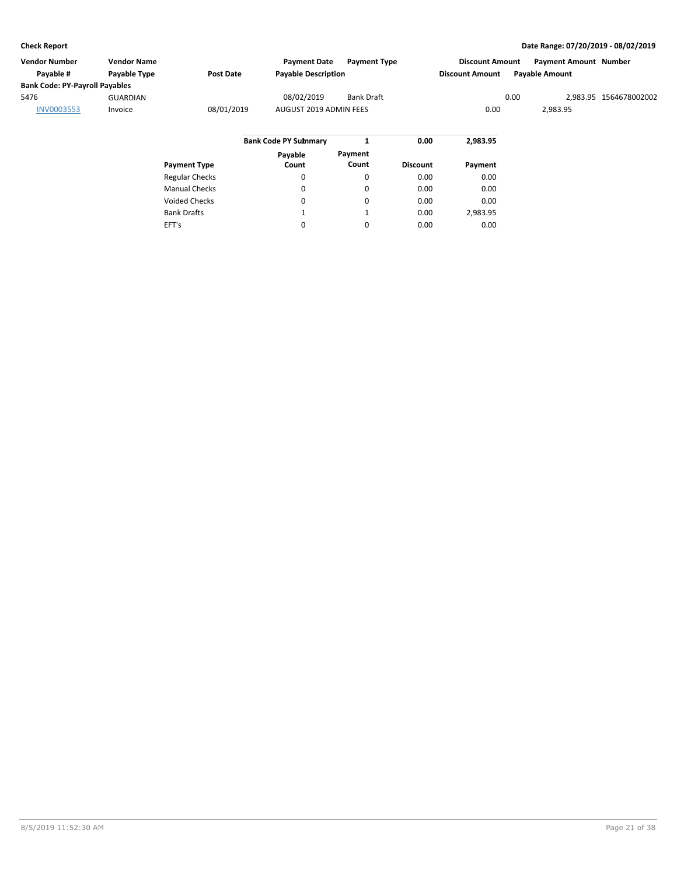| <b>Vendor Number</b>                  | <b>Vendor Name</b> |                  | <b>Payment Date</b>          | <b>Payment Type</b> |      | <b>Discount Amount</b> |      | Payment Amount Number |                        |
|---------------------------------------|--------------------|------------------|------------------------------|---------------------|------|------------------------|------|-----------------------|------------------------|
| Payable #                             | Payable Type       | <b>Post Date</b> | <b>Payable Description</b>   |                     |      | <b>Discount Amount</b> |      | <b>Pavable Amount</b> |                        |
| <b>Bank Code: PY-Payroll Payables</b> |                    |                  |                              |                     |      |                        |      |                       |                        |
| 5476                                  | <b>GUARDIAN</b>    |                  | 08/02/2019                   | <b>Bank Draft</b>   |      |                        | 0.00 |                       | 2.983.95 1564678002002 |
| INV0003553                            | Invoice            | 08/01/2019       | AUGUST 2019 ADMIN FEES       |                     |      | 0.00                   |      | 2,983.95              |                        |
|                                       |                    |                  | <b>Bank Code PY Sulmmary</b> |                     | 0.00 | 2.983.95               |      |                       |                        |

|                       | Payable | Payment  |                 |          |
|-----------------------|---------|----------|-----------------|----------|
| <b>Payment Type</b>   | Count   | Count    | <b>Discount</b> | Payment  |
| <b>Regular Checks</b> | 0       | 0        | 0.00            | 0.00     |
| <b>Manual Checks</b>  | 0       | 0        | 0.00            | 0.00     |
| Voided Checks         | 0       | $\Omega$ | 0.00            | 0.00     |
| <b>Bank Drafts</b>    | 1       | 1        | 0.00            | 2,983.95 |
| EFT's                 | 0       | $\Omega$ | 0.00            | 0.00     |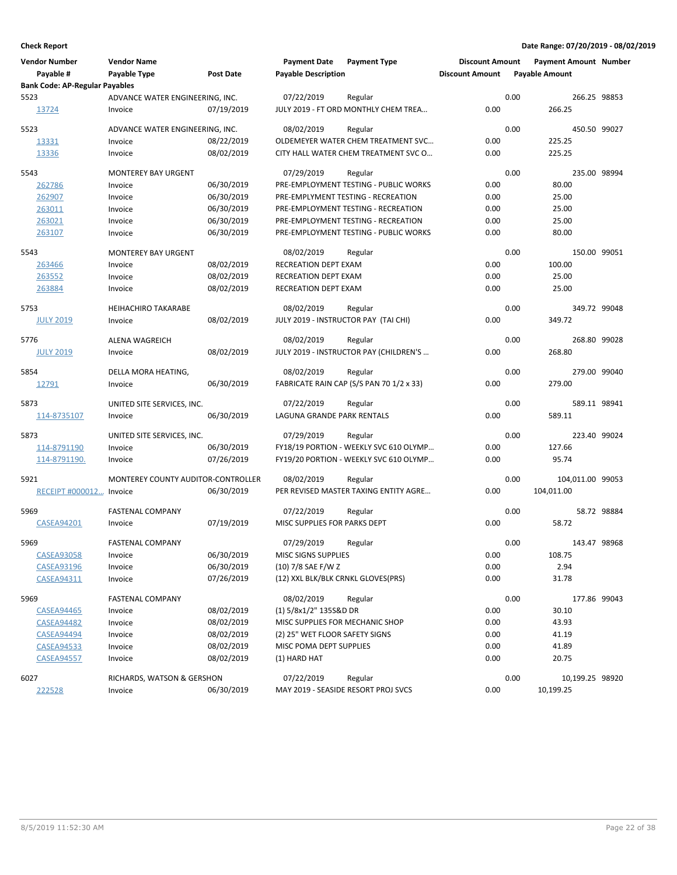| <b>Vendor Number</b>                  | <b>Vendor Name</b>                 |            | <b>Payment Date</b>                  | <b>Payment Type</b>                                 | <b>Discount Amount</b> |      | <b>Payment Amount Number</b> |             |
|---------------------------------------|------------------------------------|------------|--------------------------------------|-----------------------------------------------------|------------------------|------|------------------------------|-------------|
| Payable #                             | Payable Type                       | Post Date  | <b>Payable Description</b>           |                                                     | <b>Discount Amount</b> |      | <b>Payable Amount</b>        |             |
| <b>Bank Code: AP-Regular Payables</b> |                                    |            |                                      |                                                     |                        |      |                              |             |
| 5523                                  | ADVANCE WATER ENGINEERING, INC.    |            | 07/22/2019                           | Regular                                             |                        | 0.00 | 266.25 98853                 |             |
| 13724                                 | Invoice                            | 07/19/2019 |                                      | JULY 2019 - FT ORD MONTHLY CHEM TREA                | 0.00                   |      | 266.25                       |             |
| 5523                                  | ADVANCE WATER ENGINEERING, INC.    |            | 08/02/2019                           | Regular                                             |                        | 0.00 | 450.50 99027                 |             |
| 13331                                 | Invoice                            | 08/22/2019 |                                      | OLDEMEYER WATER CHEM TREATMENT SVC                  | 0.00                   |      | 225.25                       |             |
| 13336                                 | Invoice                            | 08/02/2019 |                                      | CITY HALL WATER CHEM TREATMENT SVC O                | 0.00                   |      | 225.25                       |             |
| 5543                                  | <b>MONTEREY BAY URGENT</b>         |            | 07/29/2019                           | Regular                                             |                        | 0.00 | 235.00 98994                 |             |
| 262786                                | Invoice                            | 06/30/2019 |                                      | PRE-EMPLOYMENT TESTING - PUBLIC WORKS               | 0.00                   |      | 80.00                        |             |
| 262907                                | Invoice                            | 06/30/2019 |                                      | PRE-EMPLYMENT TESTING - RECREATION                  | 0.00                   |      | 25.00                        |             |
| 263011                                | Invoice                            | 06/30/2019 |                                      | PRE-EMPLOYMENT TESTING - RECREATION                 | 0.00                   |      | 25.00                        |             |
| 263021                                | Invoice                            | 06/30/2019 |                                      | PRE-EMPLOYMENT TESTING - RECREATION                 | 0.00                   |      | 25.00                        |             |
| 263107                                | Invoice                            | 06/30/2019 |                                      | PRE-EMPLOYMENT TESTING - PUBLIC WORKS               | 0.00                   |      | 80.00                        |             |
| 5543                                  | <b>MONTEREY BAY URGENT</b>         |            | 08/02/2019                           | Regular                                             |                        | 0.00 | 150.00 99051                 |             |
| 263466                                | Invoice                            | 08/02/2019 | RECREATION DEPT EXAM                 |                                                     | 0.00                   |      | 100.00                       |             |
| 263552                                | Invoice                            | 08/02/2019 | RECREATION DEPT EXAM                 |                                                     | 0.00                   |      | 25.00                        |             |
| 263884                                | Invoice                            | 08/02/2019 | RECREATION DEPT EXAM                 |                                                     | 0.00                   |      | 25.00                        |             |
| 5753                                  | <b>HEIHACHIRO TAKARABE</b>         |            | 08/02/2019                           | Regular                                             |                        | 0.00 | 349.72 99048                 |             |
| <b>JULY 2019</b>                      | Invoice                            | 08/02/2019 | JULY 2019 - INSTRUCTOR PAY (TAI CHI) |                                                     | 0.00                   |      | 349.72                       |             |
| 5776                                  | ALENA WAGREICH                     |            | 08/02/2019                           | Regular                                             |                        | 0.00 | 268.80 99028                 |             |
| <b>JULY 2019</b>                      | Invoice                            | 08/02/2019 |                                      | JULY 2019 - INSTRUCTOR PAY (CHILDREN'S              | 0.00                   |      | 268.80                       |             |
| 5854                                  |                                    |            | 08/02/2019                           |                                                     |                        | 0.00 | 279.00 99040                 |             |
| <u> 12791</u>                         | DELLA MORA HEATING,<br>Invoice     | 06/30/2019 |                                      | Regular<br>FABRICATE RAIN CAP (S/S PAN 70 1/2 x 33) | 0.00                   |      | 279.00                       |             |
|                                       |                                    |            |                                      |                                                     |                        |      |                              |             |
| 5873                                  | UNITED SITE SERVICES, INC.         |            | 07/22/2019                           | Regular                                             |                        | 0.00 | 589.11 98941                 |             |
| 114-8735107                           | Invoice                            | 06/30/2019 | LAGUNA GRANDE PARK RENTALS           |                                                     | 0.00                   |      | 589.11                       |             |
| 5873                                  | UNITED SITE SERVICES, INC.         |            | 07/29/2019                           | Regular                                             |                        | 0.00 | 223.40 99024                 |             |
| 114-8791190                           | Invoice                            | 06/30/2019 |                                      | FY18/19 PORTION - WEEKLY SVC 610 OLYMP              | 0.00                   |      | 127.66                       |             |
| 114-8791190.                          | Invoice                            | 07/26/2019 |                                      | FY19/20 PORTION - WEEKLY SVC 610 OLYMP              | 0.00                   |      | 95.74                        |             |
| 5921                                  | MONTEREY COUNTY AUDITOR-CONTROLLER |            | 08/02/2019                           | Regular                                             |                        | 0.00 | 104,011.00 99053             |             |
| RECEIPT #000012 Invoice               |                                    | 06/30/2019 |                                      | PER REVISED MASTER TAXING ENTITY AGRE               | 0.00                   |      | 104,011.00                   |             |
| 5969                                  | <b>FASTENAL COMPANY</b>            |            | 07/22/2019                           | Regular                                             |                        | 0.00 |                              | 58.72 98884 |
| <b>CASEA94201</b>                     | Invoice                            | 07/19/2019 | MISC SUPPLIES FOR PARKS DEPT         |                                                     | 0.00                   |      | 58.72                        |             |
| 5969                                  | FASTENAL COMPANY                   |            | 07/29/2019                           | Regular                                             |                        | 0.00 | 143.47 98968                 |             |
| <b>CASEA93058</b>                     | Invoice                            | 06/30/2019 | MISC SIGNS SUPPLIES                  |                                                     | 0.00                   |      | 108.75                       |             |
| <b>CASEA93196</b>                     | Invoice                            | 06/30/2019 | (10) 7/8 SAE F/W Z                   |                                                     | 0.00                   |      | 2.94                         |             |
| <b>CASEA94311</b>                     | Invoice                            | 07/26/2019 | (12) XXL BLK/BLK CRNKL GLOVES(PRS)   |                                                     | 0.00                   |      | 31.78                        |             |
| 5969                                  | <b>FASTENAL COMPANY</b>            |            | 08/02/2019                           | Regular                                             |                        | 0.00 | 177.86 99043                 |             |
| <b>CASEA94465</b>                     | Invoice                            | 08/02/2019 | (1) 5/8x1/2" 135S&D DR               |                                                     | 0.00                   |      | 30.10                        |             |
| <b>CASEA94482</b>                     | Invoice                            | 08/02/2019 | MISC SUPPLIES FOR MECHANIC SHOP      |                                                     | 0.00                   |      | 43.93                        |             |
| CASEA94494                            | Invoice                            | 08/02/2019 | (2) 25" WET FLOOR SAFETY SIGNS       |                                                     | 0.00                   |      | 41.19                        |             |
| <b>CASEA94533</b>                     | Invoice                            | 08/02/2019 | MISC POMA DEPT SUPPLIES              |                                                     | 0.00                   |      | 41.89                        |             |
| <b>CASEA94557</b>                     | Invoice                            | 08/02/2019 | (1) HARD HAT                         |                                                     | 0.00                   |      | 20.75                        |             |
|                                       |                                    |            |                                      |                                                     |                        |      |                              |             |
| 6027                                  | RICHARDS, WATSON & GERSHON         |            | 07/22/2019                           | Regular                                             |                        | 0.00 | 10,199.25 98920              |             |
| 222528                                | Invoice                            | 06/30/2019 | MAY 2019 - SEASIDE RESORT PROJ SVCS  |                                                     | 0.00                   |      | 10,199.25                    |             |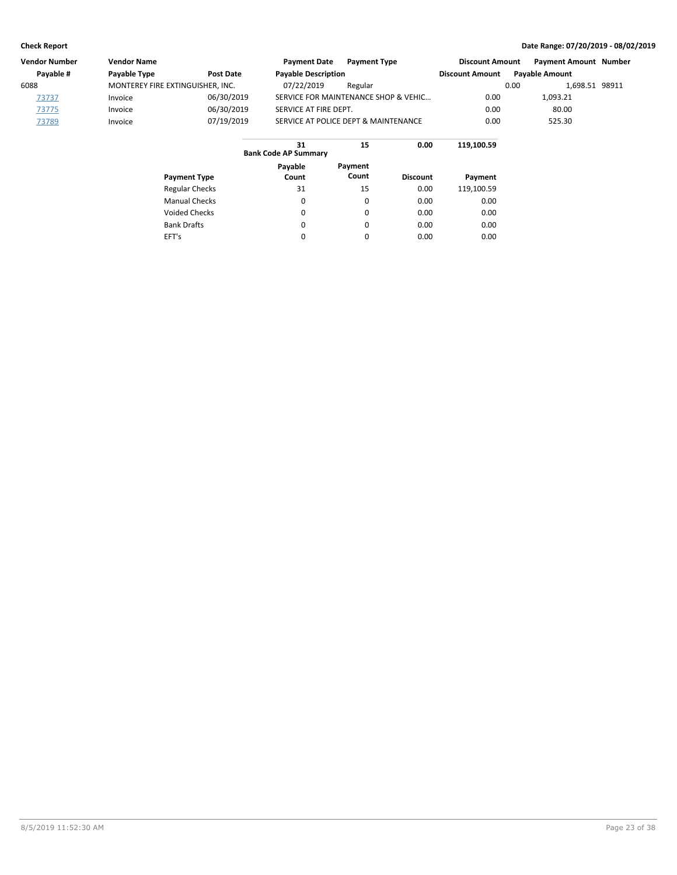| Vendor Number | <b>Vendor Name</b>               |            | <b>Payment Date</b>        | <b>Payment Type</b>                  | <b>Discount Amount</b> |      | <b>Payment Amount Number</b> |  |
|---------------|----------------------------------|------------|----------------------------|--------------------------------------|------------------------|------|------------------------------|--|
| Pavable #     | Payable Type                     | Post Date  | <b>Payable Description</b> |                                      | <b>Discount Amount</b> |      | <b>Pavable Amount</b>        |  |
| 6088          | MONTEREY FIRE EXTINGUISHER, INC. |            | 07/22/2019                 | Regular                              |                        | 0.00 | 1.698.51 98911               |  |
| 73737         | Invoice                          | 06/30/2019 |                            | SERVICE FOR MAINTENANCE SHOP & VEHIC | 0.00                   |      | l,093.21                     |  |
| 73775         | Invoice                          | 06/30/2019 | SERVICE AT FIRE DEPT.      |                                      | 0.00                   |      | 80.00                        |  |
| 73789         | Invoice                          | 07/19/2019 |                            | SERVICE AT POLICE DEPT & MAINTENANCE | 0.00                   |      | 525.30                       |  |
|               |                                  |            |                            |                                      |                        |      |                              |  |

|                       | 31<br><b>Bank Code AP Summary</b> | 15               | 0.00            | 119,100.59 |
|-----------------------|-----------------------------------|------------------|-----------------|------------|
| <b>Payment Type</b>   | Payable<br>Count                  | Payment<br>Count | <b>Discount</b> | Payment    |
| <b>Regular Checks</b> | 31                                | 15               | 0.00            | 119,100.59 |
| <b>Manual Checks</b>  | $\Omega$                          | 0                | 0.00            | 0.00       |
| <b>Voided Checks</b>  | $\Omega$                          | 0                | 0.00            | 0.00       |
| <b>Bank Drafts</b>    | $\Omega$                          | 0                | 0.00            | 0.00       |
| EFT's                 | $\Omega$                          | $\Omega$         | 0.00            | 0.00       |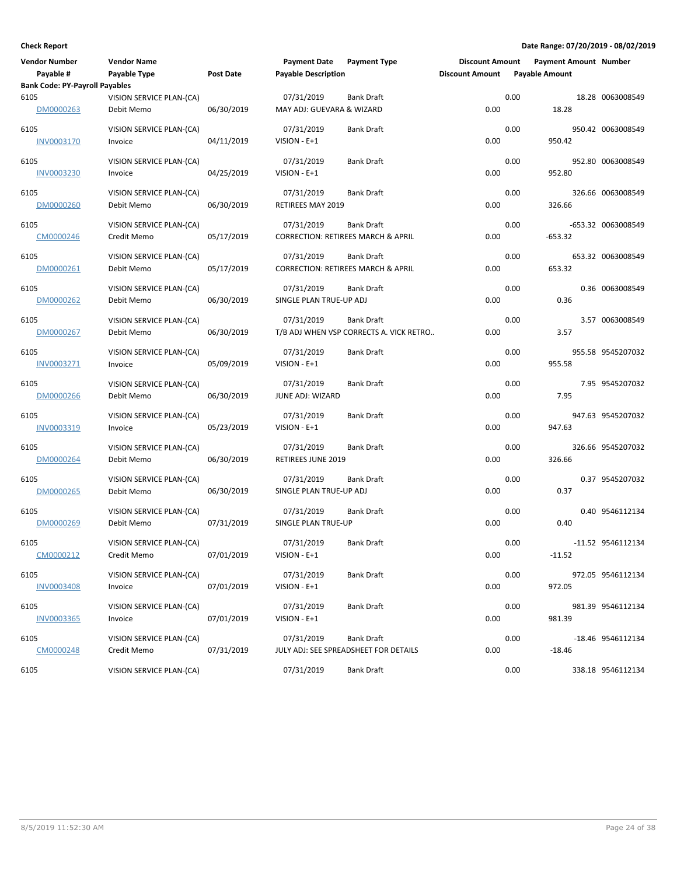| <b>Vendor Number</b>                  | <b>Vendor Name</b>                  |            | <b>Payment Date</b>                           | <b>Payment Type</b>                     | <b>Discount Amount</b> |      | <b>Payment Amount Number</b> |                    |
|---------------------------------------|-------------------------------------|------------|-----------------------------------------------|-----------------------------------------|------------------------|------|------------------------------|--------------------|
| Payable #                             | Payable Type                        | Post Date  | <b>Payable Description</b>                    |                                         | <b>Discount Amount</b> |      | <b>Payable Amount</b>        |                    |
| <b>Bank Code: PY-Payroll Payables</b> |                                     |            |                                               |                                         |                        |      |                              |                    |
| 6105                                  | VISION SERVICE PLAN-(CA)            |            | 07/31/2019                                    | <b>Bank Draft</b>                       |                        | 0.00 |                              | 18.28 0063008549   |
| DM0000263                             | Debit Memo                          | 06/30/2019 | MAY ADJ: GUEVARA & WIZARD                     |                                         | 0.00                   |      | 18.28                        |                    |
| 6105                                  | VISION SERVICE PLAN-(CA)            |            | 07/31/2019                                    | Bank Draft                              |                        | 0.00 |                              | 950.42 0063008549  |
| <b>INV0003170</b>                     | Invoice                             | 04/11/2019 | VISION - E+1                                  |                                         | 0.00                   |      | 950.42                       |                    |
|                                       |                                     |            |                                               |                                         |                        |      |                              |                    |
| 6105<br>INV0003230                    | VISION SERVICE PLAN-(CA)<br>Invoice | 04/25/2019 | 07/31/2019<br>VISION - E+1                    | Bank Draft                              | 0.00                   | 0.00 | 952.80                       | 952.80 0063008549  |
|                                       |                                     |            |                                               |                                         |                        |      |                              |                    |
| 6105                                  | VISION SERVICE PLAN-(CA)            |            | 07/31/2019                                    | Bank Draft                              |                        | 0.00 |                              | 326.66 0063008549  |
| DM0000260                             | Debit Memo                          | 06/30/2019 | RETIREES MAY 2019                             |                                         | 0.00                   |      | 326.66                       |                    |
| 6105                                  | VISION SERVICE PLAN-(CA)            |            | 07/31/2019                                    | Bank Draft                              |                        | 0.00 |                              | -653.32 0063008549 |
| CM0000246                             | Credit Memo                         | 05/17/2019 | <b>CORRECTION: RETIREES MARCH &amp; APRIL</b> |                                         | 0.00                   |      | $-653.32$                    |                    |
|                                       |                                     |            |                                               |                                         |                        |      |                              |                    |
| 6105                                  | VISION SERVICE PLAN-(CA)            |            | 07/31/2019                                    | <b>Bank Draft</b>                       |                        | 0.00 |                              | 653.32 0063008549  |
| DM0000261                             | Debit Memo                          | 05/17/2019 | <b>CORRECTION: RETIREES MARCH &amp; APRIL</b> |                                         | 0.00                   |      | 653.32                       |                    |
| 6105                                  | VISION SERVICE PLAN-(CA)            |            | 07/31/2019                                    | Bank Draft                              |                        | 0.00 |                              | 0.36 0063008549    |
| DM0000262                             | Debit Memo                          | 06/30/2019 | SINGLE PLAN TRUE-UP ADJ                       |                                         | 0.00                   |      | 0.36                         |                    |
|                                       |                                     |            |                                               |                                         |                        |      |                              |                    |
| 6105                                  | VISION SERVICE PLAN-(CA)            |            | 07/31/2019                                    | Bank Draft                              |                        | 0.00 |                              | 3.57 0063008549    |
| DM0000267                             | Debit Memo                          | 06/30/2019 |                                               | T/B ADJ WHEN VSP CORRECTS A. VICK RETRO | 0.00                   |      | 3.57                         |                    |
| 6105                                  | VISION SERVICE PLAN-(CA)            |            | 07/31/2019                                    | Bank Draft                              |                        | 0.00 |                              | 955.58 9545207032  |
| INV0003271                            | Invoice                             | 05/09/2019 | VISION - E+1                                  |                                         | 0.00                   |      | 955.58                       |                    |
| 6105                                  | VISION SERVICE PLAN-(CA)            |            | 07/31/2019                                    | Bank Draft                              |                        | 0.00 |                              | 7.95 9545207032    |
| DM0000266                             | Debit Memo                          | 06/30/2019 | JUNE ADJ: WIZARD                              |                                         | 0.00                   |      | 7.95                         |                    |
|                                       |                                     |            |                                               |                                         |                        |      |                              |                    |
| 6105                                  | VISION SERVICE PLAN-(CA)            |            | 07/31/2019                                    | <b>Bank Draft</b>                       |                        | 0.00 |                              | 947.63 9545207032  |
| INV0003319                            | Invoice                             | 05/23/2019 | VISION - E+1                                  |                                         | 0.00                   |      | 947.63                       |                    |
| 6105                                  | VISION SERVICE PLAN-(CA)            |            | 07/31/2019                                    | Bank Draft                              |                        | 0.00 |                              | 326.66 9545207032  |
| DM0000264                             | Debit Memo                          | 06/30/2019 | RETIREES JUNE 2019                            |                                         | 0.00                   |      | 326.66                       |                    |
|                                       |                                     |            |                                               |                                         |                        |      |                              |                    |
| 6105                                  | VISION SERVICE PLAN-(CA)            |            | 07/31/2019                                    | Bank Draft                              |                        | 0.00 |                              | 0.37 9545207032    |
| DM0000265                             | Debit Memo                          | 06/30/2019 | SINGLE PLAN TRUE-UP ADJ                       |                                         | 0.00                   |      | 0.37                         |                    |
| 6105                                  | VISION SERVICE PLAN-(CA)            |            | 07/31/2019                                    | Bank Draft                              |                        | 0.00 |                              | 0.40 9546112134    |
| DM0000269                             | Debit Memo                          | 07/31/2019 | SINGLE PLAN TRUE-UP                           |                                         | 0.00                   |      | 0.40                         |                    |
| 6105                                  | VISION SERVICE PLAN-(CA)            |            | 07/31/2019                                    | Bank Draft                              |                        | 0.00 |                              | -11.52 9546112134  |
| CM0000212                             | Credit Memo                         | 07/01/2019 | VISION - E+1                                  |                                         | 0.00                   |      | $-11.52$                     |                    |
|                                       |                                     |            |                                               |                                         |                        |      |                              |                    |
| 6105                                  | VISION SERVICE PLAN-(CA)            |            | 07/31/2019                                    | <b>Bank Draft</b>                       |                        | 0.00 |                              | 972.05 9546112134  |
| <b>INV0003408</b>                     | Invoice                             | 07/01/2019 | VISION - E+1                                  |                                         | 0.00                   |      | 972.05                       |                    |
| 6105                                  | VISION SERVICE PLAN-(CA)            |            | 07/31/2019                                    | <b>Bank Draft</b>                       |                        | 0.00 |                              | 981.39 9546112134  |
| INV0003365                            | Invoice                             | 07/01/2019 | VISION - E+1                                  |                                         | 0.00                   |      | 981.39                       |                    |
|                                       |                                     |            |                                               |                                         |                        |      |                              |                    |
| 6105                                  | VISION SERVICE PLAN-(CA)            |            | 07/31/2019                                    | <b>Bank Draft</b>                       |                        | 0.00 |                              | -18.46 9546112134  |
| CM0000248                             | Credit Memo                         | 07/31/2019 |                                               | JULY ADJ: SEE SPREADSHEET FOR DETAILS   | 0.00                   |      | $-18.46$                     |                    |
| 6105                                  | VISION SERVICE PLAN-(CA)            |            | 07/31/2019                                    | <b>Bank Draft</b>                       |                        | 0.00 |                              | 338.18 9546112134  |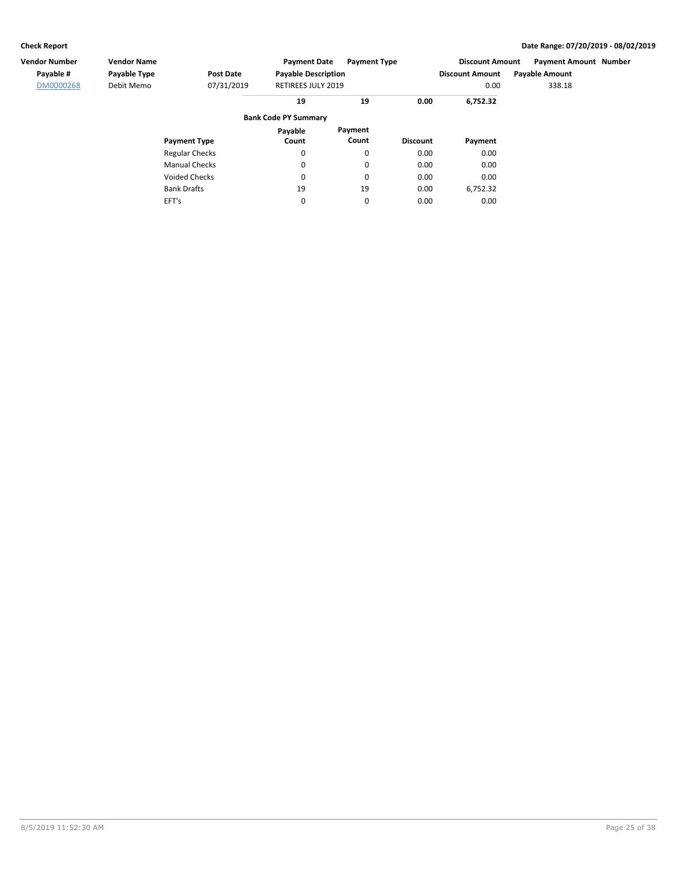| <b>Vendor Name</b><br>Vendor Number<br>Payable #<br>Payable Type<br>DM0000268<br>Debit Memo |       | Post Date<br>07/31/2019 | <b>Payment Date</b><br><b>Payable Description</b><br>RETIREES JULY 2019 | <b>Payment Type</b> |                 | <b>Discount Amount</b><br><b>Discount Amount</b><br>0.00 | <b>Payment Amount Number</b><br><b>Payable Amount</b><br>338.18 |
|---------------------------------------------------------------------------------------------|-------|-------------------------|-------------------------------------------------------------------------|---------------------|-----------------|----------------------------------------------------------|-----------------------------------------------------------------|
|                                                                                             |       |                         | 19                                                                      | 19                  | 0.00            | 6,752.32                                                 |                                                                 |
|                                                                                             |       |                         | <b>Bank Code PY Summary</b>                                             |                     |                 |                                                          |                                                                 |
|                                                                                             |       |                         | Payable                                                                 | Payment             |                 |                                                          |                                                                 |
|                                                                                             |       | <b>Payment Type</b>     | Count                                                                   | Count               | <b>Discount</b> | Payment                                                  |                                                                 |
|                                                                                             |       | <b>Regular Checks</b>   | 0                                                                       | 0                   | 0.00            | 0.00                                                     |                                                                 |
|                                                                                             |       | <b>Manual Checks</b>    | 0                                                                       | $\mathbf 0$         | 0.00            | 0.00                                                     |                                                                 |
|                                                                                             |       | <b>Voided Checks</b>    | 0                                                                       | $\mathbf 0$         | 0.00            | 0.00                                                     |                                                                 |
|                                                                                             |       | <b>Bank Drafts</b>      | 19                                                                      | 19                  | 0.00            | 6,752.32                                                 |                                                                 |
|                                                                                             | EFT's |                         | 0                                                                       | 0                   | 0.00            | 0.00                                                     |                                                                 |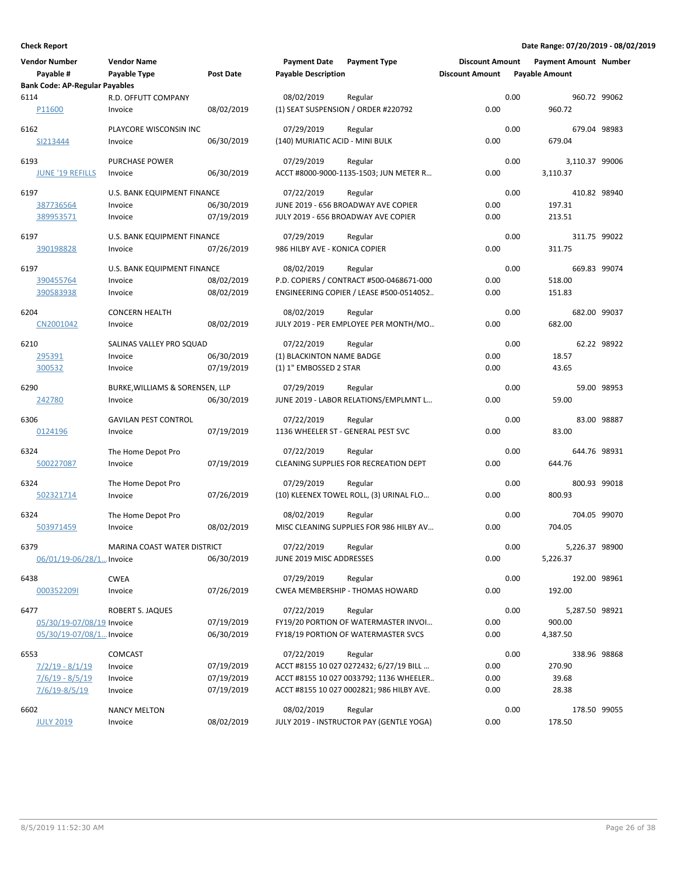| <b>Vendor Number</b>                  | <b>Vendor Name</b>              |            | <b>Payment Date</b>             | <b>Payment Type</b>                                                         | <b>Discount Amount</b> |      | <b>Payment Amount Number</b> |             |
|---------------------------------------|---------------------------------|------------|---------------------------------|-----------------------------------------------------------------------------|------------------------|------|------------------------------|-------------|
| Payable #                             | Payable Type                    | Post Date  | <b>Payable Description</b>      |                                                                             | <b>Discount Amount</b> |      | <b>Payable Amount</b>        |             |
| <b>Bank Code: AP-Regular Payables</b> |                                 |            |                                 |                                                                             |                        |      |                              |             |
| 6114                                  | R.D. OFFUTT COMPANY             |            | 08/02/2019                      | Regular                                                                     |                        | 0.00 | 960.72 99062                 |             |
| P11600                                | Invoice                         | 08/02/2019 |                                 | (1) SEAT SUSPENSION / ORDER #220792                                         | 0.00                   |      | 960.72                       |             |
| 6162                                  | PLAYCORE WISCONSIN INC          |            | 07/29/2019                      | Regular                                                                     |                        | 0.00 | 679.04 98983                 |             |
| SI213444                              | Invoice                         | 06/30/2019 | (140) MURIATIC ACID - MINI BULK |                                                                             | 0.00                   |      | 679.04                       |             |
| 6193                                  | PURCHASE POWER                  |            | 07/29/2019                      | Regular                                                                     |                        | 0.00 | 3,110.37 99006               |             |
| <b>JUNE '19 REFILLS</b>               | Invoice                         | 06/30/2019 |                                 | ACCT #8000-9000-1135-1503; JUN METER R                                      | 0.00                   |      | 3,110.37                     |             |
| 6197                                  | U.S. BANK EQUIPMENT FINANCE     |            | 07/22/2019                      | Regular                                                                     |                        | 0.00 | 410.82 98940                 |             |
| 387736564                             | Invoice                         | 06/30/2019 |                                 | JUNE 2019 - 656 BROADWAY AVE COPIER                                         | 0.00                   |      | 197.31                       |             |
| 389953571                             | Invoice                         | 07/19/2019 |                                 | JULY 2019 - 656 BROADWAY AVE COPIER                                         | 0.00                   |      | 213.51                       |             |
|                                       |                                 |            |                                 |                                                                             |                        |      |                              |             |
| 6197                                  | U.S. BANK EQUIPMENT FINANCE     |            | 07/29/2019                      | Regular                                                                     |                        | 0.00 | 311.75 99022                 |             |
| 390198828                             | Invoice                         | 07/26/2019 | 986 HILBY AVE - KONICA COPIER   |                                                                             | 0.00                   |      | 311.75                       |             |
| 6197                                  | U.S. BANK EQUIPMENT FINANCE     |            | 08/02/2019                      | Regular                                                                     |                        | 0.00 | 669.83 99074                 |             |
| 390455764                             | Invoice                         | 08/02/2019 |                                 | P.D. COPIERS / CONTRACT #500-0468671-000                                    | 0.00                   |      | 518.00                       |             |
| 390583938                             | Invoice                         | 08/02/2019 |                                 | ENGINEERING COPIER / LEASE #500-0514052                                     | 0.00                   |      | 151.83                       |             |
| 6204                                  | <b>CONCERN HEALTH</b>           |            | 08/02/2019                      | Regular                                                                     |                        | 0.00 | 682.00 99037                 |             |
| CN2001042                             | Invoice                         | 08/02/2019 |                                 | JULY 2019 - PER EMPLOYEE PER MONTH/MO                                       | 0.00                   |      | 682.00                       |             |
| 6210                                  | SALINAS VALLEY PRO SQUAD        |            | 07/22/2019                      | Regular                                                                     |                        | 0.00 |                              | 62.22 98922 |
|                                       | Invoice                         | 06/30/2019 | (1) BLACKINTON NAME BADGE       |                                                                             | 0.00                   |      | 18.57                        |             |
| <u> 295391</u><br>300532              | Invoice                         | 07/19/2019 | (1) 1" EMBOSSED 2 STAR          |                                                                             | 0.00                   |      | 43.65                        |             |
|                                       |                                 |            |                                 |                                                                             |                        |      |                              |             |
| 6290                                  | BURKE, WILLIAMS & SORENSEN, LLP |            | 07/29/2019                      | Regular                                                                     |                        | 0.00 |                              | 59.00 98953 |
| 242780                                | Invoice                         | 06/30/2019 |                                 | JUNE 2019 - LABOR RELATIONS/EMPLMNT L                                       | 0.00                   |      | 59.00                        |             |
| 6306                                  | <b>GAVILAN PEST CONTROL</b>     |            | 07/22/2019                      | Regular                                                                     |                        | 0.00 |                              | 83.00 98887 |
| 0124196                               | Invoice                         | 07/19/2019 |                                 | 1136 WHEELER ST - GENERAL PEST SVC                                          | 0.00                   |      | 83.00                        |             |
| 6324                                  | The Home Depot Pro              |            | 07/22/2019                      | Regular                                                                     |                        | 0.00 | 644.76 98931                 |             |
| 500227087                             | Invoice                         | 07/19/2019 |                                 | CLEANING SUPPLIES FOR RECREATION DEPT                                       | 0.00                   |      | 644.76                       |             |
|                                       |                                 |            |                                 |                                                                             |                        |      |                              |             |
| 6324                                  | The Home Depot Pro              |            | 07/29/2019                      | Regular                                                                     |                        | 0.00 | 800.93 99018                 |             |
| 502321714                             | Invoice                         | 07/26/2019 |                                 | (10) KLEENEX TOWEL ROLL, (3) URINAL FLO                                     | 0.00                   |      | 800.93                       |             |
| 6324                                  | The Home Depot Pro              |            | 08/02/2019                      | Regular                                                                     |                        | 0.00 | 704.05 99070                 |             |
| 503971459                             | Invoice                         | 08/02/2019 |                                 | MISC CLEANING SUPPLIES FOR 986 HILBY AV                                     | 0.00                   |      | 704.05                       |             |
| 6379                                  | MARINA COAST WATER DISTRICT     |            | 07/22/2019                      | Regular                                                                     |                        | 0.00 | 5,226.37 98900               |             |
| 06/01/19-06/28/1 Invoice              |                                 | 06/30/2019 | JUNE 2019 MISC ADDRESSES        |                                                                             | 0.00                   |      | 5,226.37                     |             |
| 6438                                  | <b>CWEA</b>                     |            | 07/29/2019                      | Regular                                                                     |                        | 0.00 | 192.00 98961                 |             |
| 0003522091                            | Invoice                         | 07/26/2019 |                                 | CWEA MEMBERSHIP - THOMAS HOWARD                                             | 0.00                   |      | 192.00                       |             |
|                                       |                                 |            |                                 |                                                                             |                        |      |                              |             |
| 6477                                  | <b>ROBERT S. JAQUES</b>         |            | 07/22/2019                      | Regular                                                                     |                        | 0.00 | 5,287.50 98921               |             |
| 05/30/19-07/08/19 Invoice             |                                 | 07/19/2019 |                                 | FY19/20 PORTION OF WATERMASTER INVOI<br>FY18/19 PORTION OF WATERMASTER SVCS | 0.00                   |      | 900.00<br>4,387.50           |             |
| 05/30/19-07/08/1 Invoice              |                                 | 06/30/2019 |                                 |                                                                             | 0.00                   |      |                              |             |
| 6553                                  | <b>COMCAST</b>                  |            | 07/22/2019                      | Regular                                                                     |                        | 0.00 | 338.96 98868                 |             |
| $7/2/19 - 8/1/19$                     | Invoice                         | 07/19/2019 |                                 | ACCT #8155 10 027 0272432; 6/27/19 BILL                                     | 0.00                   |      | 270.90                       |             |
| <u>7/6/19 - 8/5/19</u>                | Invoice                         | 07/19/2019 |                                 | ACCT #8155 10 027 0033792; 1136 WHEELER                                     | 0.00                   |      | 39.68                        |             |
| $7/6/19 - 8/5/19$                     | Invoice                         | 07/19/2019 |                                 | ACCT #8155 10 027 0002821; 986 HILBY AVE.                                   | 0.00                   |      | 28.38                        |             |
| 6602                                  | <b>NANCY MELTON</b>             |            | 08/02/2019                      | Regular                                                                     |                        | 0.00 | 178.50 99055                 |             |
| <b>JULY 2019</b>                      | Invoice                         | 08/02/2019 |                                 | JULY 2019 - INSTRUCTOR PAY (GENTLE YOGA)                                    | 0.00                   |      | 178.50                       |             |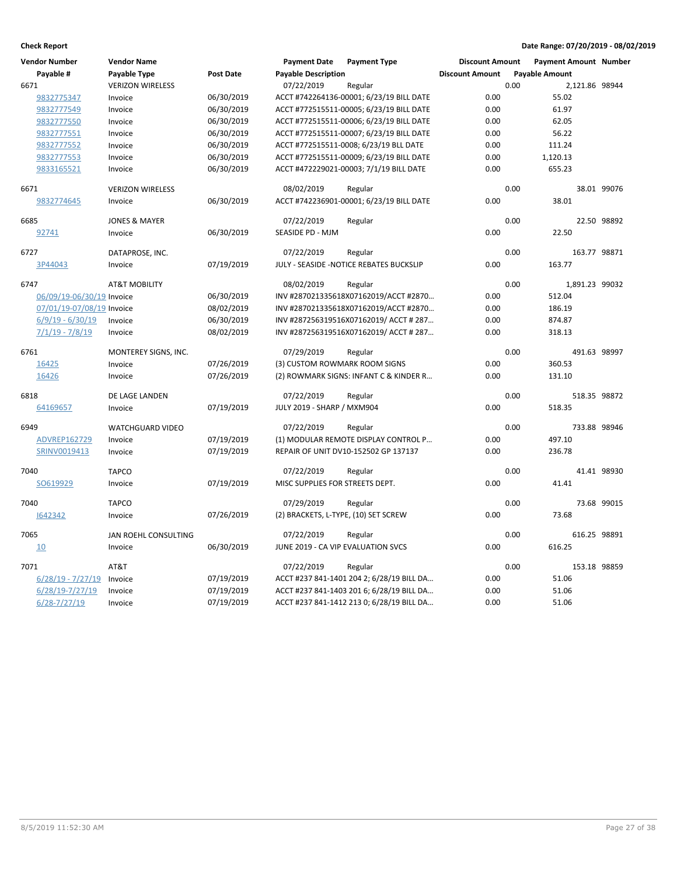| <b>Vendor Number</b>      | <b>Vendor Name</b>       |            | <b>Payment Date</b>             | <b>Payment Type</b>                       | <b>Discount Amount</b> | <b>Payment Amount Number</b> |              |
|---------------------------|--------------------------|------------|---------------------------------|-------------------------------------------|------------------------|------------------------------|--------------|
| Payable #                 | Payable Type             | Post Date  | <b>Payable Description</b>      |                                           | <b>Discount Amount</b> | <b>Payable Amount</b>        |              |
| 6671                      | <b>VERIZON WIRELESS</b>  |            | 07/22/2019                      | Regular                                   |                        | 0.00<br>2,121.86 98944       |              |
| 9832775347                | Invoice                  | 06/30/2019 |                                 | ACCT #742264136-00001; 6/23/19 BILL DATE  | 0.00                   | 55.02                        |              |
| 9832777549                | Invoice                  | 06/30/2019 |                                 | ACCT #772515511-00005; 6/23/19 BILL DATE  | 0.00                   | 61.97                        |              |
| 9832777550                | Invoice                  | 06/30/2019 |                                 | ACCT #772515511-00006; 6/23/19 BILL DATE  | 0.00                   | 62.05                        |              |
| 9832777551                | Invoice                  | 06/30/2019 |                                 | ACCT #772515511-00007; 6/23/19 BILL DATE  | 0.00                   | 56.22                        |              |
| 9832777552                | Invoice                  | 06/30/2019 |                                 | ACCT #772515511-0008; 6/23/19 BLL DATE    | 0.00                   | 111.24                       |              |
| 9832777553                | Invoice                  | 06/30/2019 |                                 | ACCT #772515511-00009; 6/23/19 BILL DATE  | 0.00                   | 1,120.13                     |              |
| 9833165521                | Invoice                  | 06/30/2019 |                                 | ACCT #472229021-00003; 7/1/19 BILL DATE   | 0.00                   | 655.23                       |              |
| 6671                      | <b>VERIZON WIRELESS</b>  |            | 08/02/2019                      | Regular                                   |                        | 0.00                         | 38.01 99076  |
| 9832774645                | Invoice                  | 06/30/2019 |                                 | ACCT #742236901-00001; 6/23/19 BILL DATE  | 0.00                   | 38.01                        |              |
| 6685                      | <b>JONES &amp; MAYER</b> |            | 07/22/2019                      | Regular                                   |                        | 0.00                         | 22.50 98892  |
| 92741                     | Invoice                  | 06/30/2019 | SEASIDE PD - MJM                |                                           | 0.00                   | 22.50                        |              |
| 6727                      | DATAPROSE, INC.          |            | 07/22/2019                      | Regular                                   |                        | 0.00                         | 163.77 98871 |
| 3P44043                   | Invoice                  | 07/19/2019 |                                 | JULY - SEASIDE - NOTICE REBATES BUCKSLIP  | 0.00                   | 163.77                       |              |
| 6747                      | <b>AT&amp;T MOBILITY</b> |            | 08/02/2019                      | Regular                                   |                        | 0.00<br>1,891.23 99032       |              |
| 06/09/19-06/30/19 Invoice |                          | 06/30/2019 |                                 | INV #287021335618X07162019/ACCT #2870     | 0.00                   | 512.04                       |              |
| 07/01/19-07/08/19 Invoice |                          | 08/02/2019 |                                 | INV #287021335618X07162019/ACCT #2870     | 0.00                   | 186.19                       |              |
| $6/9/19 - 6/30/19$        | Invoice                  | 06/30/2019 |                                 | INV #287256319516X07162019/ ACCT # 287    | 0.00                   | 874.87                       |              |
| $7/1/19 - 7/8/19$         | Invoice                  | 08/02/2019 |                                 | INV #287256319516X07162019/ ACCT # 287    | 0.00                   | 318.13                       |              |
| 6761                      | MONTEREY SIGNS, INC.     |            | 07/29/2019                      | Regular                                   |                        | 0.00                         | 491.63 98997 |
| 16425                     | Invoice                  | 07/26/2019 |                                 | (3) CUSTOM ROWMARK ROOM SIGNS             | 0.00                   | 360.53                       |              |
| 16426                     | Invoice                  | 07/26/2019 |                                 | (2) ROWMARK SIGNS: INFANT C & KINDER R    | 0.00                   | 131.10                       |              |
| 6818                      | DE LAGE LANDEN           |            | 07/22/2019                      | Regular                                   |                        | 0.00                         | 518.35 98872 |
| 64169657                  | Invoice                  | 07/19/2019 | JULY 2019 - SHARP / MXM904      |                                           | 0.00                   | 518.35                       |              |
| 6949                      | <b>WATCHGUARD VIDEO</b>  |            | 07/22/2019                      | Regular                                   |                        | 0.00                         | 733.88 98946 |
| ADVREP162729              | Invoice                  | 07/19/2019 |                                 | (1) MODULAR REMOTE DISPLAY CONTROL P      | 0.00                   | 497.10                       |              |
| SRINV0019413              | Invoice                  | 07/19/2019 |                                 | REPAIR OF UNIT DV10-152502 GP 137137      | 0.00                   | 236.78                       |              |
| 7040                      | <b>TAPCO</b>             |            | 07/22/2019                      | Regular                                   |                        | 0.00                         | 41.41 98930  |
| SO619929                  | Invoice                  | 07/19/2019 | MISC SUPPLIES FOR STREETS DEPT. |                                           | 0.00                   | 41.41                        |              |
| 7040                      | <b>TAPCO</b>             |            | 07/29/2019                      | Regular                                   |                        | 0.00                         | 73.68 99015  |
| 1642342                   | Invoice                  | 07/26/2019 |                                 | (2) BRACKETS, L-TYPE, (10) SET SCREW      | 0.00                   | 73.68                        |              |
| 7065                      | JAN ROEHL CONSULTING     |            | 07/22/2019                      | Regular                                   |                        | 0.00                         | 616.25 98891 |
| 10                        | Invoice                  | 06/30/2019 |                                 | JUNE 2019 - CA VIP EVALUATION SVCS        | 0.00                   | 616.25                       |              |
| 7071                      | AT&T                     |            | 07/22/2019                      | Regular                                   |                        | 0.00                         | 153.18 98859 |
| $6/28/19 - 7/27/19$       | Invoice                  | 07/19/2019 |                                 | ACCT #237 841-1401 204 2; 6/28/19 BILL DA | 0.00                   | 51.06                        |              |
| 6/28/19-7/27/19           | Invoice                  | 07/19/2019 |                                 | ACCT #237 841-1403 201 6; 6/28/19 BILL DA | 0.00                   | 51.06                        |              |
| $6/28 - 7/27/19$          | Invoice                  | 07/19/2019 |                                 | ACCT #237 841-1412 213 0; 6/28/19 BILL DA | 0.00                   | 51.06                        |              |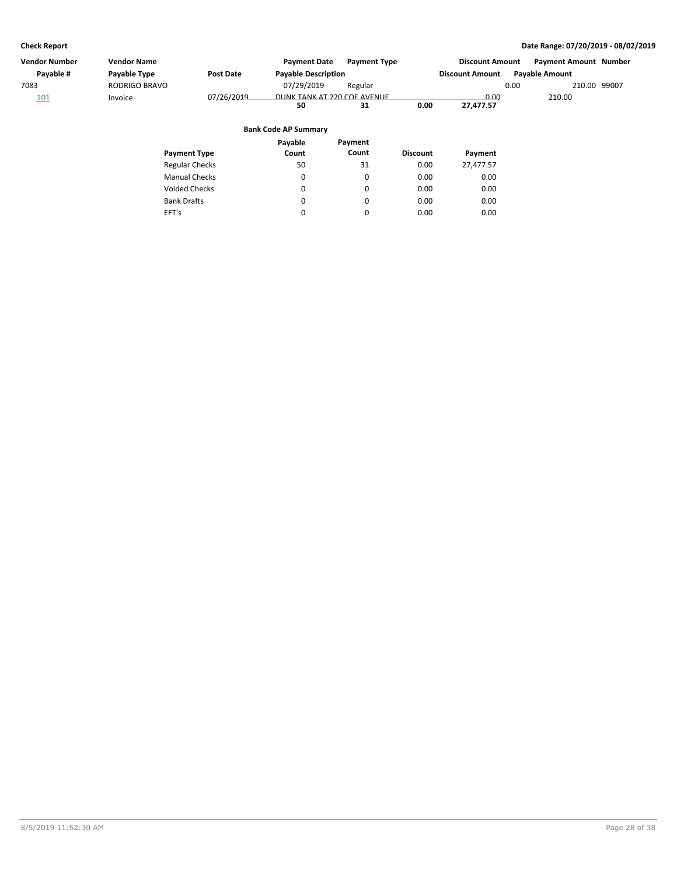| Vendor Number | <b>Vendor Name</b>   |                       | <b>Payment Date</b>         | <b>Payment Type</b>         |                 | <b>Discount Amount</b> |      | <b>Payment Amount Number</b> |  |
|---------------|----------------------|-----------------------|-----------------------------|-----------------------------|-----------------|------------------------|------|------------------------------|--|
| Payable #     | Payable Type         | <b>Post Date</b>      | <b>Payable Description</b>  |                             |                 | <b>Discount Amount</b> |      | <b>Payable Amount</b>        |  |
| 7083          | <b>RODRIGO BRAVO</b> |                       | 07/29/2019                  | Regular                     |                 |                        | 0.00 | 210.00 99007                 |  |
| <u>101</u>    | Invoice              | 07/26/2019            |                             | DUNK TANK AT 220 COF AVENUE |                 | 0.00                   |      | 210.00                       |  |
|               |                      |                       | 50                          | 31                          | 0.00            | 27,477.57              |      |                              |  |
|               |                      |                       | <b>Bank Code AP Summary</b> |                             |                 |                        |      |                              |  |
|               |                      |                       | Pavable                     | Payment                     |                 |                        |      |                              |  |
|               |                      | <b>Payment Type</b>   | Count                       | Count                       | <b>Discount</b> | Payment                |      |                              |  |
|               |                      | <b>Regular Checks</b> | 50                          | 31                          | 0.00            | 27,477.57              |      |                              |  |
|               |                      | <b>Manual Checks</b>  | 0                           | 0                           | 0.00            | 0.00                   |      |                              |  |
|               |                      | <b>Voided Checks</b>  | 0                           | 0                           | 0.00            | 0.00                   |      |                              |  |

0 0  $\pmb{0}$ 0 0.00 0.00 0.00 0.00

Bank Drafts EFT's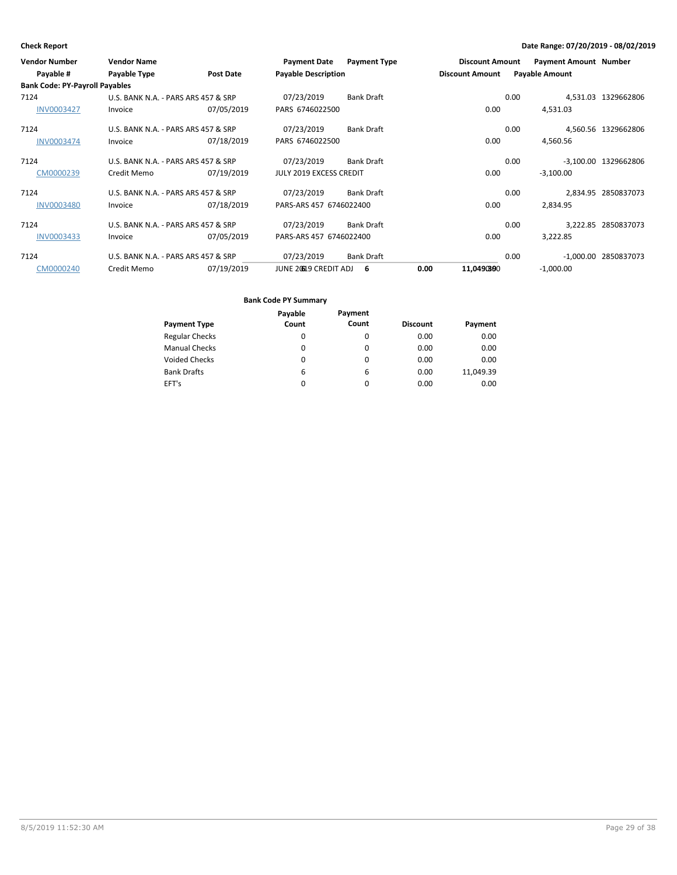| <b>Vendor Number</b><br>Payable #     | <b>Vendor Name</b><br>Payable Type  | <b>Post Date</b> | Payment Date Payment Type<br><b>Payable Description</b> |                   | <b>Discount Amount</b><br><b>Discount Amount</b> |      | <b>Payment Amount Number</b><br><b>Payable Amount</b> |                      |
|---------------------------------------|-------------------------------------|------------------|---------------------------------------------------------|-------------------|--------------------------------------------------|------|-------------------------------------------------------|----------------------|
| <b>Bank Code: PY-Payroll Payables</b> |                                     |                  |                                                         |                   |                                                  |      |                                                       |                      |
| 7124                                  | U.S. BANK N.A. - PARS ARS 457 & SRP |                  | 07/23/2019                                              | <b>Bank Draft</b> |                                                  | 0.00 |                                                       | 4,531.03 1329662806  |
| <b>INV0003427</b>                     | Invoice                             | 07/05/2019       | PARS 6746022500                                         |                   | 0.00                                             |      | 4,531.03                                              |                      |
| 7124                                  | U.S. BANK N.A. - PARS ARS 457 & SRP |                  | 07/23/2019                                              | <b>Bank Draft</b> |                                                  | 0.00 |                                                       | 4,560.56 1329662806  |
| <b>INV0003474</b>                     | Invoice                             | 07/18/2019       | PARS 6746022500                                         |                   | 0.00                                             |      | 4,560.56                                              |                      |
| 7124                                  | U.S. BANK N.A. - PARS ARS 457 & SRP |                  | 07/23/2019                                              | Bank Draft        |                                                  | 0.00 |                                                       | -3,100.00 1329662806 |
| CM0000239                             | Credit Memo                         | 07/19/2019       | JULY 2019 EXCESS CREDIT                                 |                   | 0.00                                             |      | $-3,100.00$                                           |                      |
| 7124                                  | U.S. BANK N.A. - PARS ARS 457 & SRP |                  | 07/23/2019                                              | <b>Bank Draft</b> |                                                  | 0.00 |                                                       | 2.834.95 2850837073  |
| <b>INV0003480</b>                     | Invoice                             | 07/18/2019       | PARS-ARS 457 6746022400                                 |                   | 0.00                                             |      | 2,834.95                                              |                      |
| 7124                                  | U.S. BANK N.A. - PARS ARS 457 & SRP |                  | 07/23/2019                                              | Bank Draft        |                                                  | 0.00 |                                                       | 3.222.85 2850837073  |
| <b>INV0003433</b>                     | Invoice                             | 07/05/2019       | PARS-ARS 457 6746022400                                 |                   | 0.00                                             |      | 3,222.85                                              |                      |
| 7124                                  | U.S. BANK N.A. - PARS ARS 457 & SRP |                  | 07/23/2019                                              | <b>Bank Draft</b> |                                                  | 0.00 |                                                       | -1,000.00 2850837073 |
| CM0000240                             | Credit Memo                         | 07/19/2019       | JUNE 20619 CREDIT ADJ                                   | 6                 | 0.00<br>11,0490800                               |      | $-1,000.00$                                           |                      |

|                       | Payable | Payment  |                 |           |
|-----------------------|---------|----------|-----------------|-----------|
| <b>Payment Type</b>   | Count   | Count    | <b>Discount</b> | Payment   |
| <b>Regular Checks</b> | 0       | 0        | 0.00            | 0.00      |
| <b>Manual Checks</b>  | 0       | $\Omega$ | 0.00            | 0.00      |
| <b>Voided Checks</b>  | 0       | 0        | 0.00            | 0.00      |
| <b>Bank Drafts</b>    | 6       | 6        | 0.00            | 11,049.39 |
| EFT's                 | 0       | $\Omega$ | 0.00            | 0.00      |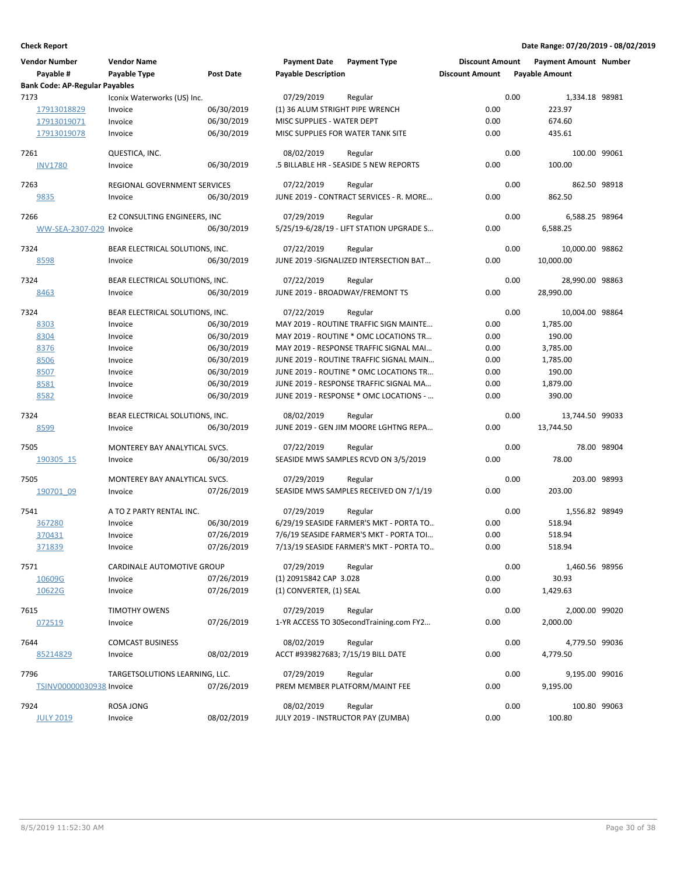| Vendor Number                         | <b>Vendor Name</b>              |                  | <b>Payment Date</b>                | <b>Payment Type</b>                      | <b>Discount Amount</b> |      | <b>Payment Amount Number</b> |             |
|---------------------------------------|---------------------------------|------------------|------------------------------------|------------------------------------------|------------------------|------|------------------------------|-------------|
| Payable #                             | Payable Type                    | <b>Post Date</b> | <b>Payable Description</b>         |                                          | <b>Discount Amount</b> |      | <b>Payable Amount</b>        |             |
| <b>Bank Code: AP-Regular Payables</b> |                                 |                  |                                    |                                          |                        |      |                              |             |
| 7173                                  | Iconix Waterworks (US) Inc.     |                  | 07/29/2019                         | Regular                                  |                        | 0.00 | 1,334.18 98981               |             |
| 17913018829                           | Invoice                         | 06/30/2019       | (1) 36 ALUM STRIGHT PIPE WRENCH    |                                          | 0.00                   |      | 223.97                       |             |
| 17913019071                           | Invoice                         | 06/30/2019       | MISC SUPPLIES - WATER DEPT         |                                          | 0.00                   |      | 674.60                       |             |
| 17913019078                           | Invoice                         | 06/30/2019       | MISC SUPPLIES FOR WATER TANK SITE  |                                          | 0.00                   |      | 435.61                       |             |
| 7261                                  | QUESTICA, INC.                  |                  | 08/02/2019                         | Regular                                  |                        | 0.00 | 100.00 99061                 |             |
| <b>INV1780</b>                        | Invoice                         | 06/30/2019       |                                    | .5 BILLABLE HR - SEASIDE 5 NEW REPORTS   | 0.00                   |      | 100.00                       |             |
| 7263                                  | REGIONAL GOVERNMENT SERVICES    |                  | 07/22/2019                         | Regular                                  |                        | 0.00 | 862.50 98918                 |             |
| 9835                                  | Invoice                         | 06/30/2019       |                                    | JUNE 2019 - CONTRACT SERVICES - R. MORE  | 0.00                   |      | 862.50                       |             |
| 7266                                  | E2 CONSULTING ENGINEERS, INC    |                  | 07/29/2019                         | Regular                                  |                        | 0.00 | 6,588.25 98964               |             |
| WW-SEA-2307-029 Invoice               |                                 | 06/30/2019       |                                    | 5/25/19-6/28/19 - LIFT STATION UPGRADE S | 0.00                   |      | 6,588.25                     |             |
| 7324                                  | BEAR ELECTRICAL SOLUTIONS, INC. |                  | 07/22/2019                         | Regular                                  |                        | 0.00 | 10,000.00 98862              |             |
| 8598                                  | Invoice                         | 06/30/2019       |                                    | JUNE 2019 - SIGNALIZED INTERSECTION BAT  | 0.00                   |      | 10,000.00                    |             |
| 7324                                  | BEAR ELECTRICAL SOLUTIONS, INC. |                  | 07/22/2019                         | Regular                                  |                        | 0.00 | 28,990.00 98863              |             |
| 8463                                  | Invoice                         | 06/30/2019       | JUNE 2019 - BROADWAY/FREMONT TS    |                                          | 0.00                   |      | 28,990.00                    |             |
| 7324                                  | BEAR ELECTRICAL SOLUTIONS, INC. |                  | 07/22/2019                         | Regular                                  |                        | 0.00 | 10,004.00 98864              |             |
| 8303                                  | Invoice                         | 06/30/2019       |                                    | MAY 2019 - ROUTINE TRAFFIC SIGN MAINTE   | 0.00                   |      | 1,785.00                     |             |
| 8304                                  | Invoice                         | 06/30/2019       |                                    | MAY 2019 - ROUTINE * OMC LOCATIONS TR    | 0.00                   |      | 190.00                       |             |
| 8376                                  | Invoice                         | 06/30/2019       |                                    | MAY 2019 - RESPONSE TRAFFIC SIGNAL MAI   | 0.00                   |      | 3,785.00                     |             |
| 8506                                  | Invoice                         | 06/30/2019       |                                    | JUNE 2019 - ROUTINE TRAFFIC SIGNAL MAIN  | 0.00                   |      | 1,785.00                     |             |
| 8507                                  | Invoice                         | 06/30/2019       |                                    | JUNE 2019 - ROUTINE * OMC LOCATIONS TR   | 0.00                   |      | 190.00                       |             |
| 8581                                  | Invoice                         | 06/30/2019       |                                    | JUNE 2019 - RESPONSE TRAFFIC SIGNAL MA   | 0.00                   |      | 1,879.00                     |             |
| 8582                                  | Invoice                         | 06/30/2019       |                                    | JUNE 2019 - RESPONSE * OMC LOCATIONS -   | 0.00                   |      | 390.00                       |             |
| 7324                                  | BEAR ELECTRICAL SOLUTIONS, INC. |                  | 08/02/2019                         | Regular                                  |                        | 0.00 | 13,744.50 99033              |             |
| 8599                                  | Invoice                         | 06/30/2019       |                                    | JUNE 2019 - GEN JIM MOORE LGHTNG REPA    | 0.00                   |      | 13,744.50                    |             |
| 7505                                  | MONTEREY BAY ANALYTICAL SVCS.   |                  | 07/22/2019                         | Regular                                  |                        | 0.00 |                              | 78.00 98904 |
| 190305 15                             | Invoice                         | 06/30/2019       |                                    | SEASIDE MWS SAMPLES RCVD ON 3/5/2019     | 0.00                   |      | 78.00                        |             |
| 7505                                  | MONTEREY BAY ANALYTICAL SVCS.   |                  | 07/29/2019                         | Regular                                  |                        | 0.00 | 203.00 98993                 |             |
| 190701 09                             | Invoice                         | 07/26/2019       |                                    | SEASIDE MWS SAMPLES RECEIVED ON 7/1/19   | 0.00                   |      | 203.00                       |             |
| 7541                                  | A TO Z PARTY RENTAL INC.        |                  | 07/29/2019                         | Regular                                  |                        | 0.00 | 1,556.82 98949               |             |
| 367280                                | Invoice                         | 06/30/2019       |                                    | 6/29/19 SEASIDE FARMER'S MKT - PORTA TO  | 0.00                   |      | 518.94                       |             |
| 370431                                | Invoice                         | 07/26/2019       |                                    | 7/6/19 SEASIDE FARMER'S MKT - PORTA TOI  | 0.00                   |      | 518.94                       |             |
| 371839                                | Invoice                         | 07/26/2019       |                                    | 7/13/19 SEASIDE FARMER'S MKT - PORTA TO  | 0.00                   |      | 518.94                       |             |
| 7571                                  | CARDINALE AUTOMOTIVE GROUP      |                  | 07/29/2019                         | Regular                                  |                        | 0.00 | 1,460.56 98956               |             |
| 10609G                                | Invoice                         | 07/26/2019       | (1) 20915842 CAP 3.028             |                                          | 0.00                   |      | 30.93                        |             |
| 10622G                                | Invoice                         | 07/26/2019       | (1) CONVERTER, (1) SEAL            |                                          | 0.00                   |      | 1,429.63                     |             |
| 7615                                  | <b>TIMOTHY OWENS</b>            |                  | 07/29/2019                         | Regular                                  |                        | 0.00 | 2,000.00 99020               |             |
| 072519                                | Invoice                         | 07/26/2019       |                                    | 1-YR ACCESS TO 30SecondTraining.com FY2  | 0.00                   |      | 2,000.00                     |             |
| 7644                                  | <b>COMCAST BUSINESS</b>         |                  | 08/02/2019                         | Regular                                  |                        | 0.00 | 4,779.50 99036               |             |
| 85214829                              | Invoice                         | 08/02/2019       | ACCT #939827683; 7/15/19 BILL DATE |                                          | 0.00                   |      | 4,779.50                     |             |
|                                       |                                 |                  |                                    |                                          |                        |      |                              |             |
| 7796                                  | TARGETSOLUTIONS LEARNING, LLC.  |                  | 07/29/2019                         | Regular                                  |                        | 0.00 | 9,195.00 99016               |             |
| TSINV00000030938 Invoice              |                                 | 07/26/2019       |                                    | PREM MEMBER PLATFORM/MAINT FEE           | 0.00                   |      | 9,195.00                     |             |
| 7924                                  | ROSA JONG                       |                  | 08/02/2019                         | Regular                                  |                        | 0.00 | 100.80 99063                 |             |
| <b>JULY 2019</b>                      | Invoice                         | 08/02/2019       | JULY 2019 - INSTRUCTOR PAY (ZUMBA) |                                          | 0.00                   |      | 100.80                       |             |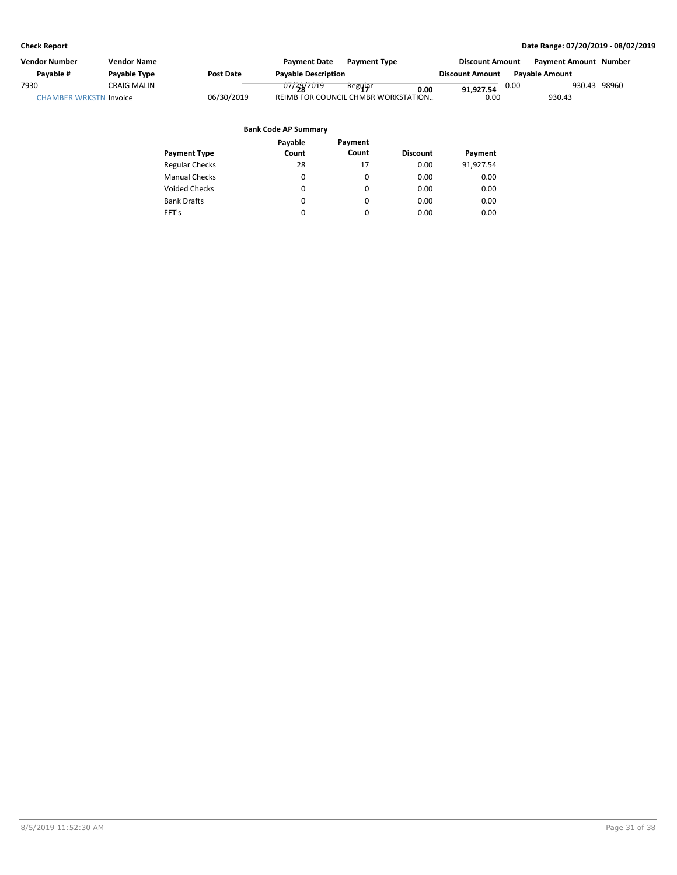| <b>Vendor Number</b>          | <b>Vendor Name</b> |                  | <b>Payment Date</b>        | <b>Payment Type</b>                 | <b>Discount Amount</b> | <b>Payment Amount Number</b> |  |
|-------------------------------|--------------------|------------------|----------------------------|-------------------------------------|------------------------|------------------------------|--|
| Payable #                     | Payable Type       | <b>Post Date</b> | <b>Payable Description</b> |                                     | <b>Discount Amount</b> | <b>Pavable Amount</b>        |  |
| 7930                          | CRAIG MALIN        |                  | 07/29/2019                 | Reguiar<br>0.00                     | 91.927.54              | 930.43 98960<br>0.00         |  |
| <b>CHAMBER WRKSTN Invoice</b> |                    | 06/30/2019       |                            | REIMB FOR COUNCIL CHMBR WORKSTATION | 0.00                   | 930.43                       |  |
|                               |                    |                  |                            |                                     |                        |                              |  |
|                               |                    |                  |                            |                                     |                        |                              |  |

|                       | Payable | Payment  |                 |           |
|-----------------------|---------|----------|-----------------|-----------|
| <b>Payment Type</b>   | Count   | Count    | <b>Discount</b> | Payment   |
| <b>Regular Checks</b> | 28      | 17       | 0.00            | 91,927.54 |
| <b>Manual Checks</b>  | 0       | 0        | 0.00            | 0.00      |
| <b>Voided Checks</b>  | 0       | 0        | 0.00            | 0.00      |
| <b>Bank Drafts</b>    | 0       | 0        | 0.00            | 0.00      |
| EFT's                 | 0       | $\Omega$ | 0.00            | 0.00      |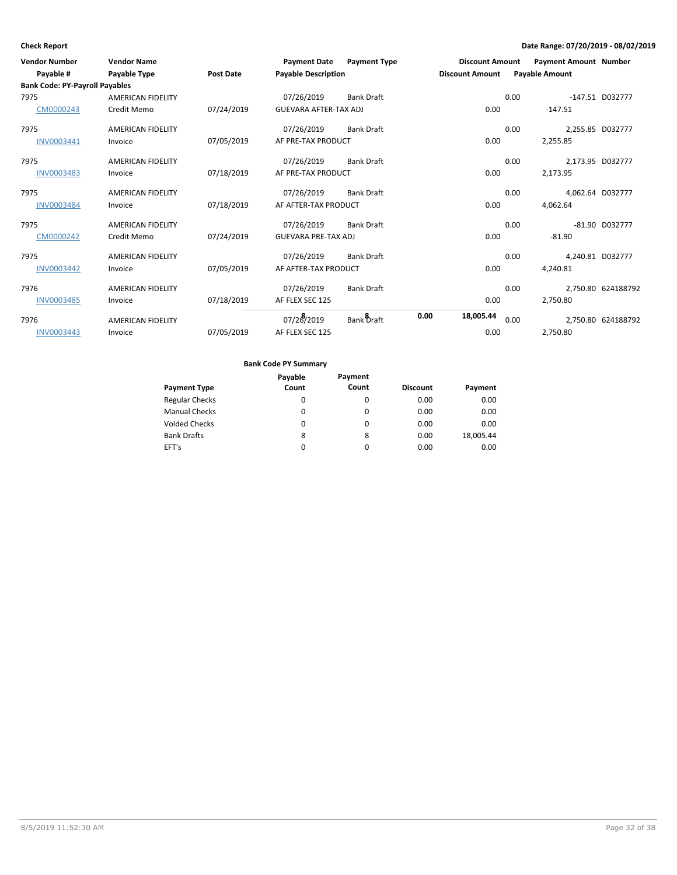| <b>Vendor Number</b>                  | <b>Vendor Name</b>       |                  | <b>Payment Date</b>          | <b>Payment Type</b> |      | <b>Discount Amount</b> |      | <b>Payment Amount Number</b> |                    |
|---------------------------------------|--------------------------|------------------|------------------------------|---------------------|------|------------------------|------|------------------------------|--------------------|
| Payable #                             | <b>Payable Type</b>      | <b>Post Date</b> | <b>Payable Description</b>   |                     |      | <b>Discount Amount</b> |      | <b>Payable Amount</b>        |                    |
| <b>Bank Code: PY-Payroll Payables</b> |                          |                  |                              |                     |      |                        |      |                              |                    |
| 7975                                  | <b>AMERICAN FIDELITY</b> |                  | 07/26/2019                   | <b>Bank Draft</b>   |      |                        | 0.00 |                              | -147.51 D032777    |
| CM0000243                             | Credit Memo              | 07/24/2019       | <b>GUEVARA AFTER-TAX ADJ</b> |                     |      | 0.00                   |      | $-147.51$                    |                    |
| 7975                                  | <b>AMERICAN FIDELITY</b> |                  | 07/26/2019                   | <b>Bank Draft</b>   |      |                        | 0.00 | 2,255.85 D032777             |                    |
| <b>INV0003441</b>                     | Invoice                  | 07/05/2019       | AF PRE-TAX PRODUCT           |                     |      | 0.00                   |      | 2,255.85                     |                    |
| 7975                                  | <b>AMERICAN FIDELITY</b> |                  | 07/26/2019                   | <b>Bank Draft</b>   |      |                        | 0.00 | 2,173.95 D032777             |                    |
| <b>INV0003483</b>                     | Invoice                  | 07/18/2019       | AF PRE-TAX PRODUCT           |                     |      | 0.00                   |      | 2,173.95                     |                    |
| 7975                                  | <b>AMERICAN FIDELITY</b> |                  | 07/26/2019                   | <b>Bank Draft</b>   |      |                        | 0.00 | 4.062.64 D032777             |                    |
| <b>INV0003484</b>                     | Invoice                  | 07/18/2019       | AF AFTER-TAX PRODUCT         |                     |      | 0.00                   |      | 4,062.64                     |                    |
| 7975                                  | <b>AMERICAN FIDELITY</b> |                  | 07/26/2019                   | <b>Bank Draft</b>   |      |                        | 0.00 |                              | -81.90 D032777     |
| CM0000242                             | Credit Memo              | 07/24/2019       | <b>GUEVARA PRE-TAX ADJ</b>   |                     |      | 0.00                   |      | $-81.90$                     |                    |
| 7975                                  | <b>AMERICAN FIDELITY</b> |                  | 07/26/2019                   | <b>Bank Draft</b>   |      |                        | 0.00 | 4,240.81 D032777             |                    |
| <b>INV0003442</b>                     | Invoice                  | 07/05/2019       | AF AFTER-TAX PRODUCT         |                     |      | 0.00                   |      | 4,240.81                     |                    |
| 7976                                  | <b>AMERICAN FIDELITY</b> |                  | 07/26/2019                   | <b>Bank Draft</b>   |      |                        | 0.00 |                              | 2.750.80 624188792 |
| <b>INV0003485</b>                     | Invoice                  | 07/18/2019       | AF FLEX SEC 125              |                     |      | 0.00                   |      | 2,750.80                     |                    |
| 7976                                  | <b>AMERICAN FIDELITY</b> |                  | 07/28/2019                   | Bank Draft          | 0.00 | 18,005.44              | 0.00 |                              | 2,750.80 624188792 |
| <b>INV0003443</b>                     | Invoice                  | 07/05/2019       | AF FLEX SEC 125              |                     |      | 0.00                   |      | 2,750.80                     |                    |

|                       | Payable | Payment  |                 |           |
|-----------------------|---------|----------|-----------------|-----------|
| <b>Payment Type</b>   | Count   | Count    | <b>Discount</b> | Payment   |
| <b>Regular Checks</b> | 0       | 0        | 0.00            | 0.00      |
| <b>Manual Checks</b>  | 0       | 0        | 0.00            | 0.00      |
| <b>Voided Checks</b>  | 0       | $\Omega$ | 0.00            | 0.00      |
| <b>Bank Drafts</b>    | 8       | 8        | 0.00            | 18.005.44 |
| EFT's                 | 0       | $\Omega$ | 0.00            | 0.00      |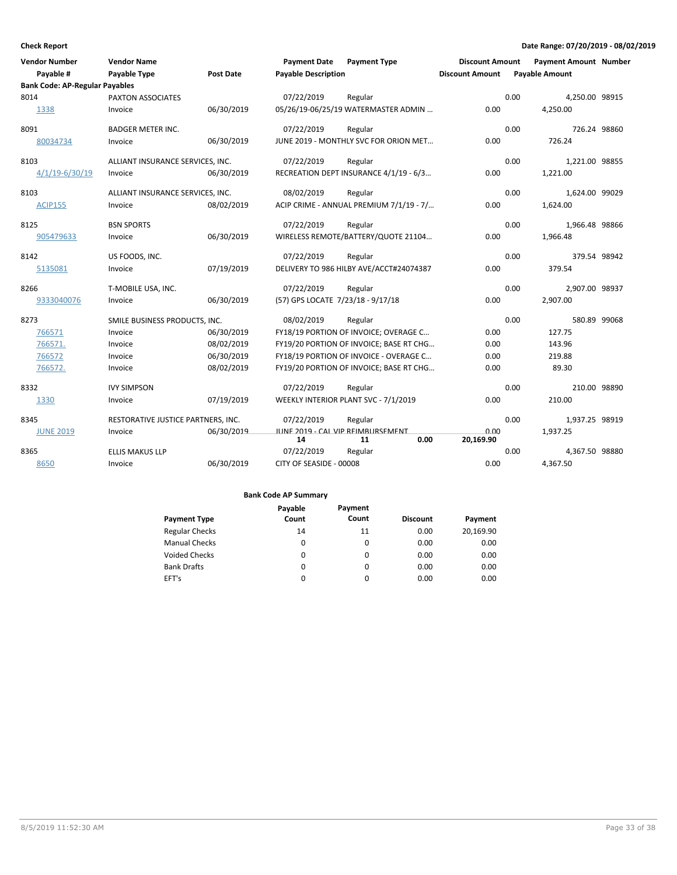| <b>Vendor Number</b><br>Payable #<br><b>Bank Code: AP-Regular Payables</b> | <b>Vendor Name</b><br>Payable Type | Post Date  | <b>Payment Date</b><br><b>Payable Description</b> | <b>Payment Type</b>                     | <b>Discount Amount</b><br><b>Discount Amount</b> |      | <b>Payment Amount Number</b><br><b>Payable Amount</b> |  |
|----------------------------------------------------------------------------|------------------------------------|------------|---------------------------------------------------|-----------------------------------------|--------------------------------------------------|------|-------------------------------------------------------|--|
| 8014                                                                       | PAXTON ASSOCIATES                  |            | 07/22/2019                                        | Regular                                 |                                                  | 0.00 | 4,250.00 98915                                        |  |
| 1338                                                                       | Invoice                            | 06/30/2019 |                                                   | 05/26/19-06/25/19 WATERMASTER ADMIN     | 0.00                                             |      | 4,250.00                                              |  |
| 8091                                                                       | <b>BADGER METER INC.</b>           |            | 07/22/2019                                        | Regular                                 |                                                  | 0.00 | 726.24 98860                                          |  |
| 80034734                                                                   | Invoice                            | 06/30/2019 |                                                   | JUNE 2019 - MONTHLY SVC FOR ORION MET   | 0.00                                             |      | 726.24                                                |  |
| 8103                                                                       | ALLIANT INSURANCE SERVICES, INC.   |            | 07/22/2019                                        | Regular                                 |                                                  | 0.00 | 1,221.00 98855                                        |  |
| $4/1/19 - 6/30/19$                                                         | Invoice                            | 06/30/2019 |                                                   | RECREATION DEPT INSURANCE 4/1/19 - 6/3  | 0.00                                             |      | 1,221.00                                              |  |
| 8103                                                                       | ALLIANT INSURANCE SERVICES, INC.   |            | 08/02/2019                                        | Regular                                 |                                                  | 0.00 | 1,624.00 99029                                        |  |
| <b>ACIP155</b>                                                             | Invoice                            | 08/02/2019 |                                                   | ACIP CRIME - ANNUAL PREMIUM 7/1/19 - 7/ | 0.00                                             |      | 1,624.00                                              |  |
| 8125                                                                       | <b>BSN SPORTS</b>                  |            | 07/22/2019                                        | Regular                                 |                                                  | 0.00 | 1,966.48 98866                                        |  |
| 905479633                                                                  | Invoice                            | 06/30/2019 |                                                   | WIRELESS REMOTE/BATTERY/QUOTE 21104     | 0.00                                             |      | 1,966.48                                              |  |
| 8142                                                                       | US FOODS, INC.                     |            | 07/22/2019                                        | Regular                                 |                                                  | 0.00 | 379.54 98942                                          |  |
| 5135081                                                                    | Invoice                            | 07/19/2019 |                                                   | DELIVERY TO 986 HILBY AVE/ACCT#24074387 | 0.00                                             |      | 379.54                                                |  |
| 8266                                                                       | T-MOBILE USA, INC.                 |            | 07/22/2019                                        | Regular                                 |                                                  | 0.00 | 2,907.00 98937                                        |  |
| 9333040076                                                                 | Invoice                            | 06/30/2019 | (57) GPS LOCATE 7/23/18 - 9/17/18                 |                                         | 0.00                                             |      | 2,907.00                                              |  |
| 8273                                                                       | SMILE BUSINESS PRODUCTS, INC.      |            | 08/02/2019                                        | Regular                                 |                                                  | 0.00 | 580.89 99068                                          |  |
| 766571                                                                     | Invoice                            | 06/30/2019 |                                                   | FY18/19 PORTION OF INVOICE; OVERAGE C   | 0.00                                             |      | 127.75                                                |  |
| 766571.                                                                    | Invoice                            | 08/02/2019 |                                                   | FY19/20 PORTION OF INVOICE; BASE RT CHG | 0.00                                             |      | 143.96                                                |  |
| 766572                                                                     | Invoice                            | 06/30/2019 |                                                   | FY18/19 PORTION OF INVOICE - OVERAGE C  | 0.00                                             |      | 219.88                                                |  |
| 766572.                                                                    | Invoice                            | 08/02/2019 |                                                   | FY19/20 PORTION OF INVOICE; BASE RT CHG | 0.00                                             |      | 89.30                                                 |  |
| 8332                                                                       | <b>IVY SIMPSON</b>                 |            | 07/22/2019                                        | Regular                                 |                                                  | 0.00 | 210.00 98890                                          |  |
| 1330                                                                       | Invoice                            | 07/19/2019 |                                                   | WEEKLY INTERIOR PLANT SVC - 7/1/2019    | 0.00                                             |      | 210.00                                                |  |
| 8345                                                                       | RESTORATIVE JUSTICE PARTNERS, INC. |            | 07/22/2019                                        | Regular                                 |                                                  | 0.00 | 1,937.25 98919                                        |  |
| <b>JUNE 2019</b>                                                           | Invoice                            | 06/30/2019 | JUNE 2019 - CAL VIP REIMBURSEMENT<br>14           | 0.00<br>11                              | 0.00<br>20,169.90                                |      | 1,937.25                                              |  |
| 8365                                                                       | <b>ELLIS MAKUS LLP</b>             |            | 07/22/2019                                        | Regular                                 |                                                  | 0.00 | 4,367.50 98880                                        |  |
| 8650                                                                       | Invoice                            | 06/30/2019 | CITY OF SEASIDE - 00008                           |                                         | 0.00                                             |      | 4,367.50                                              |  |

|                       | Payable | Payment  |                 |           |
|-----------------------|---------|----------|-----------------|-----------|
| <b>Payment Type</b>   | Count   | Count    | <b>Discount</b> | Payment   |
| <b>Regular Checks</b> | 14      | 11       | 0.00            | 20,169.90 |
| <b>Manual Checks</b>  | 0       | $\Omega$ | 0.00            | 0.00      |
| <b>Voided Checks</b>  | 0       | $\Omega$ | 0.00            | 0.00      |
| <b>Bank Drafts</b>    | 0       | $\Omega$ | 0.00            | 0.00      |
| EFT's                 | 0       |          | 0.00            | 0.00      |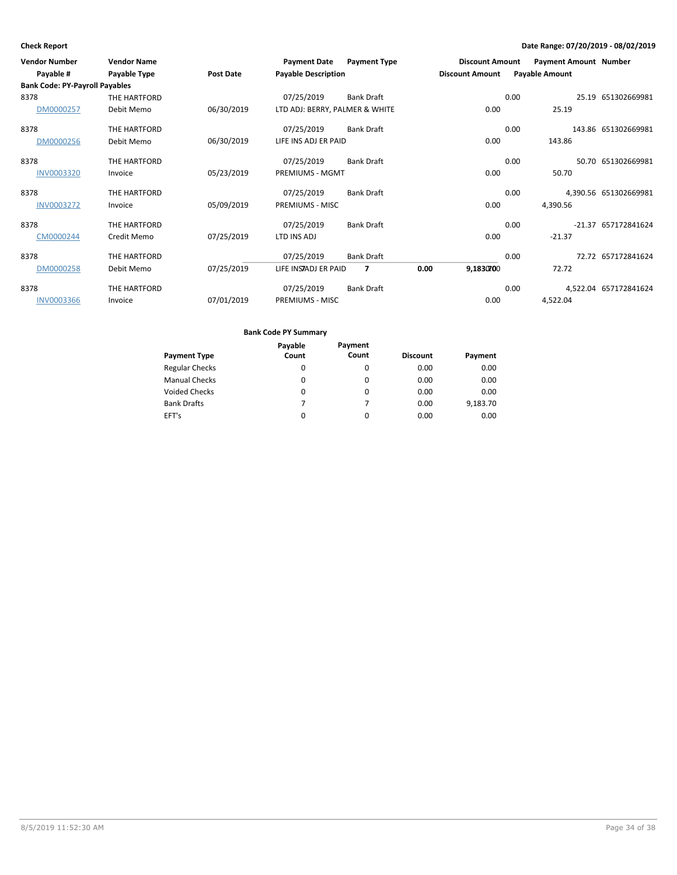| <b>Vendor Number</b>                  | <b>Vendor Name</b> |            | <b>Payment Date</b>            | <b>Payment Type</b> |      | <b>Discount Amount</b> |      | <b>Payment Amount Number</b> |                       |
|---------------------------------------|--------------------|------------|--------------------------------|---------------------|------|------------------------|------|------------------------------|-----------------------|
| Payable #                             | Payable Type       | Post Date  | <b>Payable Description</b>     |                     |      | <b>Discount Amount</b> |      | <b>Payable Amount</b>        |                       |
| <b>Bank Code: PY-Payroll Payables</b> |                    |            |                                |                     |      |                        |      |                              |                       |
| 8378                                  | THE HARTFORD       |            | 07/25/2019                     | Bank Draft          |      |                        | 0.00 | 25.19                        | 651302669981          |
| DM0000257                             | Debit Memo         | 06/30/2019 | LTD ADJ: BERRY, PALMER & WHITE |                     |      | 0.00                   |      | 25.19                        |                       |
| 8378                                  | THE HARTFORD       |            | 07/25/2019                     | Bank Draft          |      |                        | 0.00 |                              | 143.86 651302669981   |
| DM0000256                             | Debit Memo         | 06/30/2019 | LIFE INS ADJ ER PAID           |                     |      | 0.00                   |      | 143.86                       |                       |
| 8378                                  | THE HARTFORD       |            | 07/25/2019                     | <b>Bank Draft</b>   |      |                        | 0.00 |                              | 50.70 651302669981    |
| <b>INV0003320</b>                     | Invoice            | 05/23/2019 | <b>PREMIUMS - MGMT</b>         |                     |      | 0.00                   |      | 50.70                        |                       |
| 8378                                  | THE HARTFORD       |            | 07/25/2019                     | Bank Draft          |      |                        | 0.00 |                              | 4,390.56 651302669981 |
| <b>INV0003272</b>                     | Invoice            | 05/09/2019 | PREMIUMS - MISC                |                     |      | 0.00                   |      | 4,390.56                     |                       |
| 8378                                  | THE HARTFORD       |            | 07/25/2019                     | <b>Bank Draft</b>   |      |                        | 0.00 |                              | -21.37 657172841624   |
| CM0000244                             | Credit Memo        | 07/25/2019 | LTD INS ADJ                    |                     |      | 0.00                   |      | $-21.37$                     |                       |
| 8378                                  | THE HARTFORD       |            | 07/25/2019                     | Bank Draft          |      |                        | 0.00 |                              | 72.72 657172841624    |
| DM0000258                             | Debit Memo         | 07/25/2019 | LIFE INSTADJ ER PAID           | 7                   | 0.00 | 9,1830700              |      | 72.72                        |                       |
| 8378                                  | THE HARTFORD       |            | 07/25/2019                     | Bank Draft          |      |                        | 0.00 |                              | 4,522.04 657172841624 |
| <b>INV0003366</b>                     | Invoice            | 07/01/2019 | PREMIUMS - MISC                |                     |      | 0.00                   |      | 4,522.04                     |                       |

|                       | Payable | Payment |                 |          |
|-----------------------|---------|---------|-----------------|----------|
| <b>Payment Type</b>   | Count   | Count   | <b>Discount</b> | Payment  |
| <b>Regular Checks</b> | 0       | 0       | 0.00            | 0.00     |
| <b>Manual Checks</b>  | 0       | 0       | 0.00            | 0.00     |
| <b>Voided Checks</b>  | 0       | 0       | 0.00            | 0.00     |
| <b>Bank Drafts</b>    |         |         | 0.00            | 9,183.70 |
| EFT's                 | 0       | 0       | 0.00            | 0.00     |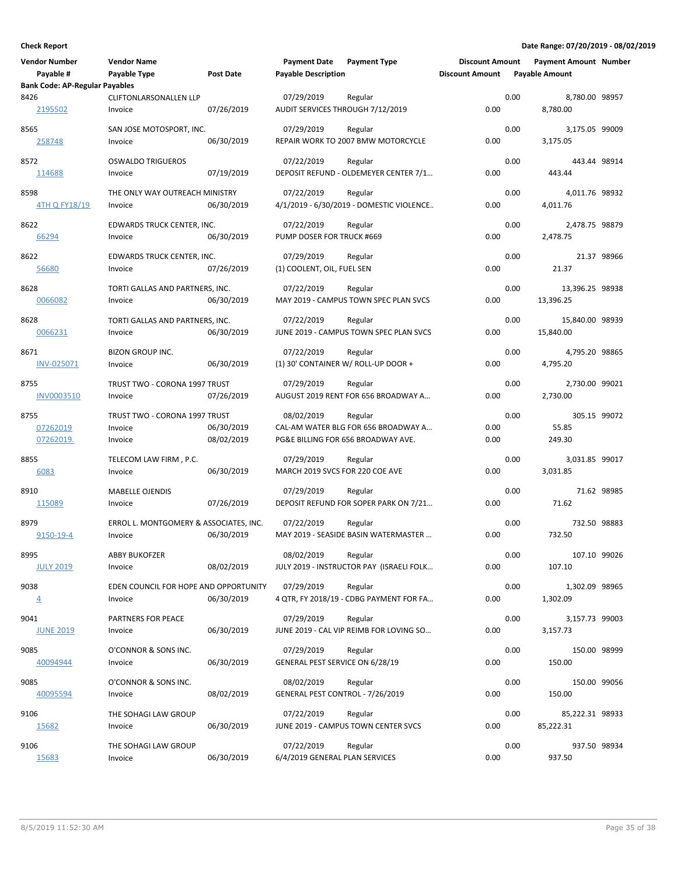| <b>Vendor Number</b><br>Payable #     | <b>Vendor Name</b><br>Payable Type               | Post Date  | <b>Payment Date</b><br><b>Payable Description</b> | <b>Payment Type</b>                                 | <b>Discount Amount</b><br><b>Discount Amount</b> |      | <b>Payment Amount Number</b><br><b>Payable Amount</b> |             |
|---------------------------------------|--------------------------------------------------|------------|---------------------------------------------------|-----------------------------------------------------|--------------------------------------------------|------|-------------------------------------------------------|-------------|
| <b>Bank Code: AP-Regular Payables</b> |                                                  |            |                                                   |                                                     |                                                  |      |                                                       |             |
| 8426<br>2195502                       | <b>CLIFTONLARSONALLEN LLP</b><br>Invoice         | 07/26/2019 | 07/29/2019<br>AUDIT SERVICES THROUGH 7/12/2019    | Regular                                             | 0.00                                             | 0.00 | 8,780.00 98957<br>8,780.00                            |             |
| 8565<br>258748                        | SAN JOSE MOTOSPORT, INC.<br>Invoice              | 06/30/2019 | 07/29/2019                                        | Regular<br>REPAIR WORK TO 2007 BMW MOTORCYCLE       | 0.00                                             | 0.00 | 3,175.05 99009<br>3,175.05                            |             |
| 8572<br>114688                        | <b>OSWALDO TRIGUEROS</b><br>Invoice              | 07/19/2019 | 07/22/2019                                        | Regular<br>DEPOSIT REFUND - OLDEMEYER CENTER 7/1    | 0.00                                             | 0.00 | 443.44 98914<br>443.44                                |             |
| 8598                                  | THE ONLY WAY OUTREACH MINISTRY                   | 06/30/2019 | 07/22/2019                                        | Regular<br>4/1/2019 - 6/30/2019 - DOMESTIC VIOLENCE | 0.00                                             | 0.00 | 4.011.76 98932<br>4.011.76                            |             |
| 4TH Q FY18/19                         | Invoice                                          |            |                                                   |                                                     |                                                  |      |                                                       |             |
| 8622<br>66294                         | EDWARDS TRUCK CENTER, INC.<br>Invoice            | 06/30/2019 | 07/22/2019<br>PUMP DOSER FOR TRUCK #669           | Regular                                             | 0.00                                             | 0.00 | 2,478.75 98879<br>2,478.75                            |             |
|                                       |                                                  |            |                                                   |                                                     |                                                  |      |                                                       |             |
| 8622<br>56680                         | EDWARDS TRUCK CENTER, INC.<br>Invoice            | 07/26/2019 | 07/29/2019<br>(1) COOLENT, OIL, FUEL SEN          | Regular                                             | 0.00                                             | 0.00 | 21.37                                                 | 21.37 98966 |
| 8628                                  | TORTI GALLAS AND PARTNERS, INC.                  |            | 07/22/2019                                        | Regular                                             |                                                  | 0.00 | 13,396.25 98938                                       |             |
| 0066082                               | Invoice                                          | 06/30/2019 |                                                   | MAY 2019 - CAMPUS TOWN SPEC PLAN SVCS               | 0.00                                             |      | 13,396.25                                             |             |
| 8628                                  | TORTI GALLAS AND PARTNERS, INC.                  |            | 07/22/2019                                        | Regular                                             |                                                  | 0.00 | 15,840.00 98939                                       |             |
| 0066231                               | Invoice                                          | 06/30/2019 |                                                   | JUNE 2019 - CAMPUS TOWN SPEC PLAN SVCS              | 0.00                                             |      | 15,840.00                                             |             |
| 8671                                  | <b>BIZON GROUP INC.</b>                          |            | 07/22/2019                                        |                                                     |                                                  | 0.00 | 4,795.20 98865                                        |             |
| INV-025071                            | Invoice                                          | 06/30/2019 |                                                   | Regular<br>(1) 30' CONTAINER W/ ROLL-UP DOOR +      | 0.00                                             |      | 4.795.20                                              |             |
| 8755                                  | TRUST TWO - CORONA 1997 TRUST                    |            | 07/29/2019                                        | Regular                                             |                                                  | 0.00 | 2,730.00 99021                                        |             |
| <b>INV0003510</b>                     | Invoice                                          | 07/26/2019 |                                                   | AUGUST 2019 RENT FOR 656 BROADWAY A                 | 0.00                                             |      | 2,730.00                                              |             |
| 8755                                  | TRUST TWO - CORONA 1997 TRUST                    |            | 08/02/2019                                        | Regular                                             |                                                  | 0.00 | 305.15 99072                                          |             |
| 07262019                              | Invoice                                          | 06/30/2019 |                                                   | CAL-AM WATER BLG FOR 656 BROADWAY A                 | 0.00                                             |      | 55.85                                                 |             |
| 07262019.                             | Invoice                                          | 08/02/2019 |                                                   | PG&E BILLING FOR 656 BROADWAY AVE.                  | 0.00                                             |      | 249.30                                                |             |
| 8855                                  | TELECOM LAW FIRM, P.C.                           |            | 07/29/2019                                        | Regular                                             |                                                  | 0.00 | 3,031.85 99017                                        |             |
| 6083                                  | Invoice                                          | 06/30/2019 | MARCH 2019 SVCS FOR 220 COE AVE                   |                                                     | 0.00                                             |      | 3,031.85                                              |             |
|                                       |                                                  |            |                                                   |                                                     |                                                  |      |                                                       |             |
| 8910                                  | <b>MABELLE OJENDIS</b>                           |            | 07/29/2019                                        | Regular                                             |                                                  | 0.00 |                                                       | 71.62 98985 |
| 115089                                | Invoice                                          | 07/26/2019 |                                                   | DEPOSIT REFUND FOR SOPER PARK ON 7/21               | 0.00                                             |      | 71.62                                                 |             |
| 8979                                  | ERROL L. MONTGOMERY & ASSOCIATES, INC.           |            | 07/22/2019                                        | Regular                                             |                                                  | 0.00 | 732.50 98883                                          |             |
| 9150-19-4                             | Invoice                                          | 06/30/2019 |                                                   | MAY 2019 - SEASIDE BASIN WATERMASTER                | 0.00                                             |      | 732.50                                                |             |
| 8995                                  | <b>ABBY BUKOFZER</b>                             |            | 08/02/2019                                        | Regular                                             |                                                  | 0.00 | 107.10 99026                                          |             |
| <b>JULY 2019</b>                      | Invoice                                          | 08/02/2019 |                                                   | JULY 2019 - INSTRUCTOR PAY (ISRAELI FOLK            | 0.00                                             |      | 107.10                                                |             |
|                                       |                                                  |            |                                                   |                                                     |                                                  |      |                                                       |             |
| 9038<br>$\overline{4}$                | EDEN COUNCIL FOR HOPE AND OPPORTUNITY<br>Invoice | 06/30/2019 | 07/29/2019                                        | Regular<br>4 QTR, FY 2018/19 - CDBG PAYMENT FOR FA  | 0.00                                             | 0.00 | 1,302.09 98965<br>1,302.09                            |             |
|                                       |                                                  |            |                                                   |                                                     |                                                  |      |                                                       |             |
| 9041                                  | PARTNERS FOR PEACE                               |            | 07/29/2019                                        | Regular                                             |                                                  | 0.00 | 3,157.73 99003                                        |             |
| <b>JUNE 2019</b>                      | Invoice                                          | 06/30/2019 |                                                   | JUNE 2019 - CAL VIP REIMB FOR LOVING SO             | 0.00                                             |      | 3,157.73                                              |             |
| 9085                                  | O'CONNOR & SONS INC.                             |            | 07/29/2019                                        | Regular                                             |                                                  | 0.00 | 150.00 98999                                          |             |
| 40094944                              | Invoice                                          | 06/30/2019 | GENERAL PEST SERVICE ON 6/28/19                   |                                                     | 0.00                                             |      | 150.00                                                |             |
|                                       |                                                  |            |                                                   |                                                     |                                                  |      |                                                       |             |
| 9085                                  | O'CONNOR & SONS INC.                             |            | 08/02/2019                                        | Regular                                             |                                                  | 0.00 | 150.00 99056                                          |             |
| 40095594                              | Invoice                                          | 08/02/2019 | GENERAL PEST CONTROL - 7/26/2019                  |                                                     | 0.00                                             |      | 150.00                                                |             |
|                                       |                                                  |            |                                                   |                                                     |                                                  |      |                                                       |             |
| 9106                                  | THE SOHAGI LAW GROUP                             |            | 07/22/2019                                        | Regular                                             |                                                  | 0.00 | 85,222.31 98933                                       |             |
| 15682                                 | Invoice                                          | 06/30/2019 |                                                   | JUNE 2019 - CAMPUS TOWN CENTER SVCS                 | 0.00                                             |      | 85,222.31                                             |             |
| 9106                                  | THE SOHAGI LAW GROUP                             |            | 07/22/2019                                        | Regular                                             |                                                  | 0.00 | 937.50 98934                                          |             |
| 15683                                 | Invoice                                          | 06/30/2019 | 6/4/2019 GENERAL PLAN SERVICES                    |                                                     | 0.00                                             |      | 937.50                                                |             |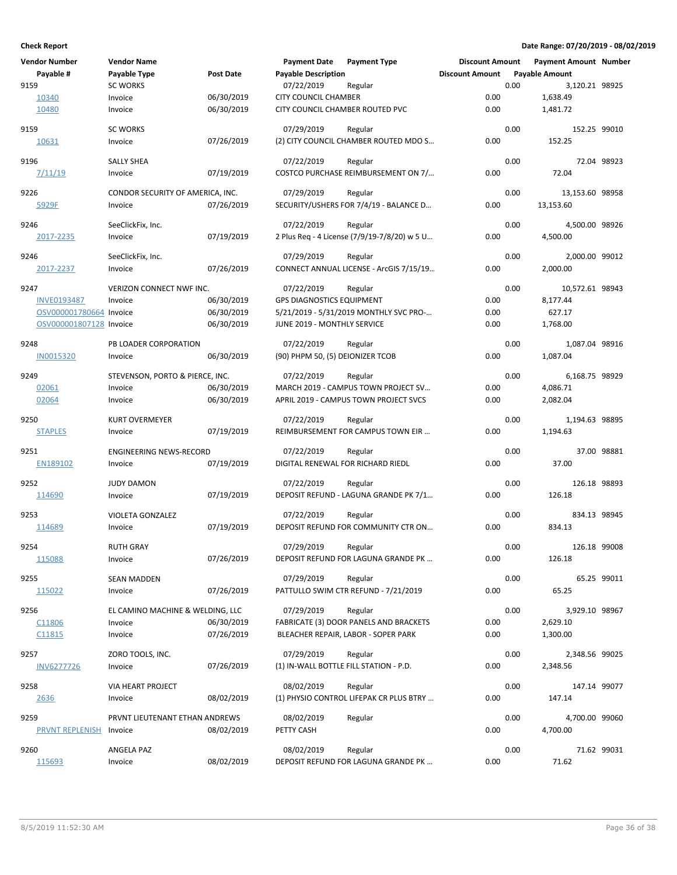| Vendor Number           | <b>Vendor Name</b>               |                  | <b>Payment Date</b>                    | <b>Payment Type</b>                            | <b>Discount Amount</b> |      | <b>Payment Amount Number</b> |             |
|-------------------------|----------------------------------|------------------|----------------------------------------|------------------------------------------------|------------------------|------|------------------------------|-------------|
| Payable #               | Payable Type                     | <b>Post Date</b> | <b>Payable Description</b>             |                                                | <b>Discount Amount</b> |      | <b>Payable Amount</b>        |             |
| 9159                    | <b>SC WORKS</b>                  |                  | 07/22/2019                             | Regular                                        |                        | 0.00 | 3,120.21 98925               |             |
| 10340                   | Invoice                          | 06/30/2019       | <b>CITY COUNCIL CHAMBER</b>            |                                                | 0.00                   |      | 1,638.49                     |             |
| 10480                   | Invoice                          | 06/30/2019       | CITY COUNCIL CHAMBER ROUTED PVC        |                                                | 0.00                   |      | 1,481.72                     |             |
|                         |                                  |                  |                                        |                                                |                        |      |                              |             |
| 9159                    | <b>SC WORKS</b>                  |                  | 07/29/2019                             | Regular                                        |                        | 0.00 | 152.25 99010                 |             |
| 10631                   | Invoice                          | 07/26/2019       |                                        | (2) CITY COUNCIL CHAMBER ROUTED MDO S          | 0.00                   |      | 152.25                       |             |
|                         |                                  |                  |                                        |                                                |                        |      |                              |             |
| 9196                    | SALLY SHEA                       |                  | 07/22/2019                             | Regular                                        |                        | 0.00 |                              | 72.04 98923 |
| 7/11/19                 | Invoice                          | 07/19/2019       |                                        | COSTCO PURCHASE REIMBURSEMENT ON 7/            | 0.00                   |      | 72.04                        |             |
|                         |                                  |                  |                                        |                                                |                        |      |                              |             |
| 9226                    | CONDOR SECURITY OF AMERICA, INC. |                  | 07/29/2019                             | Regular                                        |                        | 0.00 | 13,153.60 98958              |             |
| 5929F                   | Invoice                          | 07/26/2019       |                                        | SECURITY/USHERS FOR 7/4/19 - BALANCE D         | 0.00                   |      | 13,153.60                    |             |
| 9246                    | SeeClickFix, Inc.                |                  | 07/22/2019                             | Regular                                        |                        | 0.00 | 4,500.00 98926               |             |
| 2017-2235               | Invoice                          | 07/19/2019       |                                        | 2 Plus Req - 4 License (7/9/19-7/8/20) w 5 U   | 0.00                   |      | 4,500.00                     |             |
|                         |                                  |                  |                                        |                                                |                        |      |                              |             |
| 9246                    | SeeClickFix, Inc.                |                  | 07/29/2019                             | Regular                                        |                        | 0.00 | 2,000.00 99012               |             |
| 2017-2237               | Invoice                          | 07/26/2019       |                                        | CONNECT ANNUAL LICENSE - ArcGIS 7/15/19        | 0.00                   |      | 2,000.00                     |             |
|                         |                                  |                  |                                        |                                                |                        |      |                              |             |
| 9247                    | VERIZON CONNECT NWF INC.         |                  | 07/22/2019                             | Regular                                        |                        | 0.00 | 10,572.61 98943              |             |
| <b>INVE0193487</b>      | Invoice                          | 06/30/2019       | <b>GPS DIAGNOSTICS EQUIPMENT</b>       |                                                | 0.00                   |      | 8,177.44                     |             |
| OSV000001780664 Invoice |                                  | 06/30/2019       |                                        | 5/21/2019 - 5/31/2019 MONTHLY SVC PRO-         | 0.00                   |      | 627.17                       |             |
| OSV000001807128 Invoice |                                  | 06/30/2019       | JUNE 2019 - MONTHLY SERVICE            |                                                | 0.00                   |      | 1,768.00                     |             |
|                         |                                  |                  |                                        |                                                |                        |      |                              |             |
| 9248                    | PB LOADER CORPORATION            |                  | 07/22/2019                             | Regular                                        |                        | 0.00 | 1,087.04 98916               |             |
| <b>IN0015320</b>        | Invoice                          | 06/30/2019       | (90) PHPM 50, (5) DEIONIZER TCOB       |                                                | 0.00                   |      | 1,087.04                     |             |
|                         |                                  |                  |                                        |                                                |                        |      |                              |             |
| 9249                    | STEVENSON, PORTO & PIERCE, INC.  |                  | 07/22/2019                             | Regular                                        |                        | 0.00 | 6,168.75 98929               |             |
| 02061                   | Invoice                          | 06/30/2019       |                                        | MARCH 2019 - CAMPUS TOWN PROJECT SV            | 0.00                   |      | 4,086.71                     |             |
| 02064                   | Invoice                          | 06/30/2019       |                                        | APRIL 2019 - CAMPUS TOWN PROJECT SVCS          | 0.00                   |      | 2,082.04                     |             |
| 9250                    | <b>KURT OVERMEYER</b>            |                  | 07/22/2019                             | Regular                                        |                        | 0.00 | 1,194.63 98895               |             |
| <b>STAPLES</b>          | Invoice                          | 07/19/2019       |                                        | REIMBURSEMENT FOR CAMPUS TOWN EIR              | 0.00                   |      | 1,194.63                     |             |
|                         |                                  |                  |                                        |                                                |                        |      |                              |             |
| 9251                    | <b>ENGINEERING NEWS-RECORD</b>   |                  | 07/22/2019                             | Regular                                        |                        | 0.00 |                              | 37.00 98881 |
| EN189102                | Invoice                          | 07/19/2019       | DIGITAL RENEWAL FOR RICHARD RIEDL      |                                                | 0.00                   |      | 37.00                        |             |
|                         |                                  |                  |                                        |                                                |                        |      |                              |             |
| 9252                    | <b>JUDY DAMON</b>                |                  | 07/22/2019                             | Regular                                        |                        | 0.00 | 126.18 98893                 |             |
| 114690                  | Invoice                          | 07/19/2019       |                                        | DEPOSIT REFUND - LAGUNA GRANDE PK 7/1          | 0.00                   |      | 126.18                       |             |
|                         |                                  |                  |                                        |                                                |                        |      |                              |             |
| 9253                    | VIOLETA GONZALEZ                 |                  | 07/22/2019                             | Regular                                        |                        | 0.00 | 834.13 98945                 |             |
| 114689                  | Invoice                          | 07/19/2019       |                                        | DEPOSIT REFUND FOR COMMUNITY CTR ON            | 0.00                   |      | 834.13                       |             |
| 9254                    | <b>RUTH GRAY</b>                 |                  | 07/29/2019                             |                                                |                        | 0.00 | 126.18 99008                 |             |
| 115088                  | Invoice                          | 07/26/2019       |                                        | Regular<br>DEPOSIT REFUND FOR LAGUNA GRANDE PK | 0.00                   |      | 126.18                       |             |
|                         |                                  |                  |                                        |                                                |                        |      |                              |             |
| 9255                    | <b>SEAN MADDEN</b>               |                  | 07/29/2019                             | Regular                                        |                        | 0.00 |                              | 65.25 99011 |
| 115022                  | Invoice                          | 07/26/2019       |                                        | PATTULLO SWIM CTR REFUND - 7/21/2019           | 0.00                   |      | 65.25                        |             |
|                         |                                  |                  |                                        |                                                |                        |      |                              |             |
| 9256                    | EL CAMINO MACHINE & WELDING, LLC |                  | 07/29/2019                             | Regular                                        |                        | 0.00 | 3,929.10 98967               |             |
| C11806                  | Invoice                          | 06/30/2019       |                                        | FABRICATE (3) DOOR PANELS AND BRACKETS         | 0.00                   |      | 2,629.10                     |             |
| C <sub>11815</sub>      | Invoice                          | 07/26/2019       |                                        | BLEACHER REPAIR, LABOR - SOPER PARK            | 0.00                   |      | 1,300.00                     |             |
|                         |                                  |                  |                                        |                                                |                        |      |                              |             |
| 9257                    | ZORO TOOLS, INC.                 |                  | 07/29/2019                             | Regular                                        |                        | 0.00 | 2,348.56 99025               |             |
| INV6277726              | Invoice                          | 07/26/2019       | (1) IN-WALL BOTTLE FILL STATION - P.D. |                                                | 0.00                   |      | 2,348.56                     |             |
| 9258                    | VIA HEART PROJECT                |                  | 08/02/2019                             | Regular                                        |                        | 0.00 | 147.14 99077                 |             |
|                         |                                  |                  |                                        |                                                |                        |      |                              |             |
| 2636                    | Invoice                          | 08/02/2019       |                                        | (1) PHYSIO CONTROL LIFEPAK CR PLUS BTRY        | 0.00                   |      | 147.14                       |             |
| 9259                    | PRVNT LIEUTENANT ETHAN ANDREWS   |                  | 08/02/2019                             | Regular                                        |                        | 0.00 | 4,700.00 99060               |             |
| <b>PRVNT REPLENISH</b>  | Invoice                          | 08/02/2019       | PETTY CASH                             |                                                | 0.00                   |      | 4,700.00                     |             |
|                         |                                  |                  |                                        |                                                |                        |      |                              |             |
| 9260                    | ANGELA PAZ                       |                  | 08/02/2019                             | Regular                                        |                        | 0.00 |                              | 71.62 99031 |
| 115693                  | Invoice                          | 08/02/2019       |                                        | DEPOSIT REFUND FOR LAGUNA GRANDE PK            | 0.00                   |      | 71.62                        |             |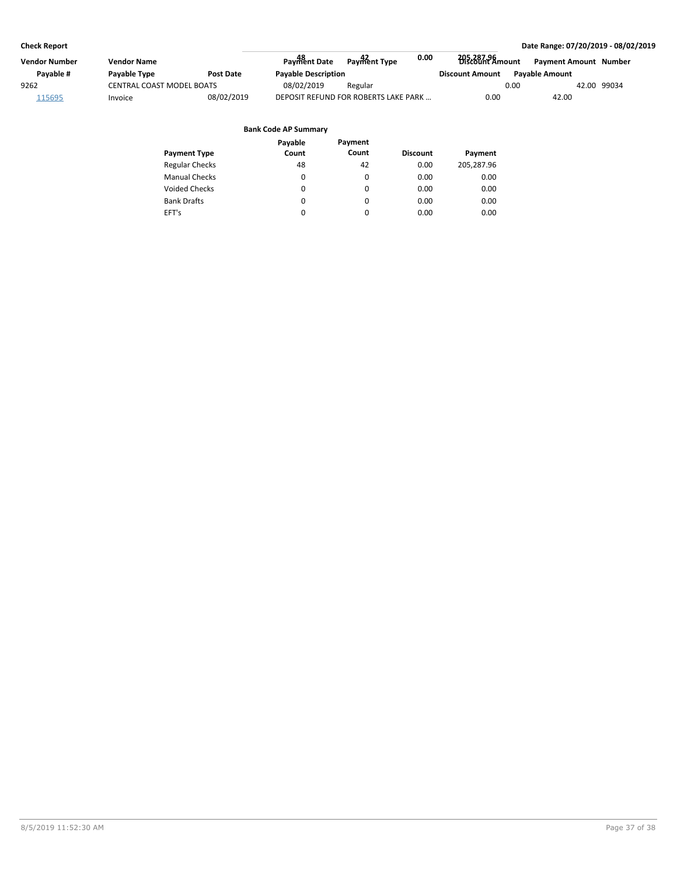| Vendor Number | <b>Vendor Name</b>        |                  | Payment Date               | 0.00<br>Payment Type                 | 205,287,96<br>Discount Amount | <b>Payment Amount Number</b> |             |  |
|---------------|---------------------------|------------------|----------------------------|--------------------------------------|-------------------------------|------------------------------|-------------|--|
| Pavable #     | <b>Pavable Type</b>       | <b>Post Date</b> | <b>Payable Description</b> |                                      | <b>Discount Amount</b>        | <b>Pavable Amount</b>        |             |  |
| 9262          | CENTRAL COAST MODEL BOATS |                  | 08/02/2019                 | Regular                              |                               | 0.00                         | 42.00 99034 |  |
| 115695        | Invoice                   | 08/02/2019       |                            | DEPOSIT REFUND FOR ROBERTS LAKE PARK | 0.00                          | 42.00                        |             |  |

|                       | Payable | Payment  |                 |            |
|-----------------------|---------|----------|-----------------|------------|
| <b>Payment Type</b>   | Count   | Count    | <b>Discount</b> | Payment    |
| <b>Regular Checks</b> | 48      | 42       | 0.00            | 205,287.96 |
| <b>Manual Checks</b>  | 0       | 0        | 0.00            | 0.00       |
| <b>Voided Checks</b>  | 0       | $\Omega$ | 0.00            | 0.00       |
| <b>Bank Drafts</b>    | 0       | 0        | 0.00            | 0.00       |
| EFT's                 | 0       | 0        | 0.00            | 0.00       |